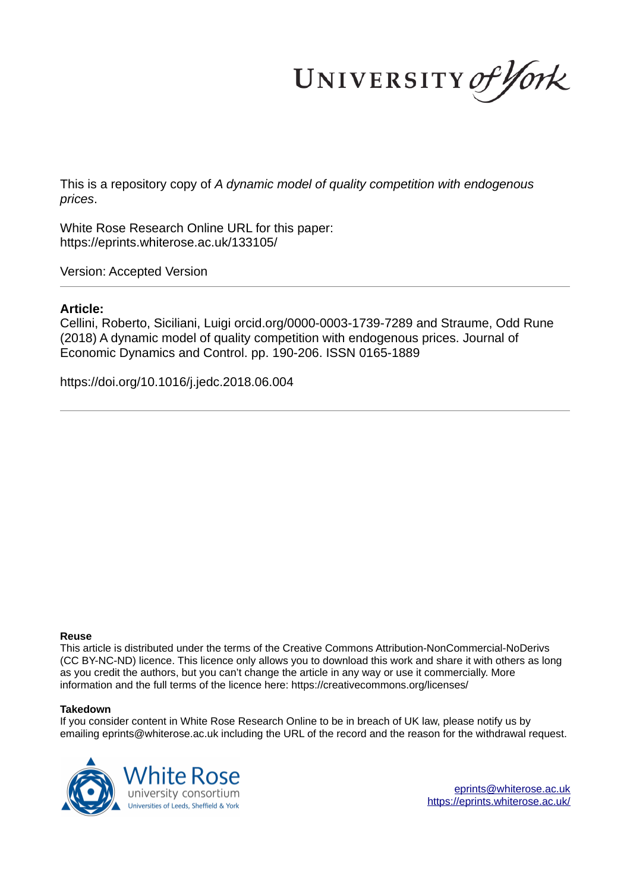UNIVERSITY of York

This is a repository copy of *A dynamic model of quality competition with endogenous prices*.

White Rose Research Online URL for this paper: https://eprints.whiterose.ac.uk/133105/

Version: Accepted Version

### **Article:**

Cellini, Roberto, Siciliani, Luigi orcid.org/0000-0003-1739-7289 and Straume, Odd Rune (2018) A dynamic model of quality competition with endogenous prices. Journal of Economic Dynamics and Control. pp. 190-206. ISSN 0165-1889

https://doi.org/10.1016/j.jedc.2018.06.004

#### **Reuse**

This article is distributed under the terms of the Creative Commons Attribution-NonCommercial-NoDerivs (CC BY-NC-ND) licence. This licence only allows you to download this work and share it with others as long as you credit the authors, but you can't change the article in any way or use it commercially. More information and the full terms of the licence here: https://creativecommons.org/licenses/

#### **Takedown**

If you consider content in White Rose Research Online to be in breach of UK law, please notify us by emailing eprints@whiterose.ac.uk including the URL of the record and the reason for the withdrawal request.



eprints@whiterose.ac.uk https://eprints.whiterose.ac.uk/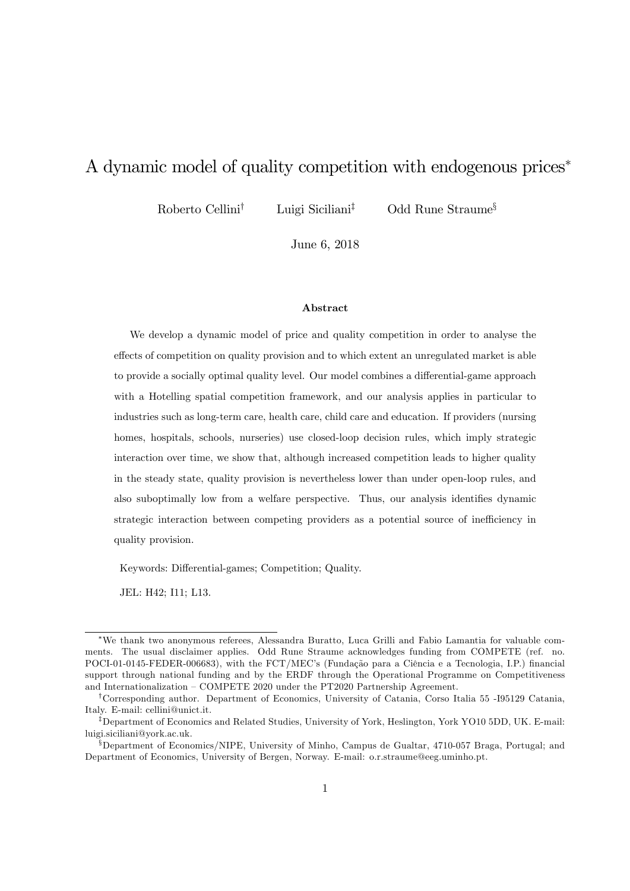# A dynamic model of quality competition with endogenous prices<sup>\*</sup>

Roberto Cellini<sup>†</sup> Luigi Siciliani<sup>‡</sup> Odd Rune Straume<sup>§</sup>

June 6, 2018

#### Abstract

We develop a dynamic model of price and quality competition in order to analyse the effects of competition on quality provision and to which extent an unregulated market is able to provide a socially optimal quality level. Our model combines a differential-game approach with a Hotelling spatial competition framework, and our analysis applies in particular to industries such as long-term care, health care, child care and education. If providers (nursing homes, hospitals, schools, nurseries) use closed-loop decision rules, which imply strategic interaction over time, we show that, although increased competition leads to higher quality in the steady state, quality provision is nevertheless lower than under open-loop rules, and also suboptimally low from a welfare perspective. Thus, our analysis identifies dynamic strategic interaction between competing providers as a potential source of inefficiency in quality provision.

Keywords: Differential-games; Competition; Quality.

JEL: H42; I11; L13.

We thank two anonymous referees, Alessandra Buratto, Luca Grilli and Fabio Lamantia for valuable comments. The usual disclaimer applies. Odd Rune Straume acknowledges funding from COMPETE (ref. no. POCI-01-0145-FEDER-006683), with the FCT/MEC's (Fundação para a Ciência e a Tecnologia, I.P.) financial support through national funding and by the ERDF through the Operational Programme on Competitiveness and Internationalization  $-$  COMPETE 2020 under the PT2020 Partnership Agreement.

<sup>&</sup>lt;sup>†</sup>Corresponding author. Department of Economics, University of Catania, Corso Italia 55 -195129 Catania, Italy. E-mail: cellini@unict.it.

<sup>&</sup>lt;sup>‡</sup>Department of Economics and Related Studies, University of York, Heslington, York YO10 5DD, UK. E-mail: luigi.siciliani@york.ac.uk.

 $\S$ Department of Economics/NIPE, University of Minho, Campus de Gualtar, 4710-057 Braga, Portugal; and Department of Economics, University of Bergen, Norway. E-mail: o.r.straume@eeg.uminho.pt.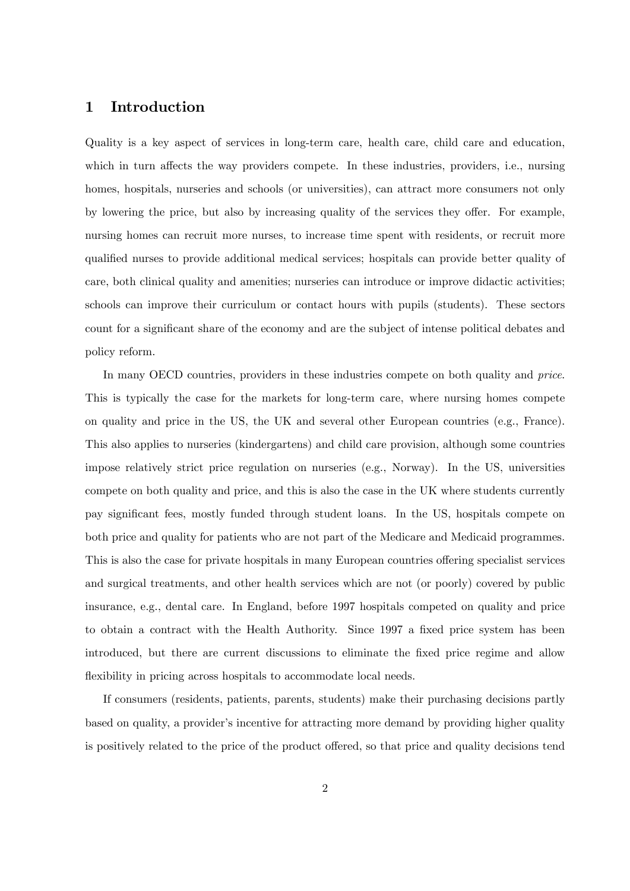## 1 Introduction

Quality is a key aspect of services in long-term care, health care, child care and education, which in turn affects the way providers compete. In these industries, providers, i.e., nursing homes, hospitals, nurseries and schools (or universities), can attract more consumers not only by lowering the price, but also by increasing quality of the services they offer. For example, nursing homes can recruit more nurses, to increase time spent with residents, or recruit more qualified nurses to provide additional medical services; hospitals can provide better quality of care, both clinical quality and amenities; nurseries can introduce or improve didactic activities; schools can improve their curriculum or contact hours with pupils (students). These sectors count for a significant share of the economy and are the subject of intense political debates and policy reform.

In many OECD countries, providers in these industries compete on both quality and *price*. This is typically the case for the markets for long-term care, where nursing homes compete on quality and price in the US, the UK and several other European countries (e.g., France). This also applies to nurseries (kindergartens) and child care provision, although some countries impose relatively strict price regulation on nurseries (e.g., Norway). In the US, universities compete on both quality and price, and this is also the case in the UK where students currently pay signiÖcant fees, mostly funded through student loans. In the US, hospitals compete on both price and quality for patients who are not part of the Medicare and Medicaid programmes. This is also the case for private hospitals in many European countries offering specialist services and surgical treatments, and other health services which are not (or poorly) covered by public insurance, e.g., dental care. In England, before 1997 hospitals competed on quality and price to obtain a contract with the Health Authority. Since 1997 a fixed price system has been introduced, but there are current discussions to eliminate the fixed price regime and allow flexibility in pricing across hospitals to accommodate local needs.

If consumers (residents, patients, parents, students) make their purchasing decisions partly based on quality, a provider's incentive for attracting more demand by providing higher quality is positively related to the price of the product offered, so that price and quality decisions tend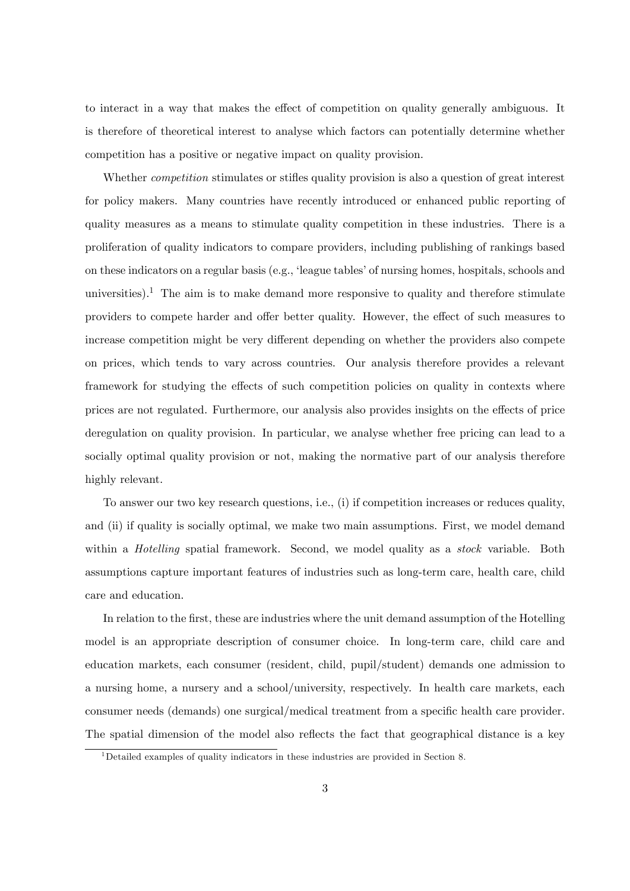to interact in a way that makes the effect of competition on quality generally ambiguous. It is therefore of theoretical interest to analyse which factors can potentially determine whether competition has a positive or negative impact on quality provision.

Whether *competition* stimulates or stifles quality provision is also a question of great interest for policy makers. Many countries have recently introduced or enhanced public reporting of quality measures as a means to stimulate quality competition in these industries. There is a proliferation of quality indicators to compare providers, including publishing of rankings based on these indicators on a regular basis (e.g., 'league tables' of nursing homes, hospitals, schools and universities).<sup>1</sup> The aim is to make demand more responsive to quality and therefore stimulate providers to compete harder and offer better quality. However, the effect of such measures to increase competition might be very different depending on whether the providers also compete on prices, which tends to vary across countries. Our analysis therefore provides a relevant framework for studying the effects of such competition policies on quality in contexts where prices are not regulated. Furthermore, our analysis also provides insights on the effects of price deregulation on quality provision. In particular, we analyse whether free pricing can lead to a socially optimal quality provision or not, making the normative part of our analysis therefore highly relevant.

To answer our two key research questions, i.e., (i) if competition increases or reduces quality, and (ii) if quality is socially optimal, we make two main assumptions. First, we model demand within a *Hotelling* spatial framework. Second, we model quality as a *stock* variable. Both assumptions capture important features of industries such as long-term care, health care, child care and education.

In relation to the first, these are industries where the unit demand assumption of the Hotelling model is an appropriate description of consumer choice. In long-term care, child care and education markets, each consumer (resident, child, pupil/student) demands one admission to a nursing home, a nursery and a school/university, respectively. In health care markets, each consumer needs (demands) one surgical/medical treatment from a specific health care provider. The spatial dimension of the model also reflects the fact that geographical distance is a key

<sup>1</sup>Detailed examples of quality indicators in these industries are provided in Section 8.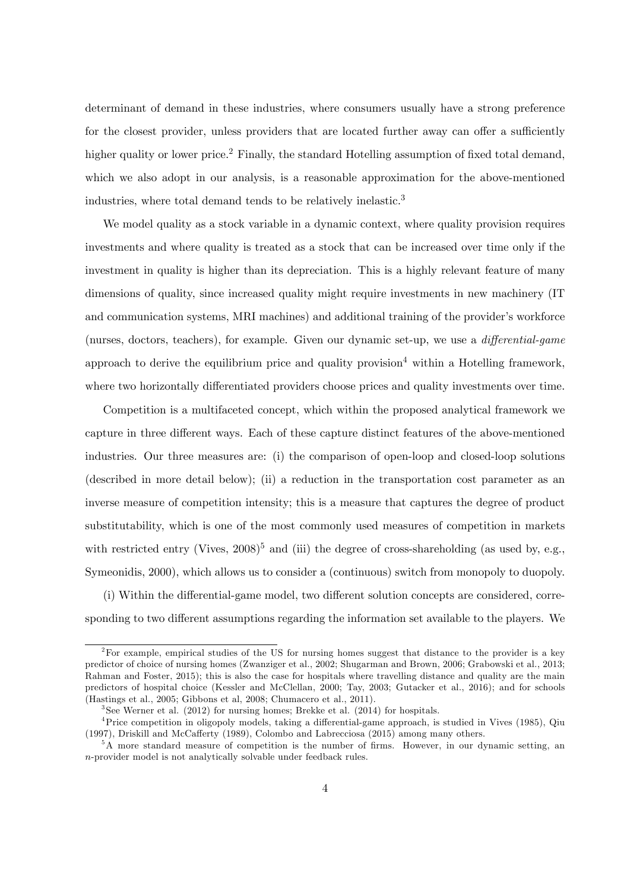determinant of demand in these industries, where consumers usually have a strong preference for the closest provider, unless providers that are located further away can offer a sufficiently higher quality or lower price.<sup>2</sup> Finally, the standard Hotelling assumption of fixed total demand, which we also adopt in our analysis, is a reasonable approximation for the above-mentioned industries, where total demand tends to be relatively inelastic.<sup>3</sup>

We model quality as a stock variable in a dynamic context, where quality provision requires investments and where quality is treated as a stock that can be increased over time only if the investment in quality is higher than its depreciation. This is a highly relevant feature of many dimensions of quality, since increased quality might require investments in new machinery (IT and communication systems, MRI machines) and additional training of the provider's workforce (nurses, doctors, teachers), for example. Given our dynamic set-up, we use a *differential-game* approach to derive the equilibrium price and quality provision<sup>4</sup> within a Hotelling framework, where two horizontally differentiated providers choose prices and quality investments over time.

Competition is a multifaceted concept, which within the proposed analytical framework we capture in three different ways. Each of these capture distinct features of the above-mentioned industries. Our three measures are: (i) the comparison of open-loop and closed-loop solutions (described in more detail below); (ii) a reduction in the transportation cost parameter as an inverse measure of competition intensity; this is a measure that captures the degree of product substitutability, which is one of the most commonly used measures of competition in markets with restricted entry (Vives,  $2008$ <sup>5</sup> and (iii) the degree of cross-shareholding (as used by, e.g., Symeonidis, 2000), which allows us to consider a (continuous) switch from monopoly to duopoly.

 $(i)$  Within the differential-game model, two different solution concepts are considered, corresponding to two different assumptions regarding the information set available to the players. We

<sup>&</sup>lt;sup>2</sup>For example, empirical studies of the US for nursing homes suggest that distance to the provider is a key predictor of choice of nursing homes (Zwanziger et al., 2002; Shugarman and Brown, 2006; Grabowski et al., 2013; Rahman and Foster, 2015); this is also the case for hospitals where travelling distance and quality are the main predictors of hospital choice (Kessler and McClellan, 2000; Tay, 2003; Gutacker et al., 2016); and for schools (Hastings et al., 2005; Gibbons et al, 2008; Chumacero et al., 2011).

 $3$ See Werner et al. (2012) for nursing homes; Brekke et al. (2014) for hospitals.

 $4$ Price competition in oligopoly models, taking a differential-game approach, is studied in Vives (1985), Qiu (1997), Driskill and McCafferty (1989), Colombo and Labrecciosa (2015) among many others.

 $5\text{\AA}$  more standard measure of competition is the number of firms. However, in our dynamic setting, an n-provider model is not analytically solvable under feedback rules.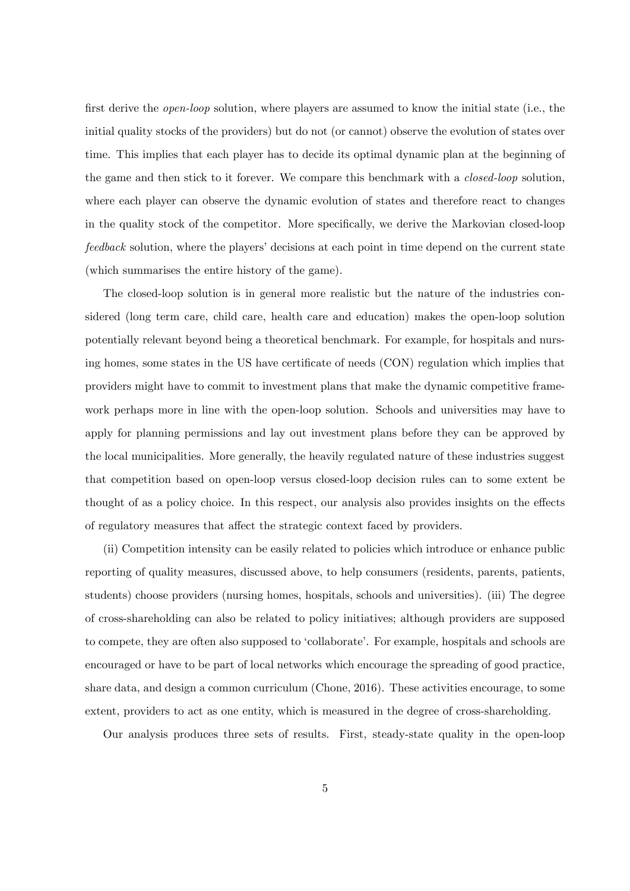first derive the *open-loop* solution, where players are assumed to know the initial state (i.e., the initial quality stocks of the providers) but do not (or cannot) observe the evolution of states over time. This implies that each player has to decide its optimal dynamic plan at the beginning of the game and then stick to it forever. We compare this benchmark with a closed-loop solution, where each player can observe the dynamic evolution of states and therefore react to changes in the quality stock of the competitor. More specifically, we derive the Markovian closed-loop feedback solution, where the players' decisions at each point in time depend on the current state (which summarises the entire history of the game).

The closed-loop solution is in general more realistic but the nature of the industries considered (long term care, child care, health care and education) makes the open-loop solution potentially relevant beyond being a theoretical benchmark. For example, for hospitals and nursing homes, some states in the US have certificate of needs (CON) regulation which implies that providers might have to commit to investment plans that make the dynamic competitive framework perhaps more in line with the open-loop solution. Schools and universities may have to apply for planning permissions and lay out investment plans before they can be approved by the local municipalities. More generally, the heavily regulated nature of these industries suggest that competition based on open-loop versus closed-loop decision rules can to some extent be thought of as a policy choice. In this respect, our analysis also provides insights on the effects of regulatory measures that affect the strategic context faced by providers.

(ii) Competition intensity can be easily related to policies which introduce or enhance public reporting of quality measures, discussed above, to help consumers (residents, parents, patients, students) choose providers (nursing homes, hospitals, schools and universities). (iii) The degree of cross-shareholding can also be related to policy initiatives; although providers are supposed to compete, they are often also supposed to 'collaborate'. For example, hospitals and schools are encouraged or have to be part of local networks which encourage the spreading of good practice, share data, and design a common curriculum (Chone, 2016). These activities encourage, to some extent, providers to act as one entity, which is measured in the degree of cross-shareholding.

Our analysis produces three sets of results. First, steady-state quality in the open-loop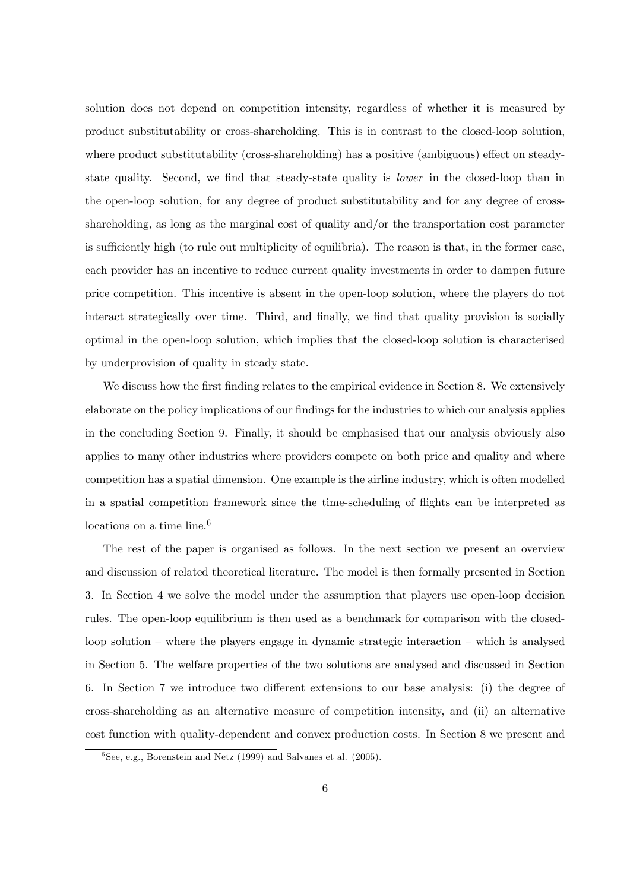solution does not depend on competition intensity, regardless of whether it is measured by product substitutability or cross-shareholding. This is in contrast to the closed-loop solution, where product substitutability (cross-shareholding) has a positive (ambiguous) effect on steadystate quality. Second, we find that steady-state quality is *lower* in the closed-loop than in the open-loop solution, for any degree of product substitutability and for any degree of crossshareholding, as long as the marginal cost of quality and/or the transportation cost parameter is sufficiently high (to rule out multiplicity of equilibria). The reason is that, in the former case, each provider has an incentive to reduce current quality investments in order to dampen future price competition. This incentive is absent in the open-loop solution, where the players do not interact strategically over time. Third, and finally, we find that quality provision is socially optimal in the open-loop solution, which implies that the closed-loop solution is characterised by underprovision of quality in steady state.

We discuss how the first finding relates to the empirical evidence in Section 8. We extensively elaborate on the policy implications of our findings for the industries to which our analysis applies in the concluding Section 9. Finally, it should be emphasised that our analysis obviously also applies to many other industries where providers compete on both price and quality and where competition has a spatial dimension. One example is the airline industry, which is often modelled in a spatial competition framework since the time-scheduling of flights can be interpreted as locations on a time line.<sup>6</sup>

The rest of the paper is organised as follows. In the next section we present an overview and discussion of related theoretical literature. The model is then formally presented in Section 3. In Section 4 we solve the model under the assumption that players use open-loop decision rules. The open-loop equilibrium is then used as a benchmark for comparison with the closedloop solution  $-$  where the players engage in dynamic strategic interaction  $-$  which is analysed in Section 5. The welfare properties of the two solutions are analysed and discussed in Section 6. In Section 7 we introduce two different extensions to our base analysis: (i) the degree of cross-shareholding as an alternative measure of competition intensity, and (ii) an alternative cost function with quality-dependent and convex production costs. In Section 8 we present and

<sup>6</sup> See, e.g., Borenstein and Netz (1999) and Salvanes et al. (2005).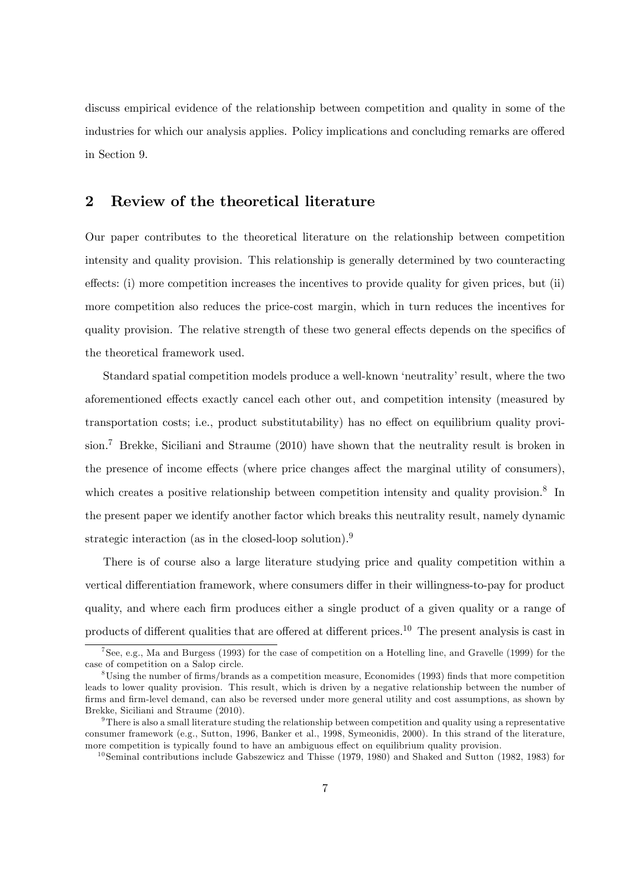discuss empirical evidence of the relationship between competition and quality in some of the industries for which our analysis applies. Policy implications and concluding remarks are offered in Section 9.

## 2 Review of the theoretical literature

Our paper contributes to the theoretical literature on the relationship between competition intensity and quality provision. This relationship is generally determined by two counteracting effects: (i) more competition increases the incentives to provide quality for given prices, but (ii) more competition also reduces the price-cost margin, which in turn reduces the incentives for quality provision. The relative strength of these two general effects depends on the specifics of the theoretical framework used.

Standard spatial competition models produce a well-known 'neutrality' result, where the two aforementioned effects exactly cancel each other out, and competition intensity (measured by transportation costs; i.e., product substitutability) has no effect on equilibrium quality provision.<sup>7</sup> Brekke, Siciliani and Straume (2010) have shown that the neutrality result is broken in the presence of income effects (where price changes affect the marginal utility of consumers), which creates a positive relationship between competition intensity and quality provision.<sup>8</sup> In the present paper we identify another factor which breaks this neutrality result, namely dynamic strategic interaction (as in the closed-loop solution).<sup>9</sup>

There is of course also a large literature studying price and quality competition within a vertical differentiation framework, where consumers differ in their willingness-to-pay for product quality, and where each Örm produces either a single product of a given quality or a range of products of different qualities that are offered at different prices.<sup>10</sup> The present analysis is cast in

<sup>7</sup> See, e.g., Ma and Burgess (1993) for the case of competition on a Hotelling line, and Gravelle (1999) for the case of competition on a Salop circle.

 $8$ Using the number of firms/brands as a competition measure, Economides (1993) finds that more competition leads to lower quality provision. This result, which is driven by a negative relationship between the number of firms and firm-level demand, can also be reversed under more general utility and cost assumptions, as shown by Brekke, Siciliani and Straume (2010).

 $9$ There is also a small literature studing the relationship between competition and quality using a representative consumer framework (e.g., Sutton, 1996, Banker et al., 1998, Symeonidis, 2000). In this strand of the literature, more competition is typically found to have an ambiguous effect on equilibrium quality provision.

<sup>&</sup>lt;sup>10</sup>Seminal contributions include Gabszewicz and Thisse  $(1979, 1980)$  and Shaked and Sutton  $(1982, 1983)$  for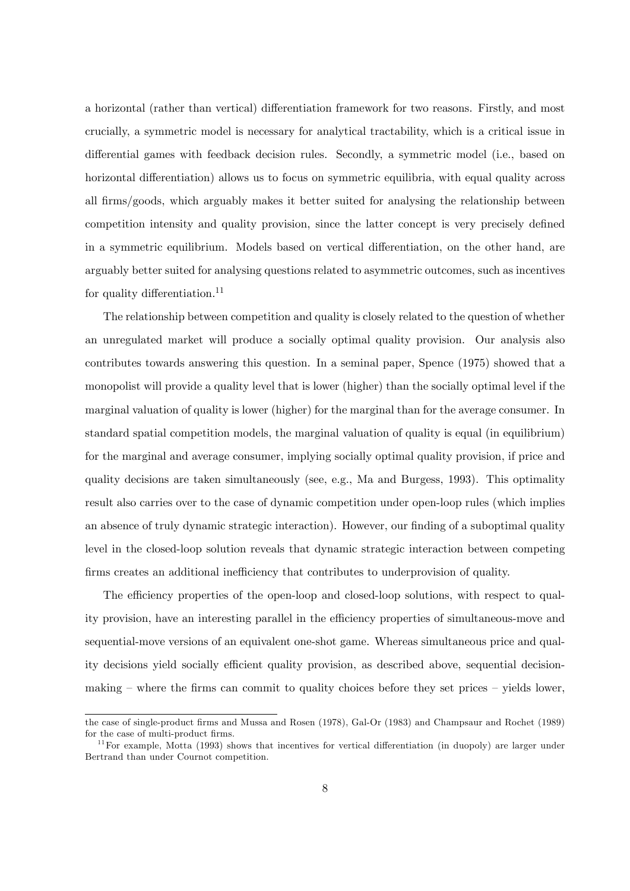a horizontal (rather than vertical) differentiation framework for two reasons. Firstly, and most crucially, a symmetric model is necessary for analytical tractability, which is a critical issue in differential games with feedback decision rules. Secondly, a symmetric model (i.e., based on horizontal differentiation) allows us to focus on symmetric equilibria, with equal quality across all firms/goods, which arguably makes it better suited for analysing the relationship between competition intensity and quality provision, since the latter concept is very precisely defined in a symmetric equilibrium. Models based on vertical differentiation, on the other hand, are arguably better suited for analysing questions related to asymmetric outcomes, such as incentives for quality differentiation.<sup>11</sup>

The relationship between competition and quality is closely related to the question of whether an unregulated market will produce a socially optimal quality provision. Our analysis also contributes towards answering this question. In a seminal paper, Spence (1975) showed that a monopolist will provide a quality level that is lower (higher) than the socially optimal level if the marginal valuation of quality is lower (higher) for the marginal than for the average consumer. In standard spatial competition models, the marginal valuation of quality is equal (in equilibrium) for the marginal and average consumer, implying socially optimal quality provision, if price and quality decisions are taken simultaneously (see, e.g., Ma and Burgess, 1993). This optimality result also carries over to the case of dynamic competition under open-loop rules (which implies an absence of truly dynamic strategic interaction). However, our finding of a suboptimal quality level in the closed-loop solution reveals that dynamic strategic interaction between competing firms creates an additional inefficiency that contributes to underprovision of quality.

The efficiency properties of the open-loop and closed-loop solutions, with respect to quality provision, have an interesting parallel in the efficiency properties of simultaneous-move and sequential-move versions of an equivalent one-shot game. Whereas simultaneous price and quality decisions yield socially efficient quality provision, as described above, sequential decisionmaking  $\sim$  where the firms can commit to quality choices before they set prices  $\sim$  yields lower,

the case of single-product firms and Mussa and Rosen (1978), Gal-Or (1983) and Champsaur and Rochet (1989) for the case of multi-product firms.

 $11$  For example, Motta (1993) shows that incentives for vertical differentiation (in duopoly) are larger under Bertrand than under Cournot competition.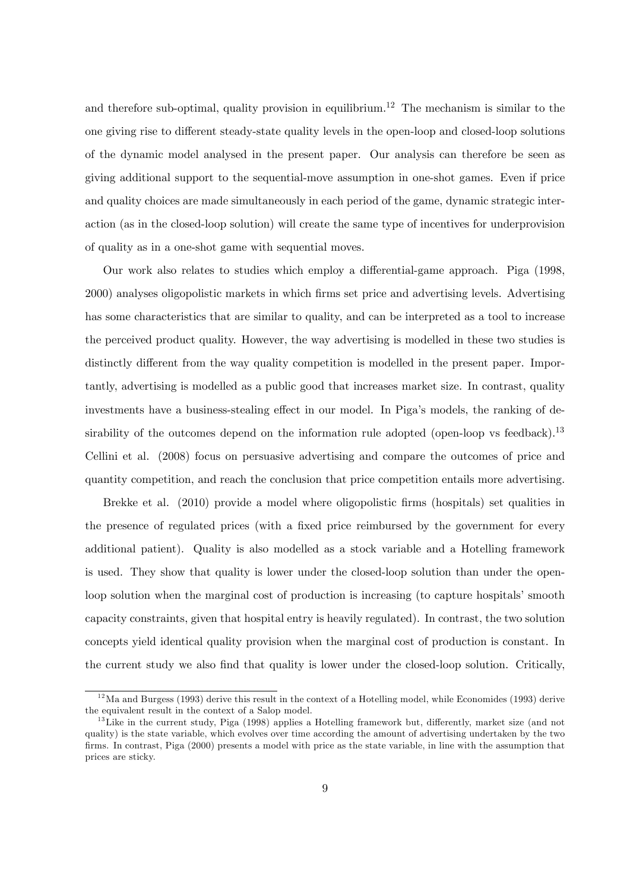and therefore sub-optimal, quality provision in equilibrium.<sup>12</sup> The mechanism is similar to the one giving rise to different steady-state quality levels in the open-loop and closed-loop solutions of the dynamic model analysed in the present paper. Our analysis can therefore be seen as giving additional support to the sequential-move assumption in one-shot games. Even if price and quality choices are made simultaneously in each period of the game, dynamic strategic interaction (as in the closed-loop solution) will create the same type of incentives for underprovision of quality as in a one-shot game with sequential moves.

Our work also relates to studies which employ a differential-game approach. Piga (1998, 2000) analyses oligopolistic markets in which Örms set price and advertising levels. Advertising has some characteristics that are similar to quality, and can be interpreted as a tool to increase the perceived product quality. However, the way advertising is modelled in these two studies is distinctly different from the way quality competition is modelled in the present paper. Importantly, advertising is modelled as a public good that increases market size. In contrast, quality investments have a business-stealing effect in our model. In Piga's models, the ranking of desirability of the outcomes depend on the information rule adopted (open-loop vs feedback).<sup>13</sup> Cellini et al. (2008) focus on persuasive advertising and compare the outcomes of price and quantity competition, and reach the conclusion that price competition entails more advertising.

Brekke et al. (2010) provide a model where oligopolistic firms (hospitals) set qualities in the presence of regulated prices (with a fixed price reimbursed by the government for every additional patient). Quality is also modelled as a stock variable and a Hotelling framework is used. They show that quality is lower under the closed-loop solution than under the openloop solution when the marginal cost of production is increasing (to capture hospitals' smooth capacity constraints, given that hospital entry is heavily regulated). In contrast, the two solution concepts yield identical quality provision when the marginal cost of production is constant. In the current study we also find that quality is lower under the closed-loop solution. Critically,

 $12$ Ma and Burgess (1993) derive this result in the context of a Hotelling model, while Economides (1993) derive the equivalent result in the context of a Salop model.

 $13$ Like in the current study, Piga (1998) applies a Hotelling framework but, differently, market size (and not quality) is the state variable, which evolves over time according the amount of advertising undertaken by the two Örms. In contrast, Piga (2000) presents a model with price as the state variable, in line with the assumption that prices are sticky.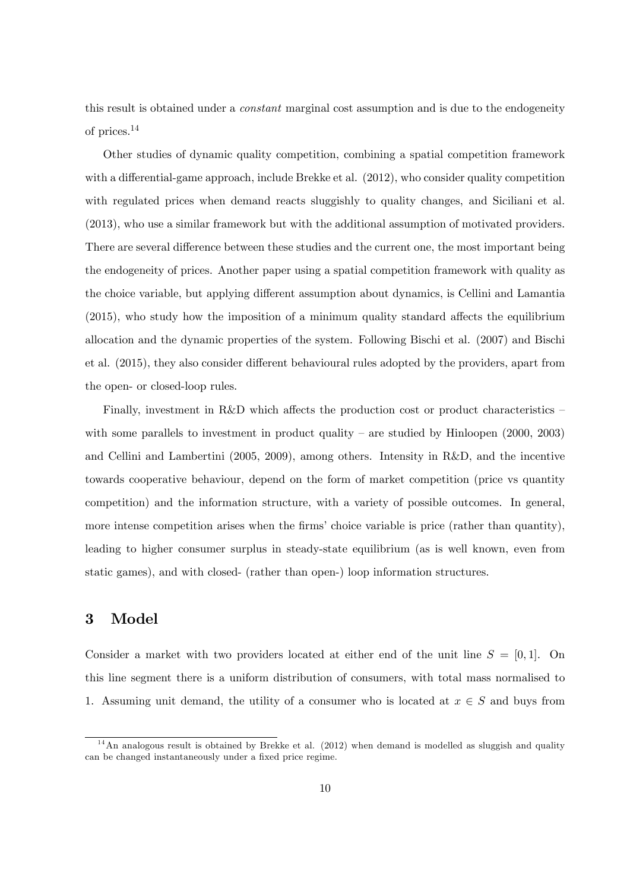this result is obtained under a constant marginal cost assumption and is due to the endogeneity of prices.<sup>14</sup>

Other studies of dynamic quality competition, combining a spatial competition framework with a differential-game approach, include Brekke et al.  $(2012)$ , who consider quality competition with regulated prices when demand reacts sluggishly to quality changes, and Siciliani et al. (2013), who use a similar framework but with the additional assumption of motivated providers. There are several difference between these studies and the current one, the most important being the endogeneity of prices. Another paper using a spatial competition framework with quality as the choice variable, but applying different assumption about dynamics, is Cellini and Lamantia  $(2015)$ , who study how the imposition of a minimum quality standard affects the equilibrium allocation and the dynamic properties of the system. Following Bischi et al. (2007) and Bischi et al. (2015), they also consider different behavioural rules adopted by the providers, apart from the open- or closed-loop rules.

Finally, investment in R&D which affects the production cost or product characteristics  $$ with some parallels to investment in product quality  $-$  are studied by Hinloopen (2000, 2003) and Cellini and Lambertini (2005, 2009), among others. Intensity in R&D, and the incentive towards cooperative behaviour, depend on the form of market competition (price vs quantity competition) and the information structure, with a variety of possible outcomes. In general, more intense competition arises when the firms' choice variable is price (rather than quantity), leading to higher consumer surplus in steady-state equilibrium (as is well known, even from static games), and with closed- (rather than open-) loop information structures.

## 3 Model

Consider a market with two providers located at either end of the unit line  $S = [0, 1]$ . On this line segment there is a uniform distribution of consumers, with total mass normalised to 1. Assuming unit demand, the utility of a consumer who is located at  $x \in S$  and buys from

 $14$ An analogous result is obtained by Brekke et al. (2012) when demand is modelled as sluggish and quality can be changed instantaneously under a fixed price regime.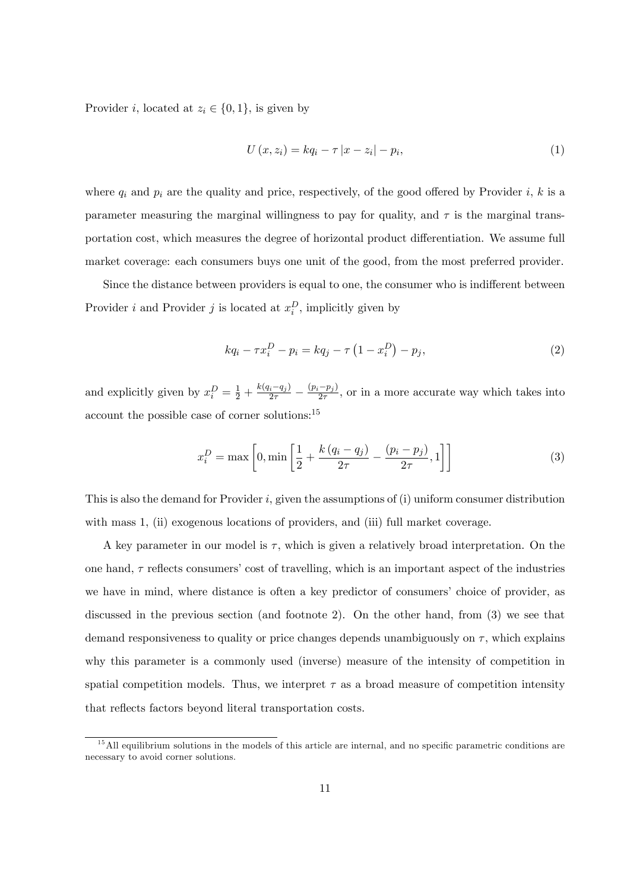Provider i, located at  $z_i \in \{0, 1\}$ , is given by

$$
U(x, z_i) = kq_i - \tau |x - z_i| - p_i,
$$
\n(1)

where  $q_i$  and  $p_i$  are the quality and price, respectively, of the good offered by Provider i, k is a parameter measuring the marginal willingness to pay for quality, and  $\tau$  is the marginal transportation cost, which measures the degree of horizontal product differentiation. We assume full market coverage: each consumers buys one unit of the good, from the most preferred provider.

Since the distance between providers is equal to one, the consumer who is indifferent between Provider *i* and Provider *j* is located at  $x_i^D$ , implicitly given by

$$
kq_i - \tau x_i^D - p_i = kq_j - \tau (1 - x_i^D) - p_j,
$$
\n(2)

and explicitly given by  $x_i^D = \frac{1}{2} + \frac{k(q_i - q_j)}{2\tau} - \frac{(p_i - p_j)}{2\tau}$ , or in a more accurate way which takes into account the possible case of corner solutions:<sup>15</sup>

$$
x_i^D = \max\left[0, \min\left[\frac{1}{2} + \frac{k(q_i - q_j)}{2\tau} - \frac{(p_i - p_j)}{2\tau}, 1\right]\right]
$$
(3)

This is also the demand for Provider  $i$ , given the assumptions of  $(i)$  uniform consumer distribution with mass 1, (ii) exogenous locations of providers, and (iii) full market coverage.

A key parameter in our model is  $\tau$ , which is given a relatively broad interpretation. On the one hand,  $\tau$  reflects consumers' cost of travelling, which is an important aspect of the industries we have in mind, where distance is often a key predictor of consumers' choice of provider, as discussed in the previous section (and footnote 2). On the other hand, from (3) we see that demand responsiveness to quality or price changes depends unambiguously on  $\tau$ , which explains why this parameter is a commonly used (inverse) measure of the intensity of competition in spatial competition models. Thus, we interpret  $\tau$  as a broad measure of competition intensity that reflects factors beyond literal transportation costs.

 $1<sup>5</sup>$  All equilibrium solutions in the models of this article are internal, and no specific parametric conditions are necessary to avoid corner solutions.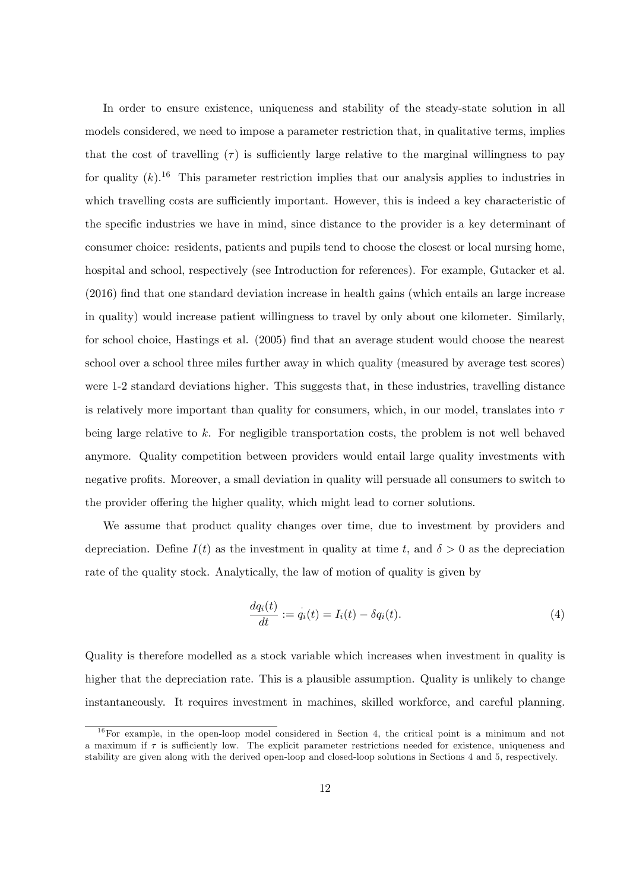In order to ensure existence, uniqueness and stability of the steady-state solution in all models considered, we need to impose a parameter restriction that, in qualitative terms, implies that the cost of travelling  $(\tau)$  is sufficiently large relative to the marginal willingness to pay for quality  $(k)$ .<sup>16</sup> This parameter restriction implies that our analysis applies to industries in which travelling costs are sufficiently important. However, this is indeed a key characteristic of the specific industries we have in mind, since distance to the provider is a key determinant of consumer choice: residents, patients and pupils tend to choose the closest or local nursing home, hospital and school, respectively (see Introduction for references). For example, Gutacker et al. (2016) Önd that one standard deviation increase in health gains (which entails an large increase in quality) would increase patient willingness to travel by only about one kilometer. Similarly, for school choice, Hastings et al. (2005) find that an average student would choose the nearest school over a school three miles further away in which quality (measured by average test scores) were 1-2 standard deviations higher. This suggests that, in these industries, travelling distance is relatively more important than quality for consumers, which, in our model, translates into  $\tau$ being large relative to k. For negligible transportation costs, the problem is not well behaved anymore. Quality competition between providers would entail large quality investments with negative profits. Moreover, a small deviation in quality will persuade all consumers to switch to the provider offering the higher quality, which might lead to corner solutions.

We assume that product quality changes over time, due to investment by providers and depreciation. Define  $I(t)$  as the investment in quality at time t, and  $\delta > 0$  as the depreciation rate of the quality stock. Analytically, the law of motion of quality is given by

$$
\frac{dq_i(t)}{dt} := \dot{q}_i(t) = I_i(t) - \delta q_i(t).
$$
\n(4)

Quality is therefore modelled as a stock variable which increases when investment in quality is higher that the depreciation rate. This is a plausible assumption. Quality is unlikely to change instantaneously. It requires investment in machines, skilled workforce, and careful planning.

 $16$  For example, in the open-loop model considered in Section 4, the critical point is a minimum and not a maximum if  $\tau$  is sufficiently low. The explicit parameter restrictions needed for existence, uniqueness and stability are given along with the derived open-loop and closed-loop solutions in Sections 4 and 5, respectively.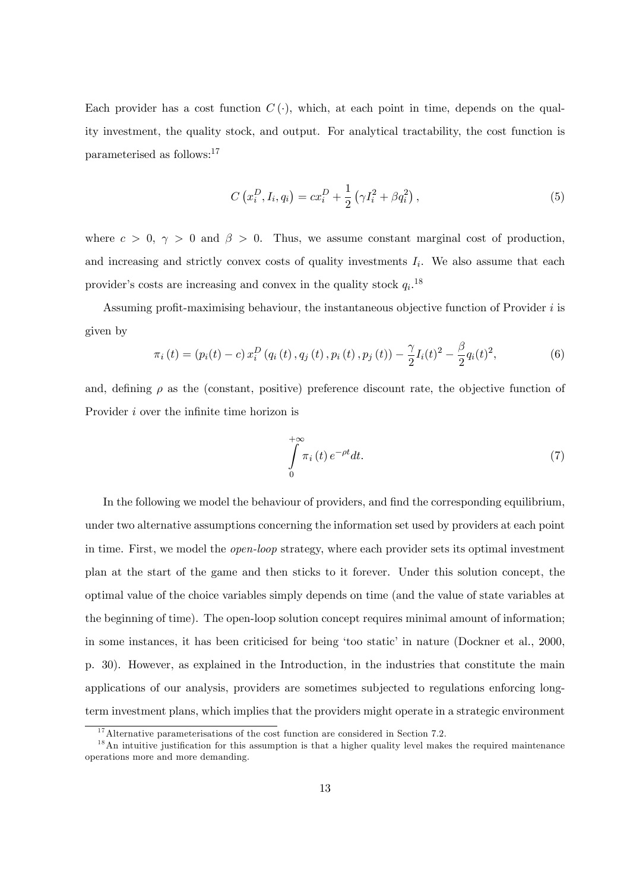Each provider has a cost function  $C(\cdot)$ , which, at each point in time, depends on the quality investment, the quality stock, and output. For analytical tractability, the cost function is parameterised as follows:<sup>17</sup>

$$
C(x_i^D, I_i, q_i) = cx_i^D + \frac{1}{2} (\gamma I_i^2 + \beta q_i^2), \qquad (5)
$$

where  $c > 0$ ,  $\gamma > 0$  and  $\beta > 0$ . Thus, we assume constant marginal cost of production, and increasing and strictly convex costs of quality investments  $I_i$ . We also assume that each provider's costs are increasing and convex in the quality stock  $q_i$ <sup>18</sup>

Assuming profit-maximising behaviour, the instantaneous objective function of Provider  $i$  is given by

$$
\pi_i(t) = (p_i(t) - c) x_i^D (q_i(t), q_j(t), p_i(t), p_j(t)) - \frac{\gamma}{2} I_i(t)^2 - \frac{\beta}{2} q_i(t)^2, \tag{6}
$$

and, defining  $\rho$  as the (constant, positive) preference discount rate, the objective function of Provider *i* over the infinite time horizon is

$$
\int_{0}^{+\infty} \pi_i(t) e^{-\rho t} dt.
$$
\n(7)

In the following we model the behaviour of providers, and find the corresponding equilibrium, under two alternative assumptions concerning the information set used by providers at each point in time. First, we model the open-loop strategy, where each provider sets its optimal investment plan at the start of the game and then sticks to it forever. Under this solution concept, the optimal value of the choice variables simply depends on time (and the value of state variables at the beginning of time). The open-loop solution concept requires minimal amount of information; in some instances, it has been criticised for being 'too static' in nature (Dockner et al., 2000, p. 30). However, as explained in the Introduction, in the industries that constitute the main applications of our analysis, providers are sometimes subjected to regulations enforcing longterm investment plans, which implies that the providers might operate in a strategic environment

 $17$ Alternative parameterisations of the cost function are considered in Section 7.2.

 $1<sup>8</sup>$ An intuitive justification for this assumption is that a higher quality level makes the required maintenance operations more and more demanding.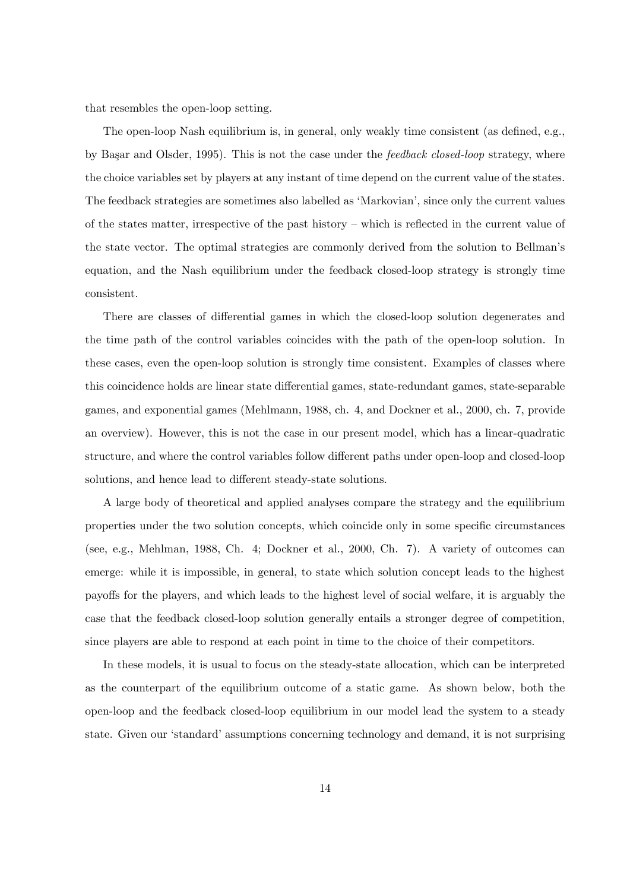that resembles the open-loop setting.

The open-loop Nash equilibrium is, in general, only weakly time consistent (as defined, e.g., by Başar and Olsder, 1995). This is not the case under the *feedback closed-loop* strategy, where the choice variables set by players at any instant of time depend on the current value of the states. The feedback strategies are sometimes also labelled as 'Markovian', since only the current values of the states matter, irrespective of the past history  $-\text{ which is reflected in the current value of}$ the state vector. The optimal strategies are commonly derived from the solution to Bellmanís equation, and the Nash equilibrium under the feedback closed-loop strategy is strongly time consistent.

There are classes of differential games in which the closed-loop solution degenerates and the time path of the control variables coincides with the path of the open-loop solution. In these cases, even the open-loop solution is strongly time consistent. Examples of classes where this coincidence holds are linear state differential games, state-redundant games, state-separable games, and exponential games (Mehlmann, 1988, ch. 4, and Dockner et al., 2000, ch. 7, provide an overview). However, this is not the case in our present model, which has a linear-quadratic structure, and where the control variables follow different paths under open-loop and closed-loop solutions, and hence lead to different steady-state solutions.

A large body of theoretical and applied analyses compare the strategy and the equilibrium properties under the two solution concepts, which coincide only in some specific circumstances (see, e.g., Mehlman, 1988, Ch. 4; Dockner et al., 2000, Ch. 7). A variety of outcomes can emerge: while it is impossible, in general, to state which solution concept leads to the highest payo§s for the players, and which leads to the highest level of social welfare, it is arguably the case that the feedback closed-loop solution generally entails a stronger degree of competition, since players are able to respond at each point in time to the choice of their competitors.

In these models, it is usual to focus on the steady-state allocation, which can be interpreted as the counterpart of the equilibrium outcome of a static game. As shown below, both the open-loop and the feedback closed-loop equilibrium in our model lead the system to a steady state. Given our 'standard' assumptions concerning technology and demand, it is not surprising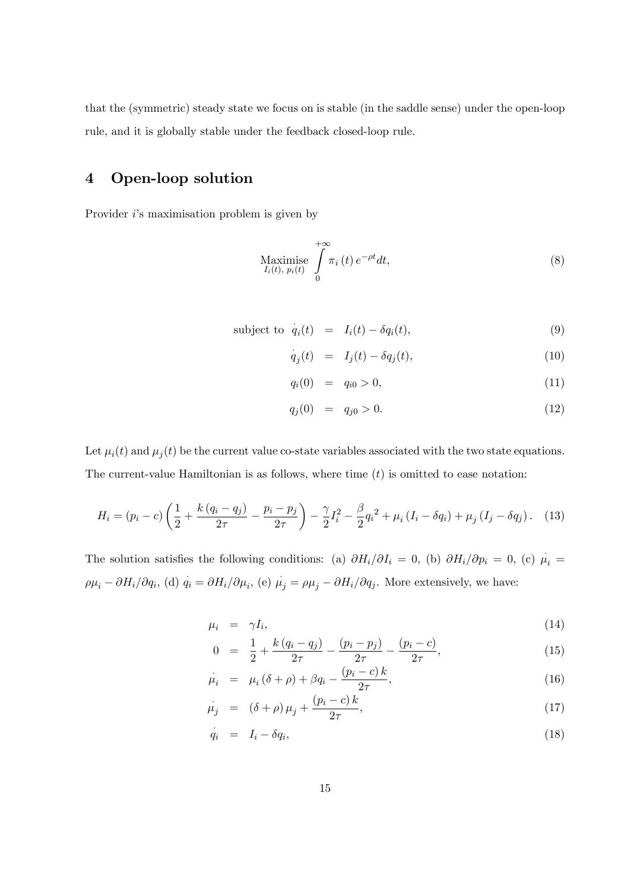that the (symmetric) steady state we focus on is stable (in the saddle sense) under the open-loop rule, and it is globally stable under the feedback closed-loop rule.

## 4 Open-loop solution

Provider *i*'s maximisation problem is given by

$$
\underset{I_i(t),\ p_i(t)}{\text{Maximise}} \int\limits_0^{+\infty} \pi_i(t) \, e^{-\rho t} dt,\tag{8}
$$

subject to 
$$
\dot{q}_i(t) = I_i(t) - \delta q_i(t)
$$
, (9)

$$
\dot{q}_j(t) = I_j(t) - \delta q_j(t), \qquad (10)
$$

$$
q_i(0) = q_{i0} > 0, \t\t(11)
$$

$$
q_j(0) = q_{j0} > 0. \t\t(12)
$$

Let  $\mu_i(t)$  and  $\mu_j(t)$  be the current value co-state variables associated with the two state equations. The current-value Hamiltonian is as follows, where time  $(t)$  is omitted to ease notation:

$$
H_i = (p_i - c) \left( \frac{1}{2} + \frac{k (q_i - q_j)}{2\tau} - \frac{p_i - p_j}{2\tau} \right) - \frac{\gamma}{2} I_i^2 - \frac{\beta}{2} q_i^2 + \mu_i (I_i - \delta q_i) + \mu_j (I_j - \delta q_j). \tag{13}
$$

The solution satisfies the following conditions: (a)  $\partial H_i/\partial I_i = 0$ , (b)  $\partial H_i/\partial p_i = 0$ , (c)  $\mu_i =$  $\rho \mu_i - \partial H_i/\partial q_i$ , (d)  $q_i = \partial H_i/\partial \mu_i$ , (e)  $\mu_j = \rho \mu_j - \partial H_i/\partial q_j$ . More extensively, we have:

$$
\mu_i = \gamma I_i,\tag{14}
$$

$$
0 = \frac{1}{2} + \frac{k(q_i - q_j)}{2\tau} - \frac{(p_i - p_j)}{2\tau} - \frac{(p_i - c)}{2\tau},
$$
\n(15)

$$
\mu_i = \mu_i (\delta + \rho) + \beta q_i - \frac{(p_i - c) k}{2\tau}, \tag{16}
$$

$$
\dot{\mu}_j = (\delta + \rho) \mu_j + \frac{(p_i - c) k}{2\tau}, \tag{17}
$$

$$
\dot{q}_i = I_i - \delta q_i,\tag{18}
$$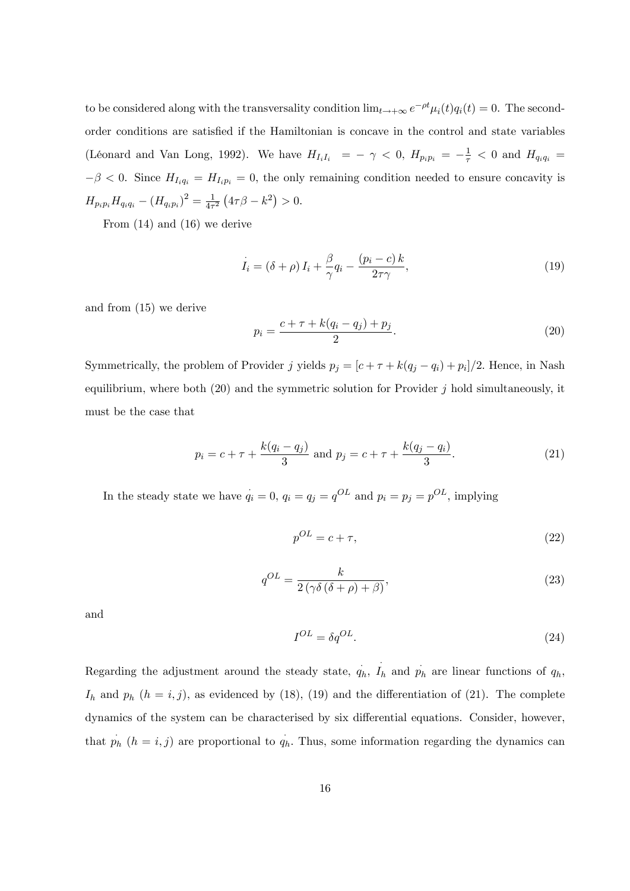to be considered along with the transversality condition  $\lim_{t\to+\infty} e^{-\rho t} \mu_i(t) q_i(t) = 0$ . The secondorder conditions are satisfied if the Hamiltonian is concave in the control and state variables (Léonard and Van Long, 1992). We have  $H_{I_iI_i} = -\gamma < 0$ ,  $H_{p_ip_i} = -\frac{1}{\tau} < 0$  and  $H_{q_iq_i} =$  $-\beta < 0$ . Since  $H_{I_i q_i} = H_{I_i p_i} = 0$ , the only remaining condition needed to ensure concavity is  $H_{p_ip_i}H_{q_iq_i} - (H_{q_ip_i})^2 = \frac{1}{4\tau}$  $\frac{1}{4\tau^2} (4\tau \beta - k^2) > 0.$ 

From (14) and (16) we derive

$$
\dot{I}_i = (\delta + \rho) I_i + \frac{\beta}{\gamma} q_i - \frac{(p_i - c) k}{2\tau\gamma},\tag{19}
$$

and from (15) we derive

$$
p_i = \frac{c + \tau + k(q_i - q_j) + p_j}{2}.
$$
\n(20)

Symmetrically, the problem of Provider j yields  $p_j = [c + \tau + k(q_j - q_i) + p_i]/2$ . Hence, in Nash equilibrium, where both  $(20)$  and the symmetric solution for Provider j hold simultaneously, it must be the case that

$$
p_i = c + \tau + \frac{k(q_i - q_j)}{3} \text{ and } p_j = c + \tau + \frac{k(q_j - q_i)}{3}.
$$
 (21)

In the steady state we have  $\dot{q}_i = 0$ ,  $q_i = q_j = q^{OL}$  and  $p_i = p_j = p^{OL}$ , implying

$$
p^{OL} = c + \tau,\tag{22}
$$

$$
q^{OL} = \frac{k}{2\left(\gamma\delta\left(\delta + \rho\right) + \beta\right)},\tag{23}
$$

and

$$
I^{OL} = \delta q^{OL}.\tag{24}
$$

Regarding the adjustment around the steady state,  $q_h$ ,  $I_h$  and  $p_h$  are linear functions of  $q_h$ ,  $I_h$  and  $p_h$   $(h = i, j)$ , as evidenced by (18), (19) and the differentiation of (21). The complete dynamics of the system can be characterised by six differential equations. Consider, however, that  $p_h$   $(h = i, j)$  are proportional to  $q_h$ . Thus, some information regarding the dynamics can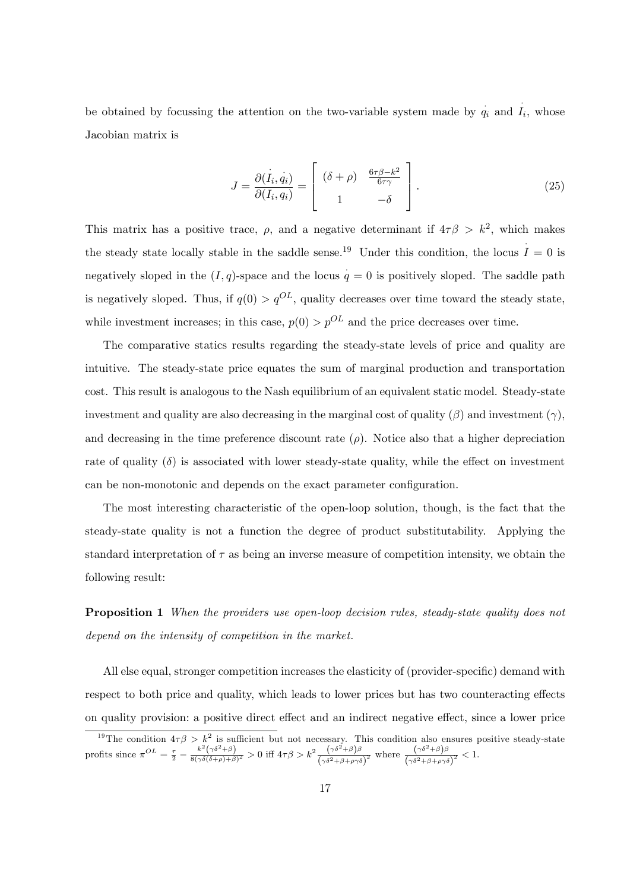be obtained by focussing the attention on the two-variable system made by  $q_i$  and  $\hat{I}_i$ , whose Jacobian matrix is

$$
J = \frac{\partial(I_i, q_i)}{\partial(I_i, q_i)} = \begin{bmatrix} (\delta + \rho) & \frac{6\tau\beta - k^2}{6\tau\gamma} \\ 1 & -\delta \end{bmatrix}.
$$
 (25)

This matrix has a positive trace,  $\rho$ , and a negative determinant if  $4\tau\beta > k^2$ , which makes the steady state locally stable in the saddle sense.<sup>19</sup> Under this condition, the locus  $I = 0$  is negatively sloped in the  $(I, q)$ -space and the locus  $q = 0$  is positively sloped. The saddle path is negatively sloped. Thus, if  $q(0) > q^{OL}$ , quality decreases over time toward the steady state, while investment increases; in this case,  $p(0) > p^{OL}$  and the price decreases over time.

The comparative statics results regarding the steady-state levels of price and quality are intuitive. The steady-state price equates the sum of marginal production and transportation cost. This result is analogous to the Nash equilibrium of an equivalent static model. Steady-state investment and quality are also decreasing in the marginal cost of quality  $(\beta)$  and investment  $(\gamma)$ , and decreasing in the time preference discount rate  $(\rho)$ . Notice also that a higher depreciation rate of quality  $(\delta)$  is associated with lower steady-state quality, while the effect on investment can be non-monotonic and depends on the exact parameter configuration.

The most interesting characteristic of the open-loop solution, though, is the fact that the steady-state quality is not a function the degree of product substitutability. Applying the standard interpretation of  $\tau$  as being an inverse measure of competition intensity, we obtain the following result:

Proposition 1 When the providers use open-loop decision rules, steady-state quality does not depend on the intensity of competition in the market.

All else equal, stronger competition increases the elasticity of (provider-specific) demand with respect to both price and quality, which leads to lower prices but has two counteracting effects on quality provision: a positive direct effect and an indirect negative effect, since a lower price

<sup>&</sup>lt;sup>19</sup>The condition  $4\tau\beta > k^2$  is sufficient but not necessary. This condition also ensures positive steady-state profits since  $\pi^{OL} = \frac{\tau}{2} - \frac{k^2(\gamma\delta^2 + \beta)}{8(\gamma\delta(\delta + \rho) + \beta)^2} > 0$  iff  $4\tau\beta > k^2 \frac{(\gamma\delta^2 + \beta)\beta}{(\gamma\delta^2 + \beta + \rho\gamma\delta)^2}$  where  $\frac{(\gamma\delta^2 + \beta)\beta}{(\gamma\delta^2 + \beta + \rho\gamma\delta)^2} < 1$ .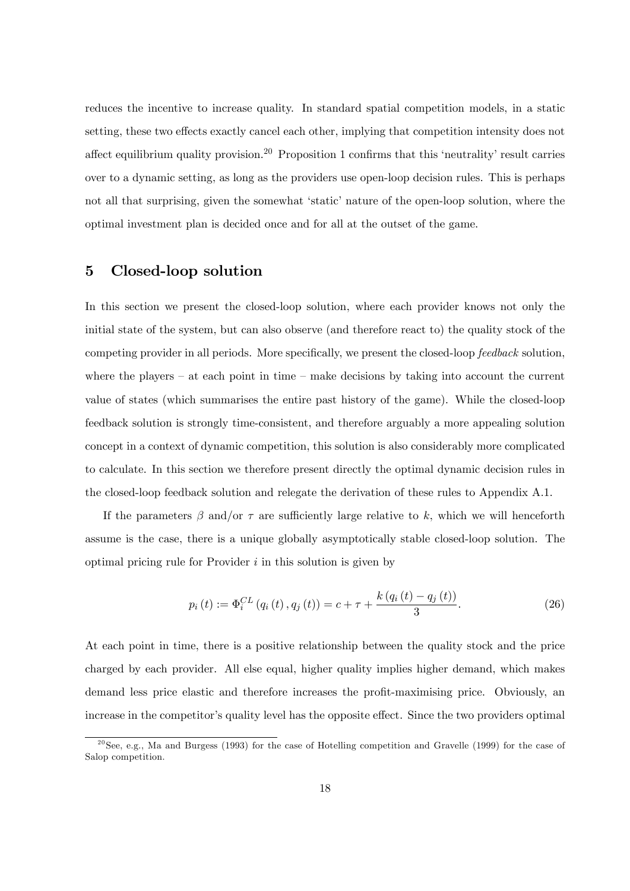reduces the incentive to increase quality. In standard spatial competition models, in a static setting, these two effects exactly cancel each other, implying that competition intensity does not affect equilibrium quality provision.<sup>20</sup> Proposition 1 confirms that this 'neutrality' result carries over to a dynamic setting, as long as the providers use open-loop decision rules. This is perhaps not all that surprising, given the somewhat 'static' nature of the open-loop solution, where the optimal investment plan is decided once and for all at the outset of the game.

## 5 Closed-loop solution

In this section we present the closed-loop solution, where each provider knows not only the initial state of the system, but can also observe (and therefore react to) the quality stock of the competing provider in all periods. More specifically, we present the closed-loop *feedback* solution, where the players  $-$  at each point in time  $-$  make decisions by taking into account the current value of states (which summarises the entire past history of the game). While the closed-loop feedback solution is strongly time-consistent, and therefore arguably a more appealing solution concept in a context of dynamic competition, this solution is also considerably more complicated to calculate. In this section we therefore present directly the optimal dynamic decision rules in the closed-loop feedback solution and relegate the derivation of these rules to Appendix A.1.

If the parameters  $\beta$  and/or  $\tau$  are sufficiently large relative to k, which we will henceforth assume is the case, there is a unique globally asymptotically stable closed-loop solution. The optimal pricing rule for Provider  $i$  in this solution is given by

$$
p_i(t) := \Phi_i^{CL} (q_i(t), q_j(t)) = c + \tau + \frac{k (q_i(t) - q_j(t))}{3}.
$$
 (26)

At each point in time, there is a positive relationship between the quality stock and the price charged by each provider. All else equal, higher quality implies higher demand, which makes demand less price elastic and therefore increases the profit-maximising price. Obviously, an increase in the competitor's quality level has the opposite effect. Since the two providers optimal

 $^{20}$ See, e.g., Ma and Burgess (1993) for the case of Hotelling competition and Gravelle (1999) for the case of Salop competition.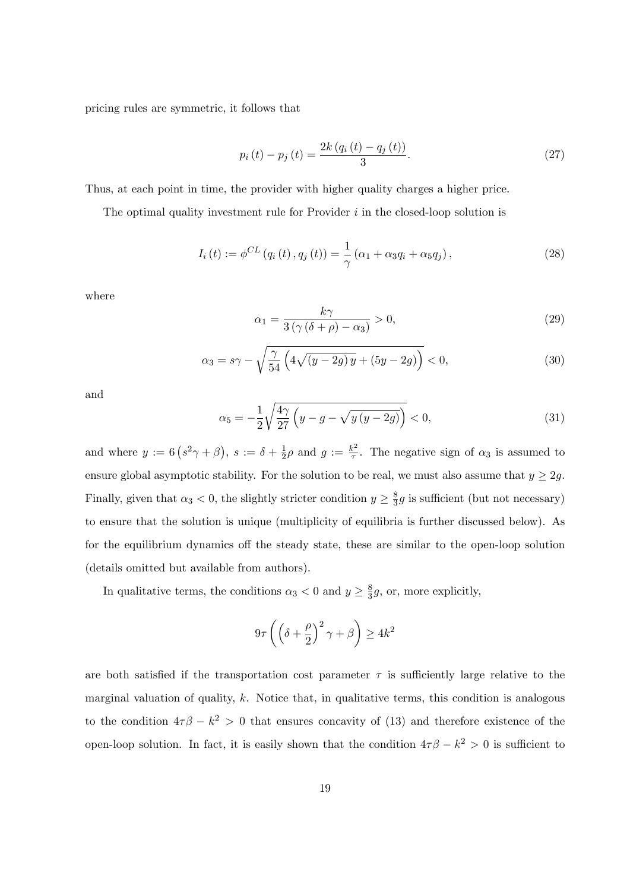pricing rules are symmetric, it follows that

$$
p_i(t) - p_j(t) = \frac{2k (q_i(t) - q_j(t))}{3}.
$$
\n(27)

Thus, at each point in time, the provider with higher quality charges a higher price.

The optimal quality investment rule for Provider  $i$  in the closed-loop solution is

$$
I_{i}(t) := \phi^{CL}\left(q_{i}(t), q_{j}(t)\right) = \frac{1}{\gamma}\left(\alpha_{1} + \alpha_{3}q_{i} + \alpha_{5}q_{j}\right),\tag{28}
$$

where

$$
\alpha_1 = \frac{k\gamma}{3\left(\gamma\left(\delta + \rho\right) - \alpha_3\right)} > 0,\tag{29}
$$

$$
\alpha_3 = s\gamma - \sqrt{\frac{\gamma}{54} \left( 4\sqrt{(y - 2g)y} + (5y - 2g) \right)} < 0,
$$
\n(30)

and

$$
\alpha_5 = -\frac{1}{2} \sqrt{\frac{4\gamma}{27} \left( y - g - \sqrt{y \left( y - 2g \right)} \right)} < 0,\tag{31}
$$

and where  $y := 6\left(s^2\gamma + \beta\right), s := \delta + \frac{1}{2}$  $\frac{1}{2}\rho$  and  $g := \frac{k^2}{\tau}$  $\frac{\varepsilon^2}{\tau}$ . The negative sign of  $\alpha_3$  is assumed to ensure global asymptotic stability. For the solution to be real, we must also assume that  $y \ge 2g$ . Finally, given that  $\alpha_3 < 0$ , the slightly stricter condition  $y \geq \frac{8}{3}$  $\frac{8}{3}g$  is sufficient (but not necessary) to ensure that the solution is unique (multiplicity of equilibria is further discussed below). As for the equilibrium dynamics off the steady state, these are similar to the open-loop solution (details omitted but available from authors).

In qualitative terms, the conditions  $\alpha_3 < 0$  and  $y \ge \frac{8}{3}$  $\frac{8}{3}g$ , or, more explicitly,

$$
9\tau \left( \left( \delta + \frac{\rho}{2} \right)^2 \gamma + \beta \right) \ge 4k^2
$$

are both satisfied if the transportation cost parameter  $\tau$  is sufficiently large relative to the marginal valuation of quality,  $k$ . Notice that, in qualitative terms, this condition is analogous to the condition  $4\tau\beta - k^2 > 0$  that ensures concavity of (13) and therefore existence of the open-loop solution. In fact, it is easily shown that the condition  $4\tau\beta - k^2 > 0$  is sufficient to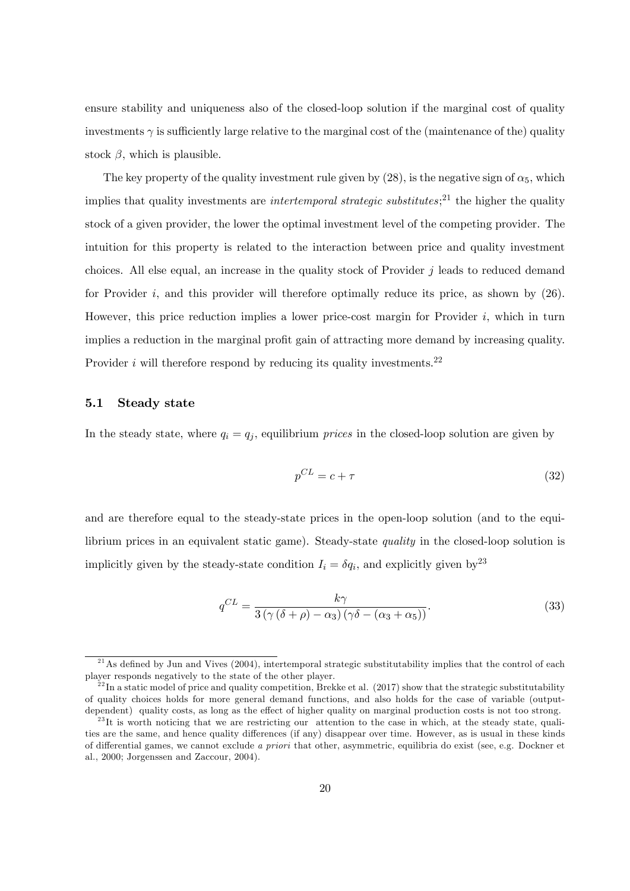ensure stability and uniqueness also of the closed-loop solution if the marginal cost of quality investments  $\gamma$  is sufficiently large relative to the marginal cost of the (maintenance of the) quality stock  $\beta$ , which is plausible.

The key property of the quality investment rule given by  $(28)$ , is the negative sign of  $\alpha_5$ , which implies that quality investments are *intertemporal strategic substitutes*;<sup>21</sup> the higher the quality stock of a given provider, the lower the optimal investment level of the competing provider. The intuition for this property is related to the interaction between price and quality investment choices. All else equal, an increase in the quality stock of Provider  $j$  leads to reduced demand for Provider  $i$ , and this provider will therefore optimally reduce its price, as shown by  $(26)$ . However, this price reduction implies a lower price-cost margin for Provider  $i$ , which in turn implies a reduction in the marginal profit gain of attracting more demand by increasing quality. Provider  $i$  will therefore respond by reducing its quality investments.<sup>22</sup>

#### 5.1 Steady state

In the steady state, where  $q_i = q_j$ , equilibrium *prices* in the closed-loop solution are given by

$$
p^{CL} = c + \tau \tag{32}
$$

and are therefore equal to the steady-state prices in the open-loop solution (and to the equilibrium prices in an equivalent static game). Steady-state quality in the closed-loop solution is implicitly given by the steady-state condition  $I_i = \delta q_i$ , and explicitly given by<sup>23</sup>

$$
q^{CL} = \frac{k\gamma}{3\left(\gamma\left(\delta + \rho\right) - \alpha_3\right)\left(\gamma\delta - \left(\alpha_3 + \alpha_5\right)\right)}.\tag{33}
$$

 $21$ As defined by Jun and Vives (2004), intertemporal strategic substitutability implies that the control of each player responds negatively to the state of the other player.

 $^{22}$ In a static model of price and quality competition, Brekke et al. (2017) show that the strategic substitutability of quality choices holds for more general demand functions, and also holds for the case of variable (outputdependent) quality costs, as long as the effect of higher quality on marginal production costs is not too strong.

 $^{23}$ It is worth noticing that we are restricting our attention to the case in which, at the steady state, qualities are the same, and hence quality differences (if any) disappear over time. However, as is usual in these kinds of differential games, we cannot exclude a priori that other, asymmetric, equilibria do exist (see, e.g. Dockner et al., 2000; Jorgenssen and Zaccour, 2004).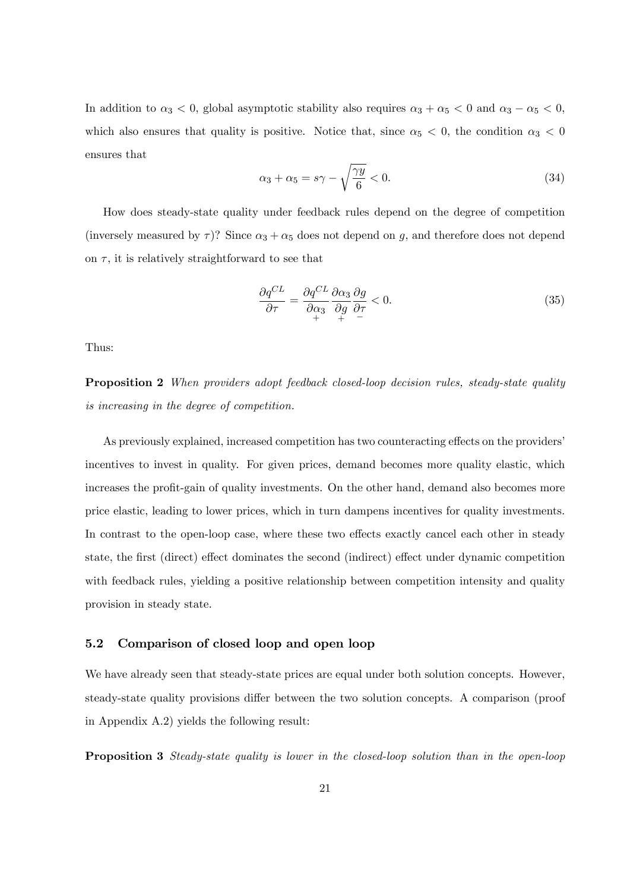In addition to  $\alpha_3 < 0$ , global asymptotic stability also requires  $\alpha_3 + \alpha_5 < 0$  and  $\alpha_3 - \alpha_5 < 0$ , which also ensures that quality is positive. Notice that, since  $\alpha_5 < 0$ , the condition  $\alpha_3 < 0$ ensures that

$$
\alpha_3 + \alpha_5 = s\gamma - \sqrt{\frac{\gamma y}{6}} < 0. \tag{34}
$$

How does steady-state quality under feedback rules depend on the degree of competition (inversely measured by  $\tau$ )? Since  $\alpha_3 + \alpha_5$  does not depend on g, and therefore does not depend on  $\tau$ , it is relatively straightforward to see that

$$
\frac{\partial q^{CL}}{\partial \tau} = \frac{\partial q^{CL}}{\partial \alpha_3} \frac{\partial \alpha_3}{\partial g} \frac{\partial g}{\partial \tau} < 0. \tag{35}
$$

Thus:

Proposition 2 When providers adopt feedback closed-loop decision rules, steady-state quality is increasing in the degree of competition.

As previously explained, increased competition has two counteracting effects on the providers' incentives to invest in quality. For given prices, demand becomes more quality elastic, which increases the profit-gain of quality investments. On the other hand, demand also becomes more price elastic, leading to lower prices, which in turn dampens incentives for quality investments. In contrast to the open-loop case, where these two effects exactly cancel each other in steady state, the first (direct) effect dominates the second (indirect) effect under dynamic competition with feedback rules, yielding a positive relationship between competition intensity and quality provision in steady state.

#### 5.2 Comparison of closed loop and open loop

We have already seen that steady-state prices are equal under both solution concepts. However, steady-state quality provisions differ between the two solution concepts. A comparison (proof in Appendix A.2) yields the following result:

Proposition 3 Steady-state quality is lower in the closed-loop solution than in the open-loop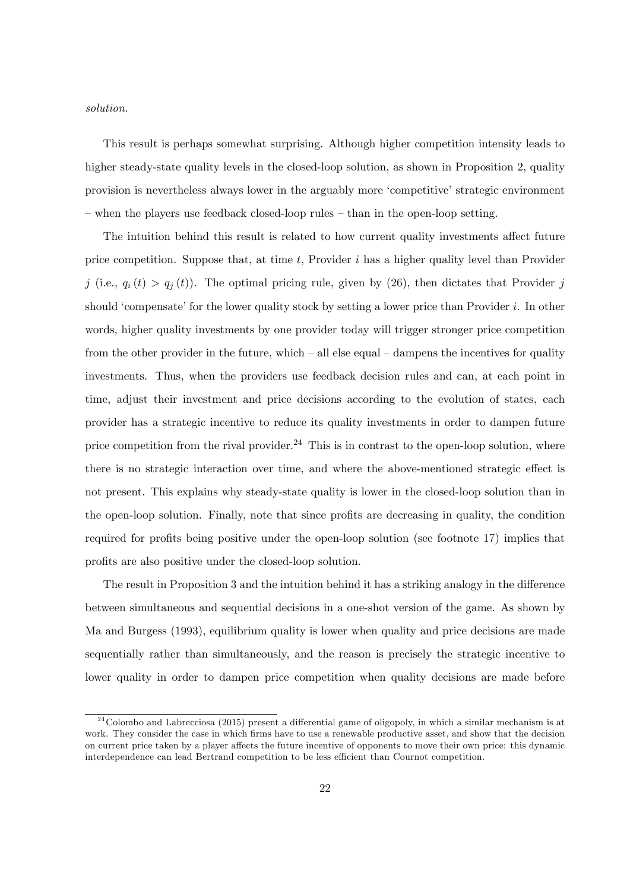solution.

This result is perhaps somewhat surprising. Although higher competition intensity leads to higher steady-state quality levels in the closed-loop solution, as shown in Proposition 2, quality provision is nevertheless always lower in the arguably more ëcompetitiveí strategic environment  $\sim$  when the players use feedback closed-loop rules  $\sim$  than in the open-loop setting.

The intuition behind this result is related to how current quality investments affect future price competition. Suppose that, at time  $t$ , Provider  $i$  has a higher quality level than Provider j (i.e.,  $q_i(t) > q_j(t)$ ). The optimal pricing rule, given by (26), then dictates that Provider j should 'compensate' for the lower quality stock by setting a lower price than Provider  $i$ . In other words, higher quality investments by one provider today will trigger stronger price competition from the other provider in the future, which  $\alpha$  all else equal  $\alpha$  dampens the incentives for quality investments. Thus, when the providers use feedback decision rules and can, at each point in time, adjust their investment and price decisions according to the evolution of states, each provider has a strategic incentive to reduce its quality investments in order to dampen future price competition from the rival provider.<sup>24</sup> This is in contrast to the open-loop solution, where there is no strategic interaction over time, and where the above-mentioned strategic effect is not present. This explains why steady-state quality is lower in the closed-loop solution than in the open-loop solution. Finally, note that since profits are decreasing in quality, the condition required for profits being positive under the open-loop solution (see footnote 17) implies that profits are also positive under the closed-loop solution.

The result in Proposition 3 and the intuition behind it has a striking analogy in the difference between simultaneous and sequential decisions in a one-shot version of the game. As shown by Ma and Burgess (1993), equilibrium quality is lower when quality and price decisions are made sequentially rather than simultaneously, and the reason is precisely the strategic incentive to lower quality in order to dampen price competition when quality decisions are made before

 $^{24}$ Colombo and Labrecciosa (2015) present a differential game of oligopoly, in which a similar mechanism is at work. They consider the case in which firms have to use a renewable productive asset, and show that the decision on current price taken by a player affects the future incentive of opponents to move their own price: this dynamic interdependence can lead Bertrand competition to be less efficient than Cournot competition.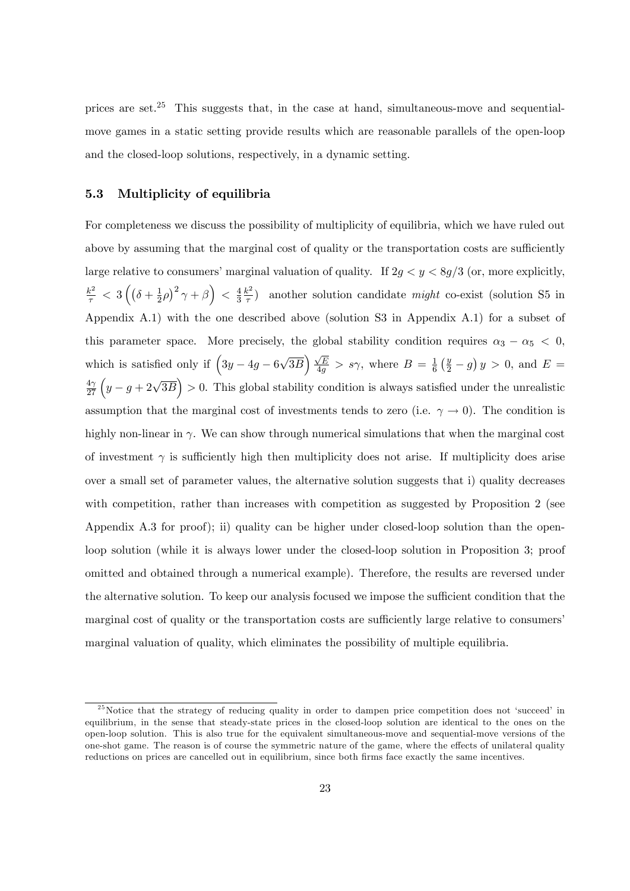prices are set.<sup>25</sup> This suggests that, in the case at hand, simultaneous-move and sequentialmove games in a static setting provide results which are reasonable parallels of the open-loop and the closed-loop solutions, respectively, in a dynamic setting.

#### 5.3 Multiplicity of equilibria

For completeness we discuss the possibility of multiplicity of equilibria, which we have ruled out above by assuming that the marginal cost of quality or the transportation costs are sufficiently large relative to consumers' marginal valuation of quality. If  $2g < y < 8g/3$  (or, more explicitly,  $\frac{k^2}{\tau} < 3\left((\delta + \frac{1}{2})\right)$  $\frac{1}{2}\rho)^2 \gamma + \beta$  >  $\frac{4}{3}$ 3  $k^2$  $\left(\frac{x^2}{\tau}\right)$  another solution candidate *might* co-exist (solution S5 in Appendix A.1) with the one described above (solution S3 in Appendix A.1) for a subset of this parameter space. More precisely, the global stability condition requires  $\alpha_3 - \alpha_5 < 0$ , which is satisfied only if  $\left(3y - 4g - 6\sqrt{3B}\right)\frac{\sqrt{E}}{4g} > s\gamma$ , where  $B = \frac{1}{6}$  $\frac{1}{6}(\frac{y}{2}-g)y>0$ , and  $E=$  $\frac{4\gamma}{27}\left(y-g+2\sqrt{3B}\right) > 0$ . This global stability condition is always satisfied under the unrealistic assumption that the marginal cost of investments tends to zero (i.e.  $\gamma \to 0$ ). The condition is highly non-linear in  $\gamma$ . We can show through numerical simulations that when the marginal cost of investment  $\gamma$  is sufficiently high then multiplicity does not arise. If multiplicity does arise over a small set of parameter values, the alternative solution suggests that i) quality decreases with competition, rather than increases with competition as suggested by Proposition 2 (see Appendix A.3 for proof); ii) quality can be higher under closed-loop solution than the openloop solution (while it is always lower under the closed-loop solution in Proposition 3; proof omitted and obtained through a numerical example). Therefore, the results are reversed under the alternative solution. To keep our analysis focused we impose the sufficient condition that the marginal cost of quality or the transportation costs are sufficiently large relative to consumers marginal valuation of quality, which eliminates the possibility of multiple equilibria.

 $25$ Notice that the strategy of reducing quality in order to dampen price competition does not 'succeed' in equilibrium, in the sense that steady-state prices in the closed-loop solution are identical to the ones on the open-loop solution. This is also true for the equivalent simultaneous-move and sequential-move versions of the one-shot game. The reason is of course the symmetric nature of the game, where the effects of unilateral quality reductions on prices are cancelled out in equilibrium, since both firms face exactly the same incentives.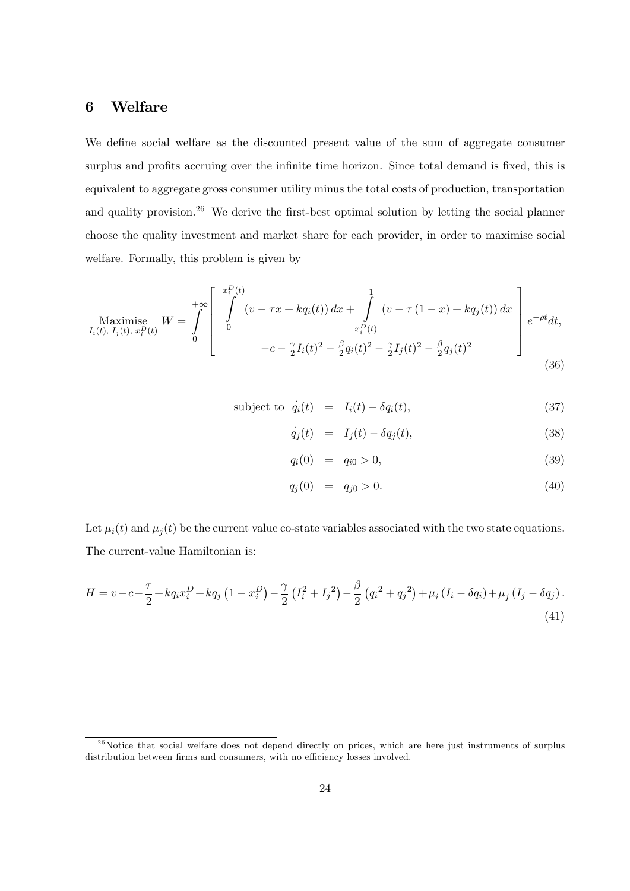## 6 Welfare

We define social welfare as the discounted present value of the sum of aggregate consumer surplus and profits accruing over the infinite time horizon. Since total demand is fixed, this is equivalent to aggregate gross consumer utility minus the total costs of production, transportation and quality provision.<sup>26</sup> We derive the first-best optimal solution by letting the social planner choose the quality investment and market share for each provider, in order to maximise social welfare. Formally, this problem is given by

$$
\text{Maximise}\limits_{I_i(t),\ I_j(t),\ x_i^D(t)} W = \int\limits_0^{+\infty} \left[ \int\limits_0^{x_i^D(t)} (v - \tau x + k q_i(t)) \, dx + \int\limits_{x_i^D(t)} (v - \tau (1-x) + k q_j(t)) \, dx \right] e^{-\rho t} dt, \\
-c - \frac{\gamma}{2} I_i(t)^2 - \frac{\beta}{2} q_i(t)^2 - \frac{\gamma}{2} I_j(t)^2 - \frac{\beta}{2} q_j(t)^2 \tag{36}
$$

subject to 
$$
\dot{q}_i(t) = I_i(t) - \delta q_i(t)
$$
, (37)

$$
\dot{q}_j(t) = I_j(t) - \delta q_j(t), \qquad (38)
$$

$$
q_i(0) = q_{i0} > 0, \t\t(39)
$$

$$
q_j(0) = q_{j0} > 0. \t\t(40)
$$

Let  $\mu_i(t)$  and  $\mu_j(t)$  be the current value co-state variables associated with the two state equations. The current-value Hamiltonian is:

$$
H = v - c - \frac{\tau}{2} + kq_i x_i^D + kq_j \left(1 - x_i^D\right) - \frac{\gamma}{2} \left(I_i^2 + I_j^2\right) - \frac{\beta}{2} \left(q_i^2 + q_j^2\right) + \mu_i \left(I_i - \delta q_i\right) + \mu_j \left(I_j - \delta q_j\right). \tag{41}
$$

 $2<sup>6</sup>$  Notice that social welfare does not depend directly on prices, which are here just instruments of surplus distribution between firms and consumers, with no efficiency losses involved.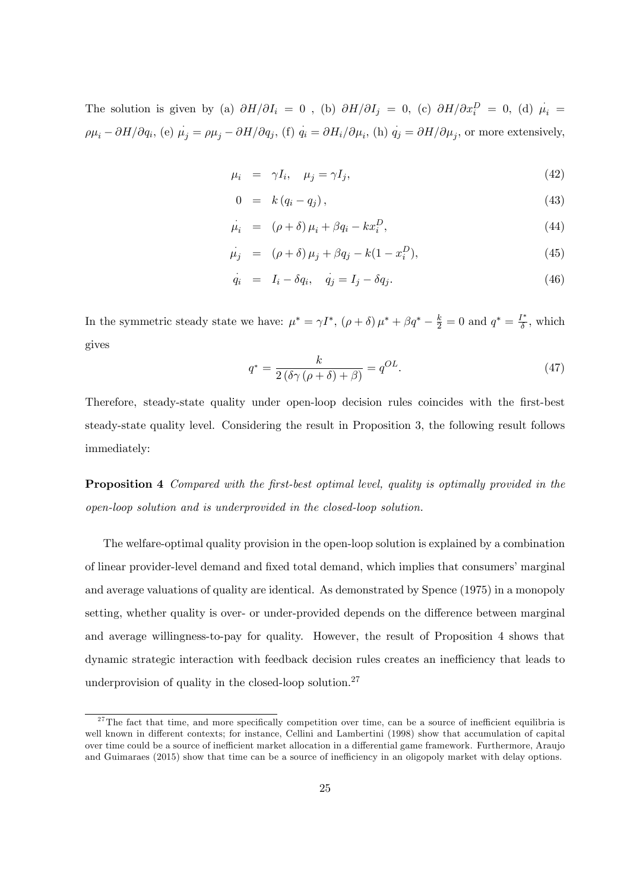The solution is given by (a)  $\partial H/\partial I_i = 0$ , (b)  $\partial H/\partial I_j = 0$ , (c)  $\partial H/\partial x_i^D = 0$ , (d)  $\mu_i =$  $\rho\mu_i - \partial H/\partial q_i$ , (e)  $\mu_j = \rho\mu_j - \partial H/\partial q_j$ , (f)  $q_i = \partial H_i/\partial \mu_i$ , (h)  $q_j = \partial H/\partial \mu_j$ , or more extensively,

$$
\mu_i = \gamma I_i, \quad \mu_j = \gamma I_j,\tag{42}
$$

$$
0 = k(q_i - q_j), \qquad (43)
$$

$$
\mu_i = (\rho + \delta)\mu_i + \beta q_i - kx_i^D,\tag{44}
$$

$$
\dot{\mu}_j = (\rho + \delta) \mu_j + \beta q_j - k(1 - x_i^D), \tag{45}
$$

$$
q_i = I_i - \delta q_i, \quad q_j = I_j - \delta q_j. \tag{46}
$$

In the symmetric steady state we have:  $\mu^* = \gamma I^*$ ,  $(\rho + \delta) \mu^* + \beta q^* - \frac{k}{2} = 0$  and  $q^* = \frac{I^*}{\delta}$  $\frac{l^*}{\delta}$ , which gives

$$
q^* = \frac{k}{2\left(\delta\gamma\left(\rho + \delta\right) + \beta\right)} = q^{OL}.\tag{47}
$$

Therefore, steady-state quality under open-loop decision rules coincides with the first-best steady-state quality level. Considering the result in Proposition 3, the following result follows immediately:

**Proposition 4** Compared with the first-best optimal level, quality is optimally provided in the open-loop solution and is underprovided in the closed-loop solution.

The welfare-optimal quality provision in the open-loop solution is explained by a combination of linear provider-level demand and fixed total demand, which implies that consumers' marginal and average valuations of quality are identical. As demonstrated by Spence (1975) in a monopoly setting, whether quality is over- or under-provided depends on the difference between marginal and average willingness-to-pay for quality. However, the result of Proposition 4 shows that dynamic strategic interaction with feedback decision rules creates an inefficiency that leads to underprovision of quality in the closed-loop solution.<sup>27</sup>

<sup>&</sup>lt;sup>27</sup>The fact that time, and more specifically competition over time, can be a source of inefficient equilibria is well known in different contexts; for instance, Cellini and Lambertini (1998) show that accumulation of capital over time could be a source of inefficient market allocation in a differential game framework. Furthermore, Araujo and Guimaraes (2015) show that time can be a source of inefficiency in an oligopoly market with delay options.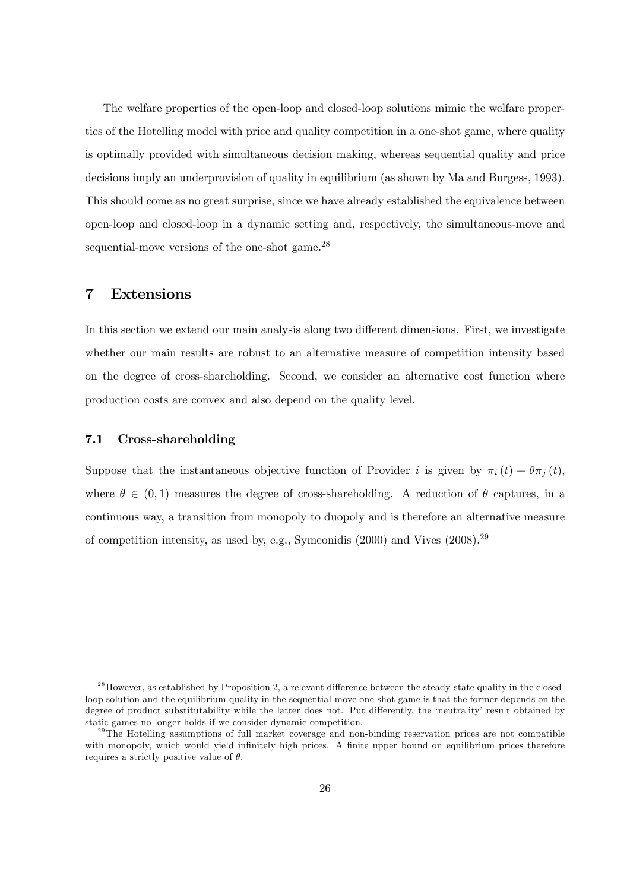The welfare properties of the open-loop and closed-loop solutions mimic the welfare properties of the Hotelling model with price and quality competition in a one-shot game, where quality is optimally provided with simultaneous decision making, whereas sequential quality and price decisions imply an underprovision of quality in equilibrium (as shown by Ma and Burgess, 1993). This should come as no great surprise, since we have already established the equivalence between open-loop and closed-loop in a dynamic setting and, respectively, the simultaneous-move and sequential-move versions of the one-shot game.<sup>28</sup>

### 7 Extensions

In this section we extend our main analysis along two different dimensions. First, we investigate whether our main results are robust to an alternative measure of competition intensity based on the degree of cross-shareholding. Second, we consider an alternative cost function where production costs are convex and also depend on the quality level.

#### 7.1 Cross-shareholding

Suppose that the instantaneous objective function of Provider i is given by  $\pi_i(t) + \theta \pi_j(t)$ , where  $\theta \in (0, 1)$  measures the degree of cross-shareholding. A reduction of  $\theta$  captures, in a continuous way, a transition from monopoly to duopoly and is therefore an alternative measure of competition intensity, as used by, e.g., Symeonidis (2000) and Vives (2008).<sup>29</sup>

 $^{28}$  However, as established by Proposition 2, a relevant difference between the steady-state quality in the closedloop solution and the equilibrium quality in the sequential-move one-shot game is that the former depends on the degree of product substitutability while the latter does not. Put differently, the 'neutrality' result obtained by static games no longer holds if we consider dynamic competition.

 $29$ The Hotelling assumptions of full market coverage and non-binding reservation prices are not compatible with monopoly, which would yield infinitely high prices. A finite upper bound on equilibrium prices therefore requires a strictly positive value of  $\theta$ .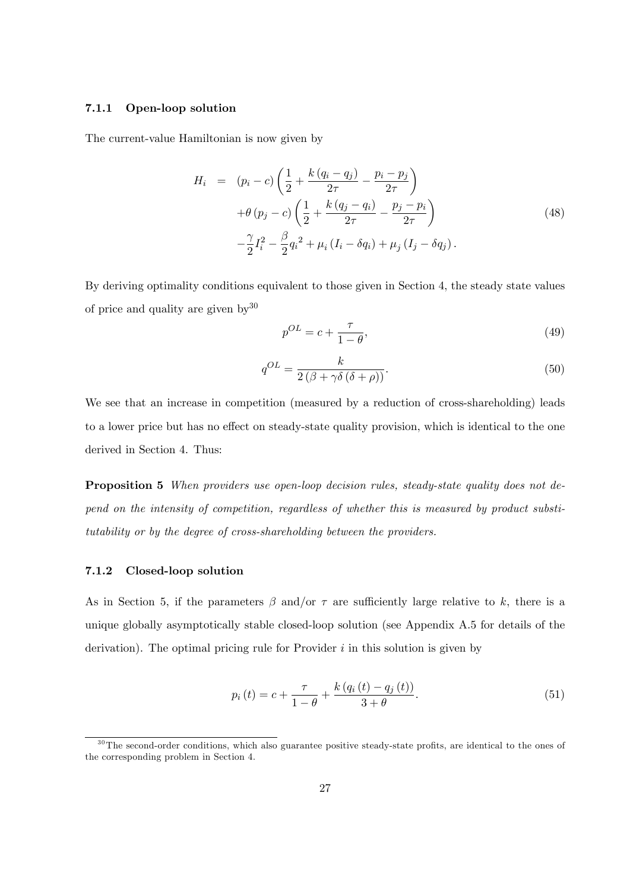#### 7.1.1 Open-loop solution

The current-value Hamiltonian is now given by

$$
H_{i} = (p_{i} - c) \left( \frac{1}{2} + \frac{k (q_{i} - q_{j})}{2\tau} - \frac{p_{i} - p_{j}}{2\tau} \right) + \theta (p_{j} - c) \left( \frac{1}{2} + \frac{k (q_{j} - q_{i})}{2\tau} - \frac{p_{j} - p_{i}}{2\tau} \right) - \frac{\gamma}{2} I_{i}^{2} - \frac{\beta}{2} q_{i}^{2} + \mu_{i} (I_{i} - \delta q_{i}) + \mu_{j} (I_{j} - \delta q_{j}).
$$
\n(48)

By deriving optimality conditions equivalent to those given in Section 4, the steady state values of price and quality are given  $by^{30}$ 

$$
p^{OL} = c + \frac{\tau}{1 - \theta},\tag{49}
$$

$$
q^{OL} = \frac{k}{2\left(\beta + \gamma\delta\left(\delta + \rho\right)\right)}.\tag{50}
$$

We see that an increase in competition (measured by a reduction of cross-shareholding) leads to a lower price but has no effect on steady-state quality provision, which is identical to the one derived in Section 4. Thus:

Proposition 5 When providers use open-loop decision rules, steady-state quality does not depend on the intensity of competition, regardless of whether this is measured by product substitutability or by the degree of cross-shareholding between the providers.

#### 7.1.2 Closed-loop solution

As in Section 5, if the parameters  $\beta$  and/or  $\tau$  are sufficiently large relative to k, there is a unique globally asymptotically stable closed-loop solution (see Appendix A.5 for details of the derivation). The optimal pricing rule for Provider  $i$  in this solution is given by

$$
p_i(t) = c + \frac{\tau}{1 - \theta} + \frac{k (q_i(t) - q_j(t))}{3 + \theta}.
$$
\n(51)

 $30$ The second-order conditions, which also guarantee positive steady-state profits, are identical to the ones of the corresponding problem in Section 4.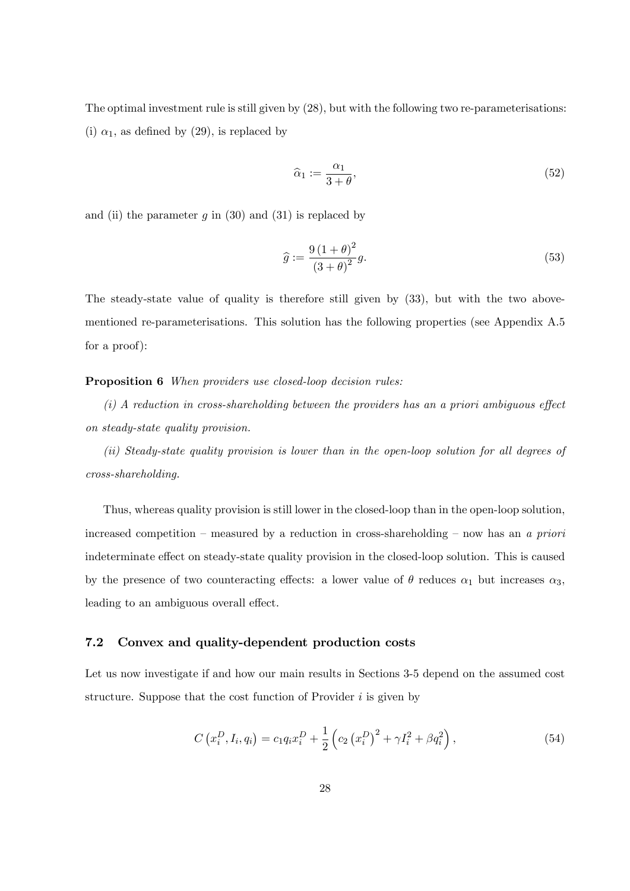The optimal investment rule is still given by (28), but with the following two re-parameterisations: (i)  $\alpha_1$ , as defined by (29), is replaced by

$$
\widehat{\alpha}_1 := \frac{\alpha_1}{3 + \theta},\tag{52}
$$

and (ii) the parameter  $g$  in (30) and (31) is replaced by

$$
\widehat{g} := \frac{9\left(1+\theta\right)^2}{\left(3+\theta\right)^2}g.\tag{53}
$$

The steady-state value of quality is therefore still given by (33), but with the two abovementioned re-parameterisations. This solution has the following properties (see Appendix A.5 for a proof):

Proposition 6 When providers use closed-loop decision rules:

 $(i)$  A reduction in cross-shareholding between the providers has an a priori ambiguous effect on steady-state quality provision.

(ii) Steady-state quality provision is lower than in the open-loop solution for all degrees of cross-shareholding.

Thus, whereas quality provision is still lower in the closed-loop than in the open-loop solution, increased competition – measured by a reduction in cross-shareholding – now has an a priori indeterminate effect on steady-state quality provision in the closed-loop solution. This is caused by the presence of two counteracting effects: a lower value of  $\theta$  reduces  $\alpha_1$  but increases  $\alpha_3$ , leading to an ambiguous overall effect.

### 7.2 Convex and quality-dependent production costs

Let us now investigate if and how our main results in Sections 3-5 depend on the assumed cost structure. Suppose that the cost function of Provider  $i$  is given by

$$
C(x_i^D, I_i, q_i) = c_1 q_i x_i^D + \frac{1}{2} \left( c_2 (x_i^D)^2 + \gamma I_i^2 + \beta q_i^2 \right), \tag{54}
$$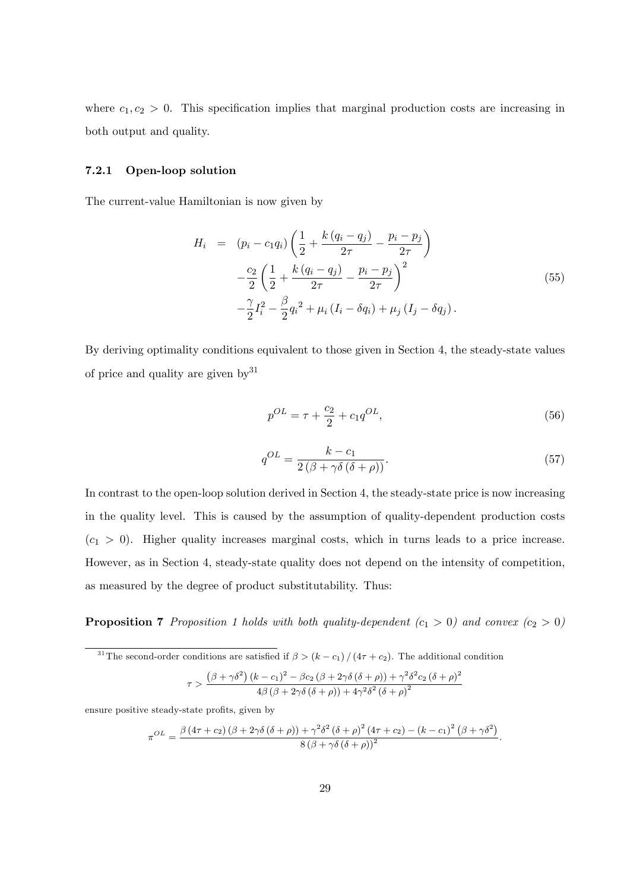where  $c_1, c_2 > 0$ . This specification implies that marginal production costs are increasing in both output and quality.

#### 7.2.1 Open-loop solution

The current-value Hamiltonian is now given by

$$
H_{i} = (p_{i} - c_{1}q_{i}) \left( \frac{1}{2} + \frac{k (q_{i} - q_{j})}{2\tau} - \frac{p_{i} - p_{j}}{2\tau} \right)
$$
  

$$
- \frac{c_{2}}{2} \left( \frac{1}{2} + \frac{k (q_{i} - q_{j})}{2\tau} - \frac{p_{i} - p_{j}}{2\tau} \right)^{2}
$$
  

$$
- \frac{\gamma}{2} I_{i}^{2} - \frac{\beta}{2} q_{i}^{2} + \mu_{i} (I_{i} - \delta q_{i}) + \mu_{j} (I_{j} - \delta q_{j}).
$$
 (55)

By deriving optimality conditions equivalent to those given in Section 4, the steady-state values of price and quality are given  $bv^{31}$ 

$$
p^{OL} = \tau + \frac{c_2}{2} + c_1 q^{OL},\tag{56}
$$

$$
q^{OL} = \frac{k - c_1}{2\left(\beta + \gamma\delta\left(\delta + \rho\right)\right)}.\tag{57}
$$

In contrast to the open-loop solution derived in Section 4, the steady-state price is now increasing in the quality level. This is caused by the assumption of quality-dependent production costs  $(c_1 > 0)$ . Higher quality increases marginal costs, which in turns leads to a price increase. However, as in Section 4, steady-state quality does not depend on the intensity of competition, as measured by the degree of product substitutability. Thus:

**Proposition 7** Proposition 1 holds with both quality-dependent  $(c_1 > 0)$  and convex  $(c_2 > 0)$ 

<sup>31</sup>The second-order conditions are satisfied if  $\beta > (k - c_1) / (4\tau + c_2)$ . The additional condition

$$
\tau>\frac{\left(\beta+\gamma\delta^{2}\right)\left(k-c_{1}\right)^{2}-\beta c_{2}\left(\beta+2\gamma\delta\left(\delta+\rho\right)\right)+\gamma^{2}\delta^{2}c_{2}\left(\delta+\rho\right)^{2}}{4\beta\left(\beta+2\gamma\delta\left(\delta+\rho\right)\right)+4\gamma^{2}\delta^{2}\left(\delta+\rho\right)^{2}}
$$

ensure positive steady-state profits, given by

$$
\pi^{OL} = \frac{\beta (4\tau + c_2) (\beta + 2\gamma \delta (\delta + \rho)) + \gamma^2 \delta^2 (\delta + \rho)^2 (4\tau + c_2) - (k - c_1)^2 (\beta + \gamma \delta^2)}{8 (\beta + \gamma \delta (\delta + \rho))^2}.
$$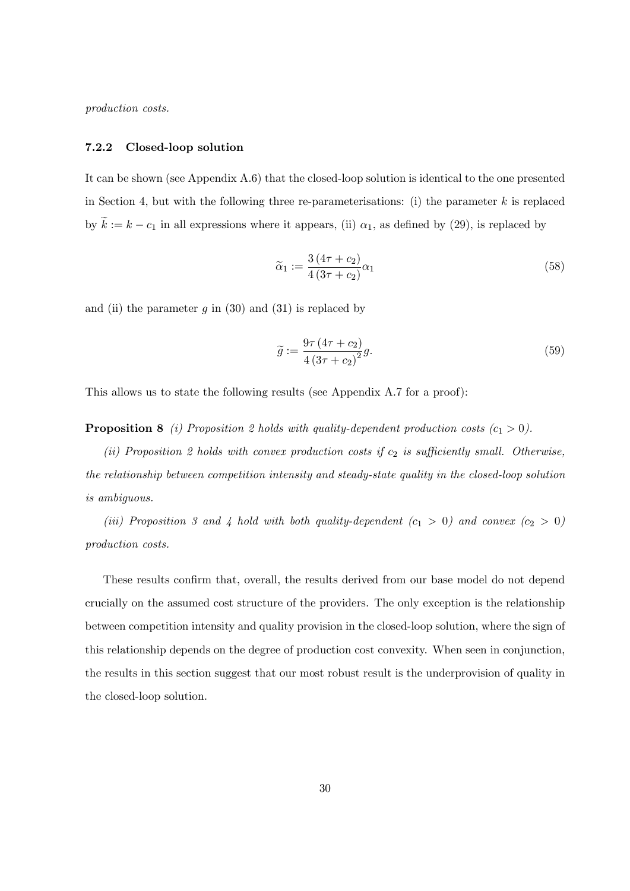production costs.

#### 7.2.2 Closed-loop solution

It can be shown (see Appendix A.6) that the closed-loop solution is identical to the one presented in Section 4, but with the following three re-parameterisations: (i) the parameter  $k$  is replaced by  $\tilde{k} := k - c_1$  in all expressions where it appears, (ii)  $\alpha_1$ , as defined by (29), is replaced by

$$
\widetilde{\alpha}_1 := \frac{3\left(4\tau + c_2\right)}{4\left(3\tau + c_2\right)} \alpha_1\tag{58}
$$

and (ii) the parameter q in (30) and (31) is replaced by

$$
\widetilde{g} := \frac{9\tau \left(4\tau + c_2\right)}{4\left(3\tau + c_2\right)^2} g. \tag{59}
$$

This allows us to state the following results (see Appendix A.7 for a proof):

**Proposition 8** (i) Proposition 2 holds with quality-dependent production costs  $(c_1 > 0)$ .

(ii) Proposition 2 holds with convex production costs if  $c_2$  is sufficiently small. Otherwise, the relationship between competition intensity and steady-state quality in the closed-loop solution is ambiguous.

(iii) Proposition 3 and 4 hold with both quality-dependent  $(c_1 > 0)$  and convex  $(c_2 > 0)$ production costs.

These results confirm that, overall, the results derived from our base model do not depend crucially on the assumed cost structure of the providers. The only exception is the relationship between competition intensity and quality provision in the closed-loop solution, where the sign of this relationship depends on the degree of production cost convexity. When seen in conjunction, the results in this section suggest that our most robust result is the underprovision of quality in the closed-loop solution.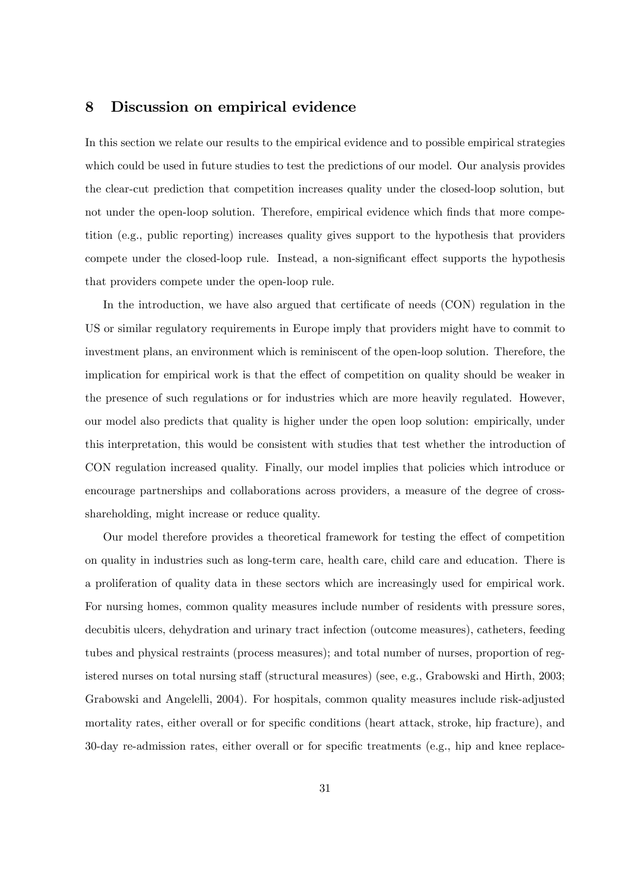## 8 Discussion on empirical evidence

In this section we relate our results to the empirical evidence and to possible empirical strategies which could be used in future studies to test the predictions of our model. Our analysis provides the clear-cut prediction that competition increases quality under the closed-loop solution, but not under the open-loop solution. Therefore, empirical evidence which finds that more competition (e.g., public reporting) increases quality gives support to the hypothesis that providers compete under the closed-loop rule. Instead, a non-significant effect supports the hypothesis that providers compete under the open-loop rule.

In the introduction, we have also argued that certificate of needs (CON) regulation in the US or similar regulatory requirements in Europe imply that providers might have to commit to investment plans, an environment which is reminiscent of the open-loop solution. Therefore, the implication for empirical work is that the effect of competition on quality should be weaker in the presence of such regulations or for industries which are more heavily regulated. However, our model also predicts that quality is higher under the open loop solution: empirically, under this interpretation, this would be consistent with studies that test whether the introduction of CON regulation increased quality. Finally, our model implies that policies which introduce or encourage partnerships and collaborations across providers, a measure of the degree of crossshareholding, might increase or reduce quality.

Our model therefore provides a theoretical framework for testing the effect of competition on quality in industries such as long-term care, health care, child care and education. There is a proliferation of quality data in these sectors which are increasingly used for empirical work. For nursing homes, common quality measures include number of residents with pressure sores, decubitis ulcers, dehydration and urinary tract infection (outcome measures), catheters, feeding tubes and physical restraints (process measures); and total number of nurses, proportion of registered nurses on total nursing staff (structural measures) (see, e.g., Grabowski and Hirth, 2003; Grabowski and Angelelli, 2004). For hospitals, common quality measures include risk-adjusted mortality rates, either overall or for specific conditions (heart attack, stroke, hip fracture), and 30-day re-admission rates, either overall or for specific treatments (e.g., hip and knee replace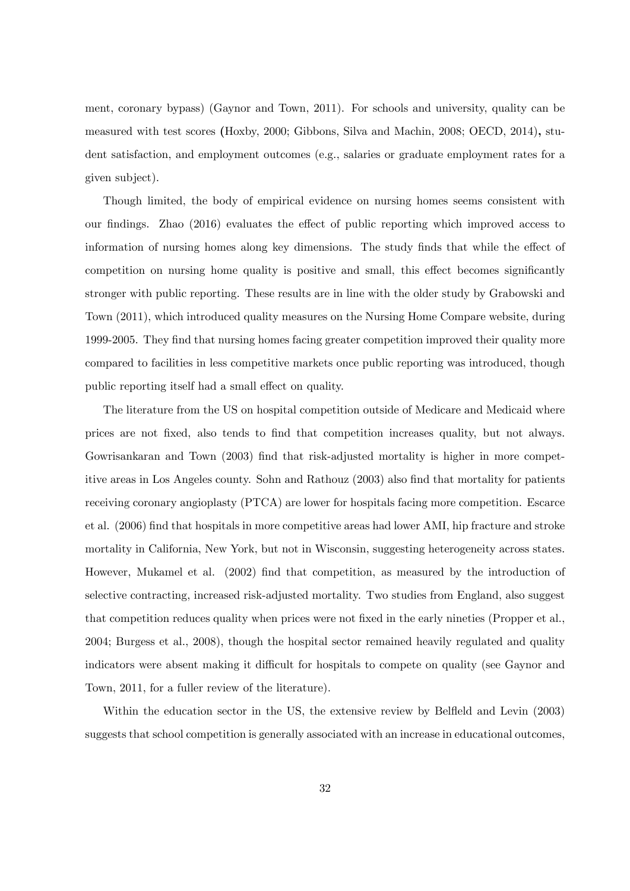ment, coronary bypass) (Gaynor and Town, 2011). For schools and university, quality can be measured with test scores (Hoxby, 2000; Gibbons, Silva and Machin, 2008; OECD, 2014), student satisfaction, and employment outcomes (e.g., salaries or graduate employment rates for a given subject).

Though limited, the body of empirical evidence on nursing homes seems consistent with our findings. Zhao (2016) evaluates the effect of public reporting which improved access to information of nursing homes along key dimensions. The study finds that while the effect of competition on nursing home quality is positive and small, this effect becomes significantly stronger with public reporting. These results are in line with the older study by Grabowski and Town (2011), which introduced quality measures on the Nursing Home Compare website, during 1999-2005. They find that nursing homes facing greater competition improved their quality more compared to facilities in less competitive markets once public reporting was introduced, though public reporting itself had a small effect on quality.

The literature from the US on hospital competition outside of Medicare and Medicaid where prices are not Öxed, also tends to Önd that competition increases quality, but not always. Gowrisankaran and Town (2003) find that risk-adjusted mortality is higher in more competitive areas in Los Angeles county. Sohn and Rathouz (2003) also find that mortality for patients receiving coronary angioplasty (PTCA) are lower for hospitals facing more competition. Escarce et al. (2006) Önd that hospitals in more competitive areas had lower AMI, hip fracture and stroke mortality in California, New York, but not in Wisconsin, suggesting heterogeneity across states. However, Mukamel et al. (2002) Önd that competition, as measured by the introduction of selective contracting, increased risk-adjusted mortality. Two studies from England, also suggest that competition reduces quality when prices were not fixed in the early nineties (Propper et al., 2004; Burgess et al., 2008), though the hospital sector remained heavily regulated and quality indicators were absent making it difficult for hospitals to compete on quality (see Gaynor and Town, 2011, for a fuller review of the literature).

Within the education sector in the US, the extensive review by Belfield and Levin (2003) suggests that school competition is generally associated with an increase in educational outcomes,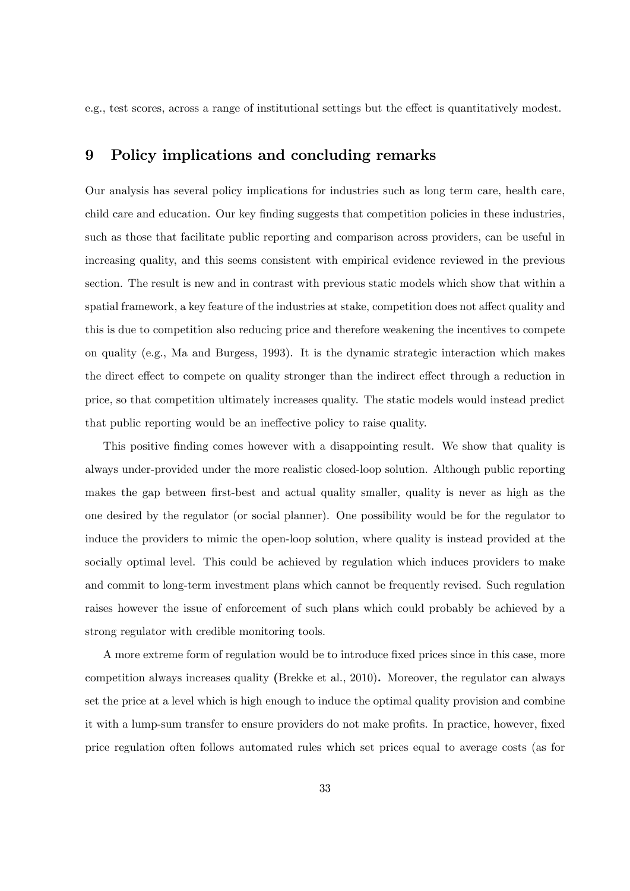e.g., test scores, across a range of institutional settings but the effect is quantitatively modest.

## 9 Policy implications and concluding remarks

Our analysis has several policy implications for industries such as long term care, health care, child care and education. Our key finding suggests that competition policies in these industries, such as those that facilitate public reporting and comparison across providers, can be useful in increasing quality, and this seems consistent with empirical evidence reviewed in the previous section. The result is new and in contrast with previous static models which show that within a spatial framework, a key feature of the industries at stake, competition does not affect quality and this is due to competition also reducing price and therefore weakening the incentives to compete on quality (e.g., Ma and Burgess, 1993). It is the dynamic strategic interaction which makes the direct effect to compete on quality stronger than the indirect effect through a reduction in price, so that competition ultimately increases quality. The static models would instead predict that public reporting would be an ineffective policy to raise quality.

This positive finding comes however with a disappointing result. We show that quality is always under-provided under the more realistic closed-loop solution. Although public reporting makes the gap between first-best and actual quality smaller, quality is never as high as the one desired by the regulator (or social planner). One possibility would be for the regulator to induce the providers to mimic the open-loop solution, where quality is instead provided at the socially optimal level. This could be achieved by regulation which induces providers to make and commit to long-term investment plans which cannot be frequently revised. Such regulation raises however the issue of enforcement of such plans which could probably be achieved by a strong regulator with credible monitoring tools.

A more extreme form of regulation would be to introduce fixed prices since in this case, more competition always increases quality (Brekke et al., 2010). Moreover, the regulator can always set the price at a level which is high enough to induce the optimal quality provision and combine it with a lump-sum transfer to ensure providers do not make profits. In practice, however, fixed price regulation often follows automated rules which set prices equal to average costs (as for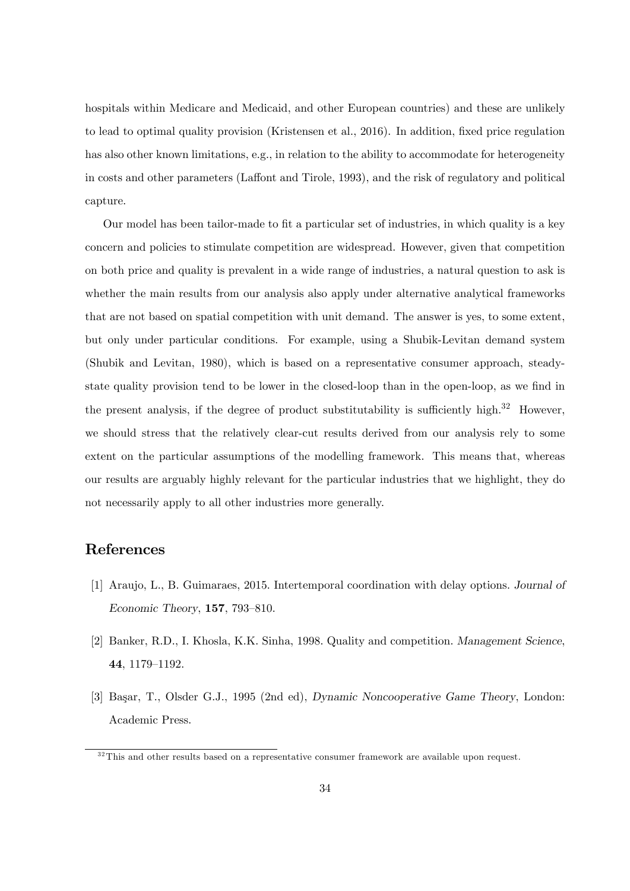hospitals within Medicare and Medicaid, and other European countries) and these are unlikely to lead to optimal quality provision (Kristensen et al., 2016). In addition, fixed price regulation has also other known limitations, e.g., in relation to the ability to accommodate for heterogeneity in costs and other parameters (Laffont and Tirole, 1993), and the risk of regulatory and political capture.

Our model has been tailor-made to fit a particular set of industries, in which quality is a key concern and policies to stimulate competition are widespread. However, given that competition on both price and quality is prevalent in a wide range of industries, a natural question to ask is whether the main results from our analysis also apply under alternative analytical frameworks that are not based on spatial competition with unit demand. The answer is yes, to some extent, but only under particular conditions. For example, using a Shubik-Levitan demand system (Shubik and Levitan, 1980), which is based on a representative consumer approach, steadystate quality provision tend to be lower in the closed-loop than in the open-loop, as we find in the present analysis, if the degree of product substitutability is sufficiently high. $32$  However, we should stress that the relatively clear-cut results derived from our analysis rely to some extent on the particular assumptions of the modelling framework. This means that, whereas our results are arguably highly relevant for the particular industries that we highlight, they do not necessarily apply to all other industries more generally.

## References

- [1] Araujo, L., B. Guimaraes, 2015. Intertemporal coordination with delay options. Journal of Economic Theory,  $157, 793-810$ .
- [2] Banker, R.D., I. Khosla, K.K. Sinha, 1998. Quality and competition. Management Science, 44, 1179-1192.
- [3] Başar, T., Olsder G.J., 1995 (2nd ed), Dynamic Noncooperative Game Theory, London: Academic Press.

 $32$ This and other results based on a representative consumer framework are available upon request.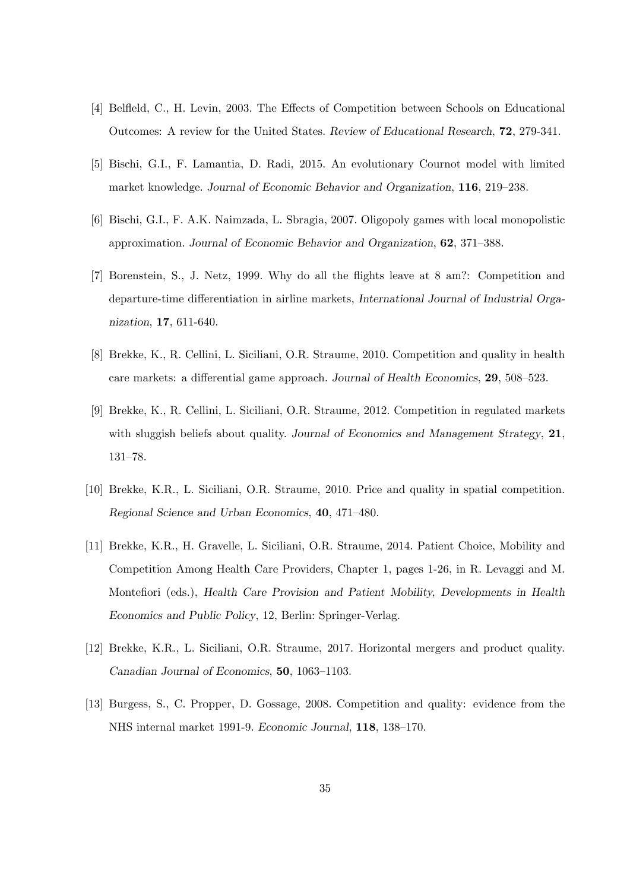- [4] Belffeld, C., H. Levin, 2003. The Effects of Competition between Schools on Educational Outcomes: A review for the United States. Review of Educational Research, 72, 279-341.
- [5] Bischi, G.I., F. Lamantia, D. Radi, 2015. An evolutionary Cournot model with limited market knowledge. Journal of Economic Behavior and Organization, 116, 219-238.
- [6] Bischi, G.I., F. A.K. Naimzada, L. Sbragia, 2007. Oligopoly games with local monopolistic approximation. Journal of Economic Behavior and Organization, 62, 371–388.
- [7] Borenstein, S., J. Netz, 1999. Why do all the áights leave at 8 am?: Competition and departure-time differentiation in airline markets, International Journal of Industrial Organization, 17, 611-640.
- [8] Brekke, K., R. Cellini, L. Siciliani, O.R. Straume, 2010. Competition and quality in health care markets: a differential game approach. Journal of Health Economics,  $29, 508-523$ .
- [9] Brekke, K., R. Cellini, L. Siciliani, O.R. Straume, 2012. Competition in regulated markets with sluggish beliefs about quality. Journal of Economics and Management Strategy, 21, 131-78.
- [10] Brekke, K.R., L. Siciliani, O.R. Straume, 2010. Price and quality in spatial competition. Regional Science and Urban Economics, 40, 471-480.
- [11] Brekke, K.R., H. Gravelle, L. Siciliani, O.R. Straume, 2014. Patient Choice, Mobility and Competition Among Health Care Providers, Chapter 1, pages 1-26, in R. Levaggi and M. Montefiori (eds.), Health Care Provision and Patient Mobility, Developments in Health Economics and Public Policy, 12, Berlin: Springer-Verlag.
- [12] Brekke, K.R., L. Siciliani, O.R. Straume, 2017. Horizontal mergers and product quality. Canadian Journal of Economics, 50, 1063–1103.
- [13] Burgess, S., C. Propper, D. Gossage, 2008. Competition and quality: evidence from the NHS internal market 1991-9. Economic Journal, 118, 138–170.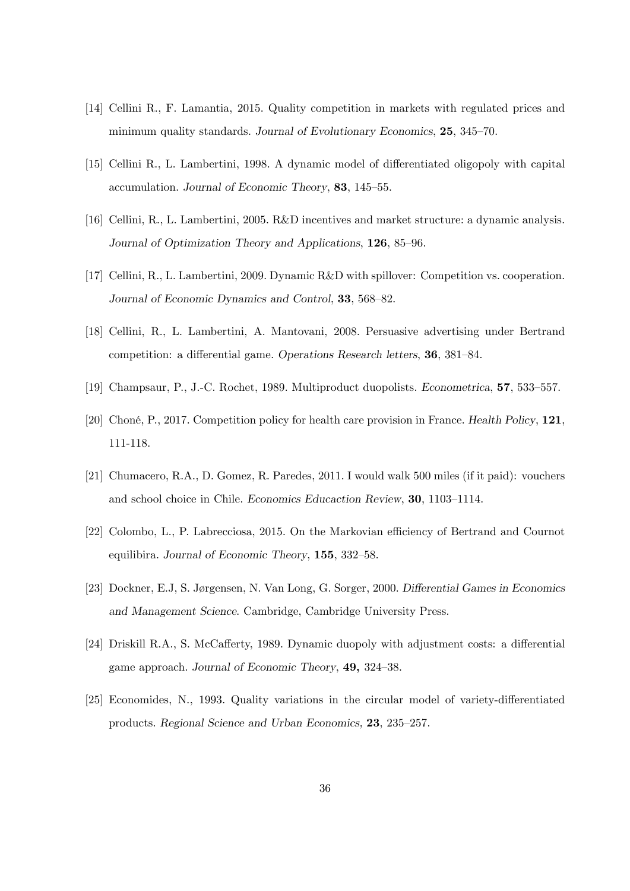- [14] Cellini R., F. Lamantia, 2015. Quality competition in markets with regulated prices and minimum quality standards. Journal of Evolutionary Economics,  $25, 345-70$ .
- [15] Cellini R., L. Lambertini, 1998. A dynamic model of differentiated oligopoly with capital accumulation. Journal of Economic Theory, 83, 145–55.
- [16] Cellini, R., L. Lambertini, 2005. R&D incentives and market structure: a dynamic analysis. Journal of Optimization Theory and Applications, 126, 85–96.
- [17] Cellini, R., L. Lambertini, 2009. Dynamic R&D with spillover: Competition vs. cooperation. Journal of Economic Dynamics and Control, 33, 568–82.
- [18] Cellini, R., L. Lambertini, A. Mantovani, 2008. Persuasive advertising under Bertrand competition: a differential game. Operations Research letters, 36, 381–84.
- [19] Champsaur, P., J.-C. Rochet, 1989. Multiproduct duopolists. Econometrica, 57, 533–557.
- [20] ChonÈ, P., 2017. Competition policy for health care provision in France. Health Policy, 121, 111-118.
- [21] Chumacero, R.A., D. Gomez, R. Paredes, 2011. I would walk 500 miles (if it paid): vouchers and school choice in Chile. Economics Educaction Review, 30, 1103–1114.
- [22] Colombo, L., P. Labrecciosa, 2015. On the Markovian efficiency of Bertrand and Cournot equilibira. Journal of Economic Theory,  $155$ ,  $332-58$ .
- [23] Dockner, E.J, S. Jørgensen, N. Van Long, G. Sorger, 2000. Differential Games in Economics and Management Science. Cambridge, Cambridge University Press.
- [24] Driskill R.A., S. McCafferty, 1989. Dynamic duopoly with adjustment costs: a differential game approach. Journal of Economic Theory, 49, 324–38.
- [25] Economides, N., 1993. Quality variations in the circular model of variety-differentiated products. Regional Science and Urban Economics, 23, 235–257.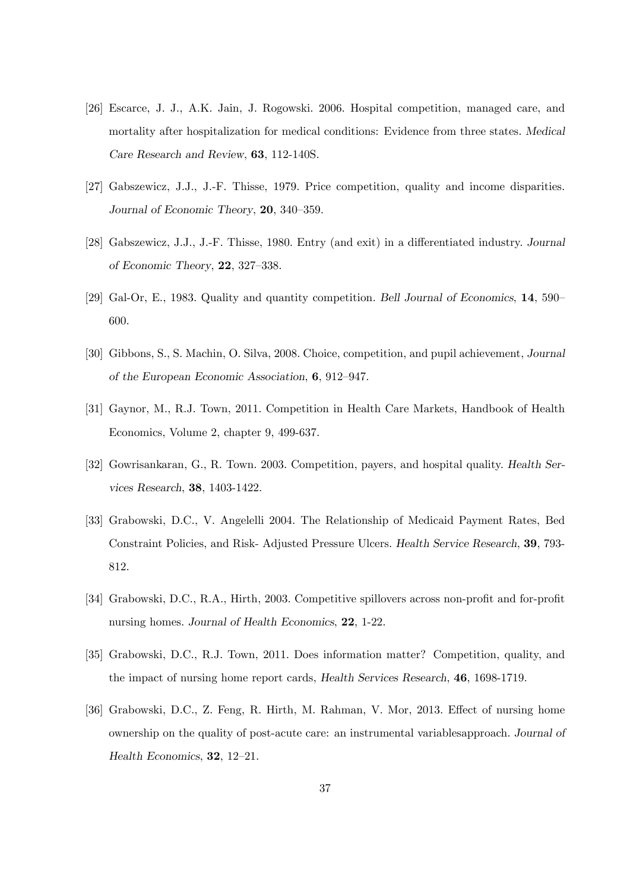- [26] Escarce, J. J., A.K. Jain, J. Rogowski. 2006. Hospital competition, managed care, and mortality after hospitalization for medical conditions: Evidence from three states. Medical Care Research and Review, 63, 112-140S.
- [27] Gabszewicz, J.J., J.-F. Thisse, 1979. Price competition, quality and income disparities. Journal of Economic Theory, 20, 340–359.
- [28] Gabszewicz, J.J., J.-F. Thisse, 1980. Entry (and exit) in a differentiated industry. Journal of Economic Theory,  $22, 327-338$ .
- [29] Gal-Or, E., 1983. Quality and quantity competition. Bell Journal of Economics,  $14$ , 590– 600.
- [30] Gibbons, S., S. Machin, O. Silva, 2008. Choice, competition, and pupil achievement, Journal of the European Economic Association,  $6, 912-947$ .
- [31] Gaynor, M., R.J. Town, 2011. Competition in Health Care Markets, Handbook of Health Economics, Volume 2, chapter 9, 499-637.
- [32] Gowrisankaran, G., R. Town. 2003. Competition, payers, and hospital quality. Health Services Research, 38, 1403-1422.
- [33] Grabowski, D.C., V. Angelelli 2004. The Relationship of Medicaid Payment Rates, Bed Constraint Policies, and Risk- Adjusted Pressure Ulcers. Health Service Research, 39, 793- 812.
- [34] Grabowski, D.C., R.A., Hirth, 2003. Competitive spillovers across non-profit and for-profit nursing homes. Journal of Health Economics, 22, 1-22.
- [35] Grabowski, D.C., R.J. Town, 2011. Does information matter? Competition, quality, and the impact of nursing home report cards, Health Services Research, 46, 1698-1719.
- [36] Grabowski, D.C., Z. Feng, R. Hirth, M. Rahman, V. Mor, 2013. Effect of nursing home ownership on the quality of post-acute care: an instrumental variablesapproach. Journal of Health Economics,  $32$ ,  $12-21$ .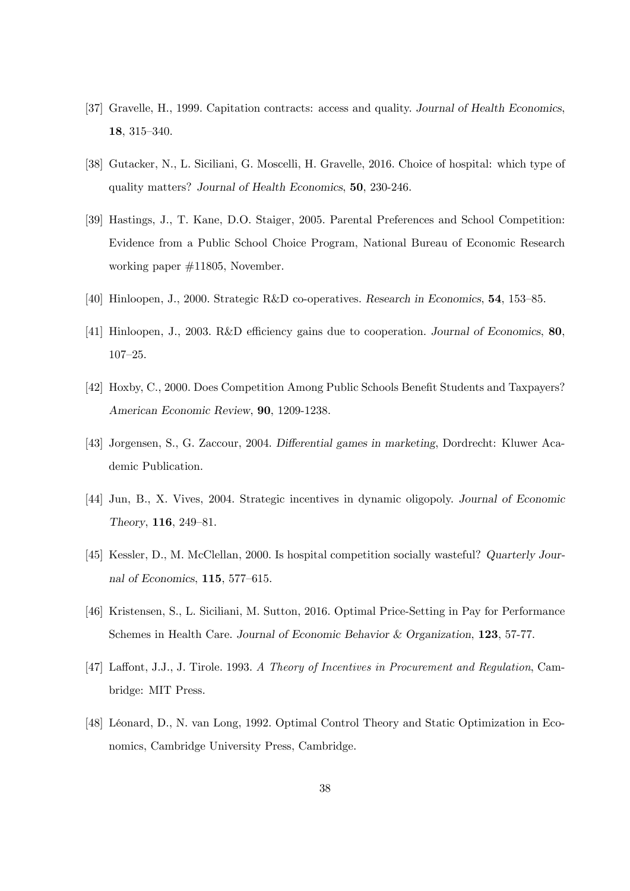- [37] Gravelle, H., 1999. Capitation contracts: access and quality. Journal of Health Economics, 18, 315-340.
- [38] Gutacker, N., L. Siciliani, G. Moscelli, H. Gravelle, 2016. Choice of hospital: which type of quality matters? Journal of Health Economics, 50, 230-246.
- [39] Hastings, J., T. Kane, D.O. Staiger, 2005. Parental Preferences and School Competition: Evidence from a Public School Choice Program, National Bureau of Economic Research working paper #11805, November.
- [40] Hinloopen, J., 2000. Strategic R&D co-operatives. Research in Economics, 54, 153–85.
- [41] Hinloopen, J., 2003. R&D efficiency gains due to cooperation. Journal of Economics, 80,  $107 - 25.$
- [42] Hoxby, C., 2000. Does Competition Among Public Schools Benefit Students and Taxpayers? American Economic Review, 90, 1209-1238.
- [43] Jorgensen, S., G. Zaccour, 2004. Differential games in marketing, Dordrecht: Kluwer Academic Publication.
- [44] Jun, B., X. Vives, 2004. Strategic incentives in dynamic oligopoly. Journal of Economic Theory,  $116, 249-81.$
- [45] Kessler, D., M. McClellan, 2000. Is hospital competition socially wasteful? Quarterly Journal of Economics,  $115$ , 577–615.
- [46] Kristensen, S., L. Siciliani, M. Sutton, 2016. Optimal Price-Setting in Pay for Performance Schemes in Health Care. Journal of Economic Behavior & Organization, 123, 57-77.
- [47] Laffont, J.J., J. Tirole. 1993. A Theory of Incentives in Procurement and Regulation, Cambridge: MIT Press.
- [48] Léonard, D., N. van Long, 1992. Optimal Control Theory and Static Optimization in Economics, Cambridge University Press, Cambridge.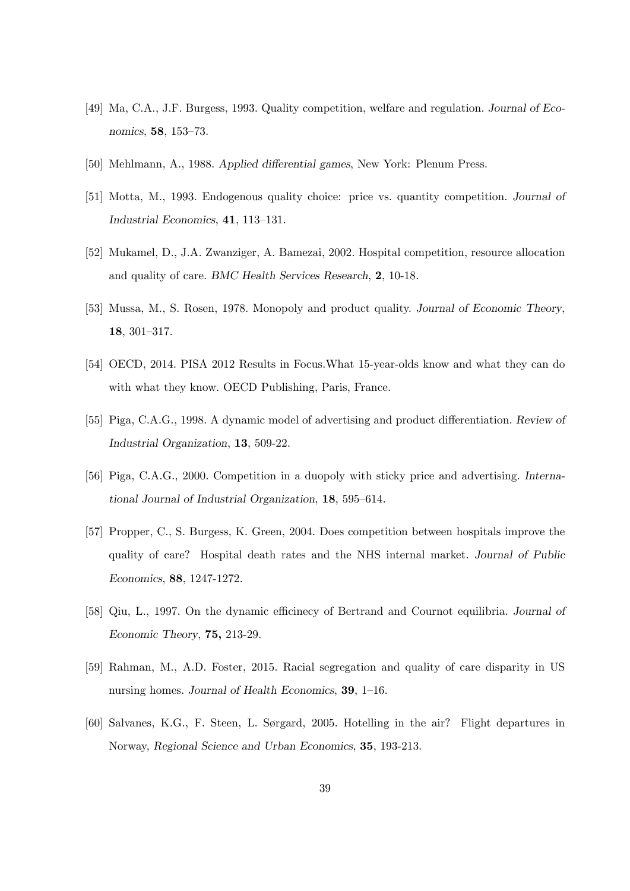- [49] Ma, C.A., J.F. Burgess, 1993. Quality competition, welfare and regulation. Journal of Economics, **58**, 153–73.
- [50] Mehlmann, A., 1988. Applied differential games, New York: Plenum Press.
- [51] Motta, M., 1993. Endogenous quality choice: price vs. quantity competition. Journal of Industrial Economics,  $41$ ,  $113-131$ .
- [52] Mukamel, D., J.A. Zwanziger, A. Bamezai, 2002. Hospital competition, resource allocation and quality of care. BMC Health Services Research, 2, 10-18.
- [53] Mussa, M., S. Rosen, 1978. Monopoly and product quality. Journal of Economic Theory, 18,  $301 - 317$ .
- [54] OECD, 2014. PISA 2012 Results in Focus.What 15-year-olds know and what they can do with what they know. OECD Publishing, Paris, France.
- [55] Piga, C.A.G., 1998. A dynamic model of advertising and product differentiation. Review of Industrial Organization, 13, 509-22.
- [56] Piga, C.A.G., 2000. Competition in a duopoly with sticky price and advertising. International Journal of Industrial Organization,  $18$ ,  $595-614$ .
- [57] Propper, C., S. Burgess, K. Green, 2004. Does competition between hospitals improve the quality of care? Hospital death rates and the NHS internal market. Journal of Public Economics, 88, 1247-1272.
- [58] Qiu, L., 1997. On the dynamic efficinecy of Bertrand and Cournot equilibria. Journal of Economic Theory, 75, 213-29.
- [59] Rahman, M., A.D. Foster, 2015. Racial segregation and quality of care disparity in US nursing homes. Journal of Health Economics,  $39$ , 1–16.
- [60] Salvanes, K.G., F. Steen, L. Sørgard, 2005. Hotelling in the air? Flight departures in Norway, Regional Science and Urban Economics, 35, 193-213.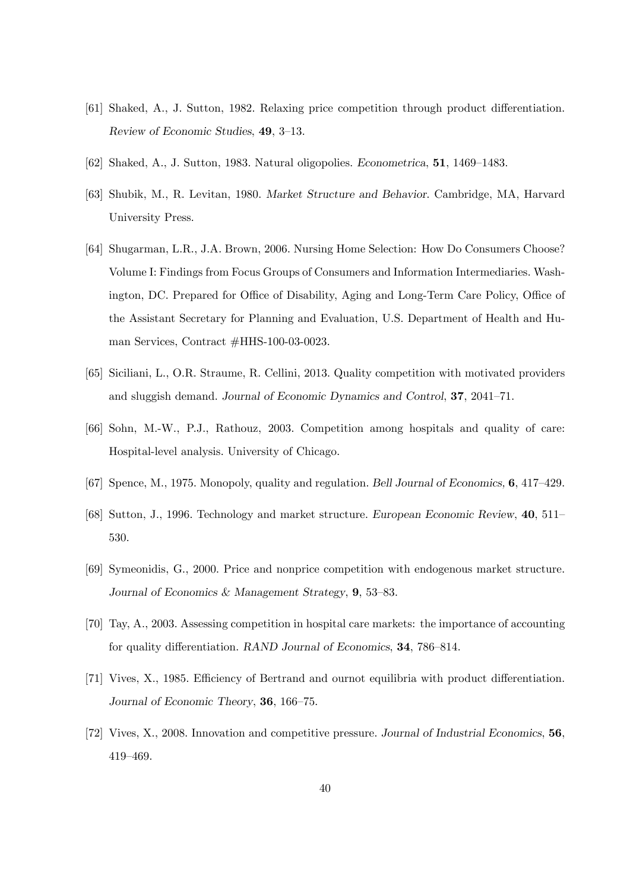- [61] Shaked, A., J. Sutton, 1982. Relaxing price competition through product differentiation. Review of Economic Studies,  $49, 3-13$ .
- $[62]$  Shaked, A., J. Sutton, 1983. Natural oligopolies. Econometrica, 51, 1469–1483.
- [63] Shubik, M., R. Levitan, 1980. Market Structure and Behavior. Cambridge, MA, Harvard University Press.
- [64] Shugarman, L.R., J.A. Brown, 2006. Nursing Home Selection: How Do Consumers Choose? Volume I: Findings from Focus Groups of Consumers and Information Intermediaries. Washington, DC. Prepared for Office of Disability, Aging and Long-Term Care Policy, Office of the Assistant Secretary for Planning and Evaluation, U.S. Department of Health and Human Services, Contract #HHS-100-03-0023.
- [65] Siciliani, L., O.R. Straume, R. Cellini, 2013. Quality competition with motivated providers and sluggish demand. Journal of Economic Dynamics and Control,  $37$ ,  $2041-71$ .
- [66] Sohn, M.-W., P.J., Rathouz, 2003. Competition among hospitals and quality of care: Hospital-level analysis. University of Chicago.
- [67] Spence, M., 1975. Monopoly, quality and regulation. Bell Journal of Economics,  $6, 417-429$ .
- [68] Sutton, J., 1996. Technology and market structure. European Economic Review, 40, 511– 530.
- [69] Symeonidis, G., 2000. Price and nonprice competition with endogenous market structure. Journal of Economics & Management Strategy,  $9, 53-83$ .
- [70] Tay, A., 2003. Assessing competition in hospital care markets: the importance of accounting for quality differentiation. RAND Journal of Economics,  $34$ ,  $786-814$ .
- [71] Vives, X., 1985. Efficiency of Bertrand and ournot equilibria with product differentiation. Journal of Economic Theory, 36, 166–75.
- [72] Vives, X., 2008. Innovation and competitive pressure. Journal of Industrial Economics, 56, 419-469.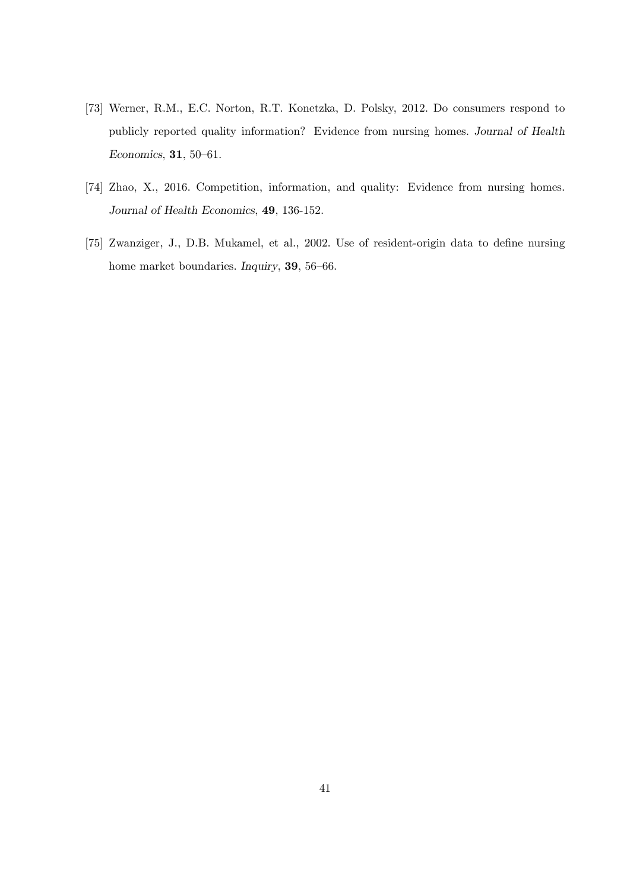- [73] Werner, R.M., E.C. Norton, R.T. Konetzka, D. Polsky, 2012. Do consumers respond to publicly reported quality information? Evidence from nursing homes. Journal of Health Economics,  $31, 50 - 61$ .
- [74] Zhao, X., 2016. Competition, information, and quality: Evidence from nursing homes. Journal of Health Economics, 49, 136-152.
- [75] Zwanziger, J., D.B. Mukamel, et al., 2002. Use of resident-origin data to define nursing home market boundaries. Inquiry, 39, 56-66.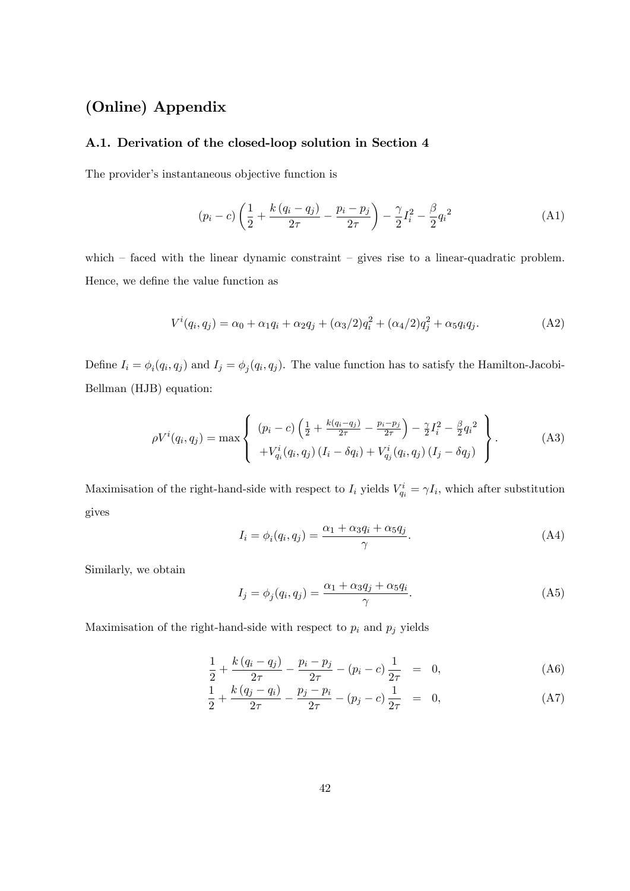## (Online) Appendix

#### A.1. Derivation of the closed-loop solution in Section 4

The provider's instantaneous objective function is

$$
(p_i - c) \left(\frac{1}{2} + \frac{k(q_i - q_j)}{2\tau} - \frac{p_i - p_j}{2\tau}\right) - \frac{\gamma}{2}I_i^2 - \frac{\beta}{2}q_i^2 \tag{A1}
$$

which  $-$  faced with the linear dynamic constraint  $-$  gives rise to a linear-quadratic problem. Hence, we define the value function as

$$
V^{i}(q_{i}, q_{j}) = \alpha_{0} + \alpha_{1}q_{i} + \alpha_{2}q_{j} + (\alpha_{3}/2)q_{i}^{2} + (\alpha_{4}/2)q_{j}^{2} + \alpha_{5}q_{i}q_{j}.
$$
 (A2)

Define  $I_i = \phi_i(q_i, q_j)$  and  $I_j = \phi_j(q_i, q_j)$ . The value function has to satisfy the Hamilton-Jacobi-Bellman (HJB) equation:

$$
\rho V^{i}(q_{i}, q_{j}) = \max \left\{ \begin{array}{l} (p_{i} - c) \left( \frac{1}{2} + \frac{k(q_{i} - q_{j})}{2\tau} - \frac{p_{i} - p_{j}}{2\tau} \right) - \frac{\gamma}{2} I_{i}^{2} - \frac{\beta}{2} q_{i}^{2} \\ + V_{q_{i}}^{i}(q_{i}, q_{j}) \left( I_{i} - \delta q_{i} \right) + V_{q_{j}}^{i}(q_{i}, q_{j}) \left( I_{j} - \delta q_{j} \right) \end{array} \right\}.
$$
 (A3)

Maximisation of the right-hand-side with respect to  $I_i$  yields  $V_{q_i}^i = \gamma I_i$ , which after substitution gives

$$
I_i = \phi_i(q_i, q_j) = \frac{\alpha_1 + \alpha_3 q_i + \alpha_5 q_j}{\gamma}.
$$
 (A4)

Similarly, we obtain

$$
I_j = \phi_j(q_i, q_j) = \frac{\alpha_1 + \alpha_3 q_j + \alpha_5 q_i}{\gamma}.
$$
 (A5)

Maximisation of the right-hand-side with respect to  $p_i$  and  $p_j$  yields

$$
\frac{1}{2} + \frac{k(q_i - q_j)}{2\tau} - \frac{p_i - p_j}{2\tau} - (p_i - c) \frac{1}{2\tau} = 0,
$$
 (A6)

$$
\frac{1}{2} + \frac{k(q_j - q_i)}{2\tau} - \frac{p_j - p_i}{2\tau} - (p_j - c) \frac{1}{2\tau} = 0,
$$
 (A7)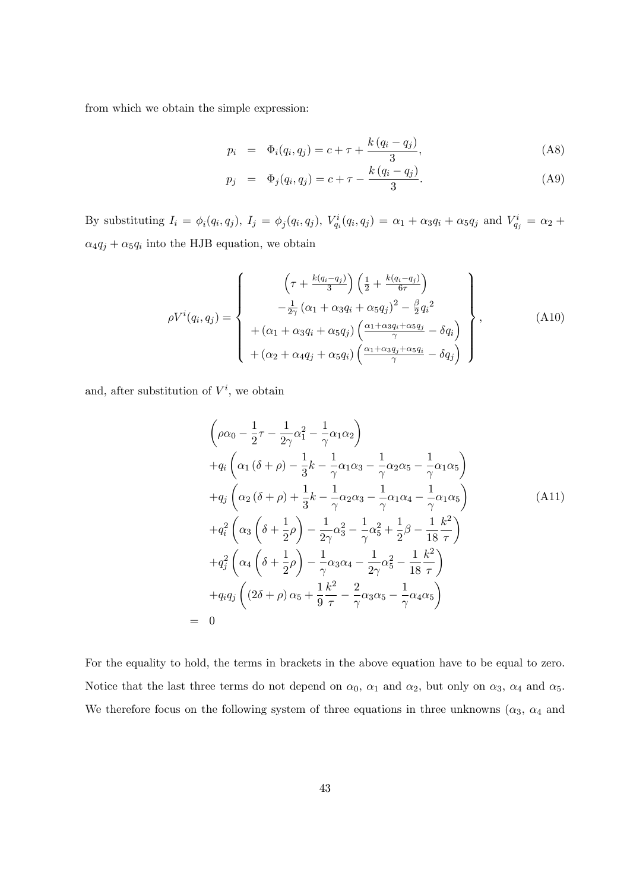from which we obtain the simple expression:

$$
p_i = \Phi_i(q_i, q_j) = c + \tau + \frac{k(q_i - q_j)}{3}, \tag{A8}
$$

$$
p_j = \Phi_j(q_i, q_j) = c + \tau - \frac{k(q_i - q_j)}{3}.
$$
 (A9)

By substituting  $I_i = \phi_i(q_i, q_j)$ ,  $I_j = \phi_j(q_i, q_j)$ ,  $V_{q_i}^i(q_i, q_j) = \alpha_1 + \alpha_3 q_i + \alpha_5 q_j$  and  $V_{q_j}^i = \alpha_2 + \alpha_4 q_j$  $\alpha_4 q_j + \alpha_5 q_i$  into the HJB equation, we obtain

$$
\rho V^{i}(q_i, q_j) = \begin{cases}\n\left(\tau + \frac{k(q_i - q_j)}{3}\right) \left(\frac{1}{2} + \frac{k(q_i - q_j)}{6\tau}\right) \\
-\frac{1}{2\gamma} \left(\alpha_1 + \alpha_3 q_i + \alpha_5 q_j\right)^2 - \frac{\beta}{2} q_i^2 \\
+\left(\alpha_1 + \alpha_3 q_i + \alpha_5 q_j\right) \left(\frac{\alpha_1 + \alpha_3 q_i + \alpha_5 q_j}{\gamma} - \delta q_i\right) \\
+\left(\alpha_2 + \alpha_4 q_j + \alpha_5 q_i\right) \left(\frac{\alpha_1 + \alpha_3 q_j + \alpha_5 q_i}{\gamma} - \delta q_j\right)\n\end{cases},\n\tag{A10}
$$

and, after substitution of  $V^i$ , we obtain

 $=$ 

$$
\left(\rho\alpha_{0} - \frac{1}{2}\tau - \frac{1}{2\gamma}\alpha_{1}^{2} - \frac{1}{\gamma}\alpha_{1}\alpha_{2}\right) \n+q_{i}\left(\alpha_{1}(\delta + \rho) - \frac{1}{3}k - \frac{1}{\gamma}\alpha_{1}\alpha_{3} - \frac{1}{\gamma}\alpha_{2}\alpha_{5} - \frac{1}{\gamma}\alpha_{1}\alpha_{5}\right) \n+q_{j}\left(\alpha_{2}(\delta + \rho) + \frac{1}{3}k - \frac{1}{\gamma}\alpha_{2}\alpha_{3} - \frac{1}{\gamma}\alpha_{1}\alpha_{4} - \frac{1}{\gamma}\alpha_{1}\alpha_{5}\right) \n+q_{i}^{2}\left(\alpha_{3}\left(\delta + \frac{1}{2}\rho\right) - \frac{1}{2\gamma}\alpha_{3}^{2} - \frac{1}{\gamma}\alpha_{5}^{2} + \frac{1}{2}\beta - \frac{1}{18}\frac{k^{2}}{\tau}\right) \n+q_{j}^{2}\left(\alpha_{4}\left(\delta + \frac{1}{2}\rho\right) - \frac{1}{\gamma}\alpha_{3}\alpha_{4} - \frac{1}{2\gamma}\alpha_{5}^{2} - \frac{1}{18}\frac{k^{2}}{\tau}\right) \n+q_{i}q_{j}\left((2\delta + \rho)\alpha_{5} + \frac{1}{9}\frac{k^{2}}{\tau} - \frac{2}{\gamma}\alpha_{3}\alpha_{5} - \frac{1}{\gamma}\alpha_{4}\alpha_{5}\right)
$$
\n0

For the equality to hold, the terms in brackets in the above equation have to be equal to zero. Notice that the last three terms do not depend on  $\alpha_0$ ,  $\alpha_1$  and  $\alpha_2$ , but only on  $\alpha_3$ ,  $\alpha_4$  and  $\alpha_5$ . We therefore focus on the following system of three equations in three unknowns  $(\alpha_3, \alpha_4)$  and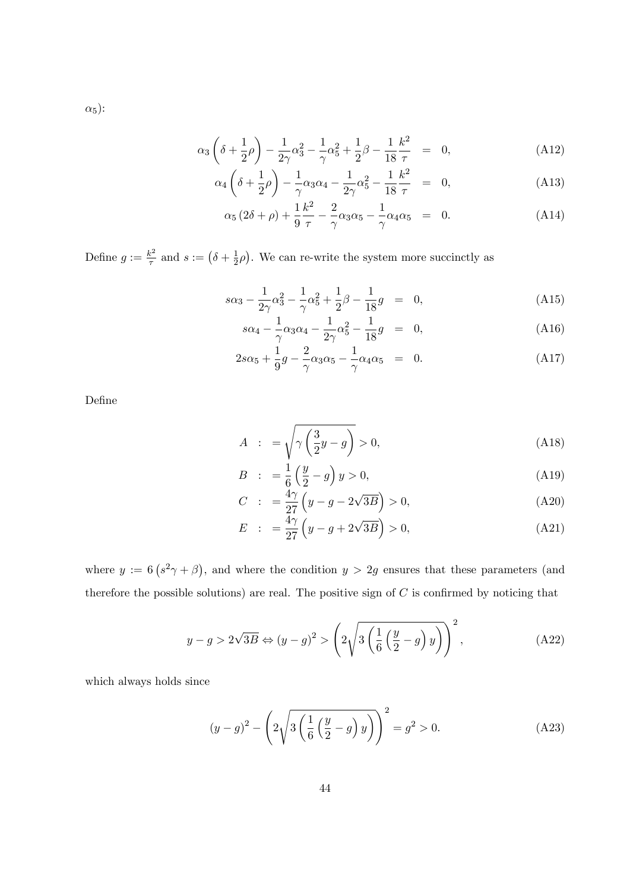$$
\alpha_3 \left( \delta + \frac{1}{2} \rho \right) - \frac{1}{2\gamma} \alpha_3^2 - \frac{1}{\gamma} \alpha_5^2 + \frac{1}{2} \beta - \frac{1}{18} \frac{k^2}{\tau} = 0, \tag{A12}
$$

$$
\alpha_4 \left( \delta + \frac{1}{2} \rho \right) - \frac{1}{\gamma} \alpha_3 \alpha_4 - \frac{1}{2\gamma} \alpha_5^2 - \frac{1}{18} \frac{k^2}{\tau} = 0, \tag{A13}
$$

$$
\alpha_5 (2\delta + \rho) + \frac{1}{9} \frac{k^2}{\tau} - \frac{2}{\gamma} \alpha_3 \alpha_5 - \frac{1}{\gamma} \alpha_4 \alpha_5 = 0.
$$
 (A14)

Define  $g := \frac{k^2}{\tau}$  $\frac{k^2}{\tau}$  and  $s := (\delta + \frac{1}{2})$  $\frac{1}{2}\rho$ ). We can re-write the system more succinctly as

$$
s\alpha_3 - \frac{1}{2\gamma}\alpha_3^2 - \frac{1}{\gamma}\alpha_5^2 + \frac{1}{2}\beta - \frac{1}{18}g = 0,
$$
 (A15)

$$
s\alpha_4 - \frac{1}{\gamma}\alpha_3\alpha_4 - \frac{1}{2\gamma}\alpha_5^2 - \frac{1}{18}g = 0,
$$
 (A16)

$$
2s\alpha_5 + \frac{1}{9}g - \frac{2}{\gamma}\alpha_3\alpha_5 - \frac{1}{\gamma}\alpha_4\alpha_5 = 0.
$$
 (A17)

DeÖne

$$
A : = \sqrt{\gamma \left(\frac{3}{2}y - g\right)} > 0,
$$
\n(A18)

$$
B \quad : \quad = \frac{1}{6} \left( \frac{y}{2} - g \right) y > 0,\tag{A19}
$$

$$
C \quad : \quad = \frac{4\gamma}{27} \left( y - g - 2\sqrt{3B} \right) > 0,\tag{A20}
$$

$$
E : = \frac{4\gamma}{27} \left( y - g + 2\sqrt{3B} \right) > 0, \tag{A21}
$$

where  $y := 6 (s^2 \gamma + \beta)$ , and where the condition  $y > 2g$  ensures that these parameters (and therefore the possible solutions) are real. The positive sign of  $C$  is confirmed by noticing that

$$
y - g > 2\sqrt{3B} \Leftrightarrow (y - g)^2 > \left(2\sqrt{3\left(\frac{1}{6}\left(\frac{y}{2} - g\right)y\right)}\right)^2,\tag{A22}
$$

which always holds since

$$
(y-g)^{2} - \left(2\sqrt{3\left(\frac{1}{6}\left(\frac{y}{2}-g\right)y\right)}\right)^{2} = g^{2} > 0.
$$
 (A23)

 $\alpha_5$ ):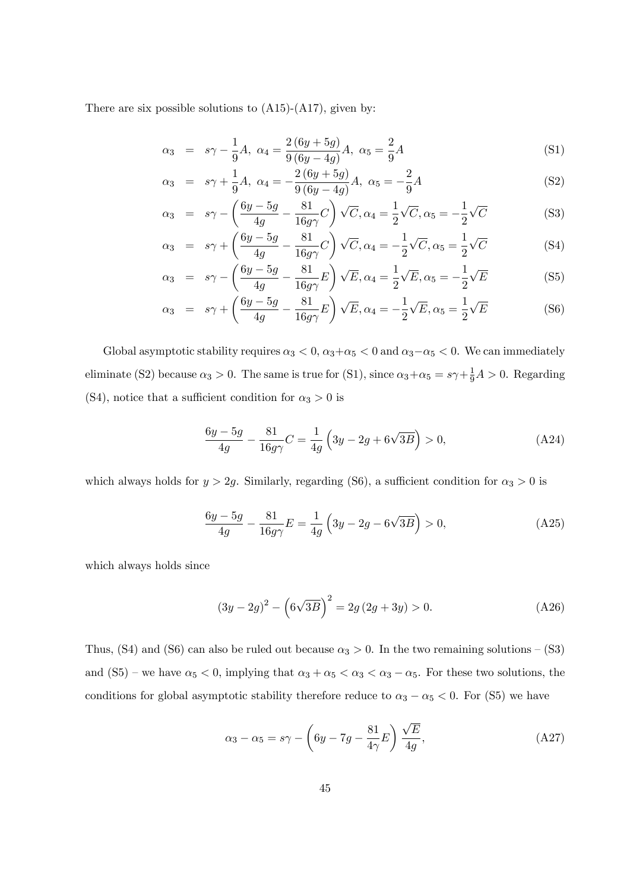There are six possible solutions to  $(A15)-(A17)$ , given by:

$$
\alpha_3 = s\gamma - \frac{1}{9}A, \ \alpha_4 = \frac{2(6y + 5g)}{9(6y - 4g)}A, \ \alpha_5 = \frac{2}{9}A \tag{S1}
$$

$$
\alpha_3 = s\gamma + \frac{1}{9}A, \ \alpha_4 = -\frac{2(6y+5g)}{9(6y-4g)}A, \ \alpha_5 = -\frac{2}{9}A \tag{S2}
$$

$$
\alpha_3 = s\gamma - \left(\frac{6y - 5g}{4g} - \frac{81}{16g\gamma}C\right)\sqrt{C}, \alpha_4 = \frac{1}{2}\sqrt{C}, \alpha_5 = -\frac{1}{2}\sqrt{C}
$$
 (S3)

$$
\alpha_3 = s\gamma + \left(\frac{6y - 5g}{4g} - \frac{81}{16g\gamma}C\right)\sqrt{C}, \alpha_4 = -\frac{1}{2}\sqrt{C}, \alpha_5 = \frac{1}{2}\sqrt{C}
$$
 (S4)

$$
\alpha_3 = s\gamma - \left(\frac{6y - 5g}{4g} - \frac{81}{16g\gamma}E\right)\sqrt{E}, \alpha_4 = \frac{1}{2}\sqrt{E}, \alpha_5 = -\frac{1}{2}\sqrt{E}
$$
(S5)

$$
\alpha_3 = s\gamma + \left(\frac{6y - 5g}{4g} - \frac{81}{16g\gamma}E\right)\sqrt{E}, \alpha_4 = -\frac{1}{2}\sqrt{E}, \alpha_5 = \frac{1}{2}\sqrt{E}
$$
(S6)

Global asymptotic stability requires  $\alpha_3 < 0$ ,  $\alpha_3 + \alpha_5 < 0$  and  $\alpha_3 - \alpha_5 < 0$ . We can immediately eliminate (S2) because  $\alpha_3 > 0$ . The same is true for (S1), since  $\alpha_3 + \alpha_5 = s\gamma + \frac{1}{9}A > 0$ . Regarding (S4), notice that a sufficient condition for  $\alpha_3 > 0$  is

$$
\frac{6y - 5g}{4g} - \frac{81}{16g\gamma}C = \frac{1}{4g} \left(3y - 2g + 6\sqrt{3B}\right) > 0,
$$
 (A24)

which always holds for  $y > 2g$ . Similarly, regarding (S6), a sufficient condition for  $\alpha_3 > 0$  is

$$
\frac{6y - 5g}{4g} - \frac{81}{16g\gamma}E = \frac{1}{4g} \left(3y - 2g - 6\sqrt{3B}\right) > 0,\tag{A25}
$$

which always holds since

$$
(3y - 2g)^{2} - \left(6\sqrt{3B}\right)^{2} = 2g(2g + 3y) > 0.
$$
 (A26)

Thus, (S4) and (S6) can also be ruled out because  $\alpha_3 > 0$ . In the two remaining solutions – (S3) and (S5) – we have  $\alpha_5 < 0$ , implying that  $\alpha_3 + \alpha_5 < \alpha_3 < \alpha_3 - \alpha_5$ . For these two solutions, the conditions for global asymptotic stability therefore reduce to  $\alpha_3 - \alpha_5 < 0$ . For (S5) we have

$$
\alpha_3 - \alpha_5 = s\gamma - \left(6y - 7g - \frac{81}{4\gamma}E\right)\frac{\sqrt{E}}{4g},\tag{A27}
$$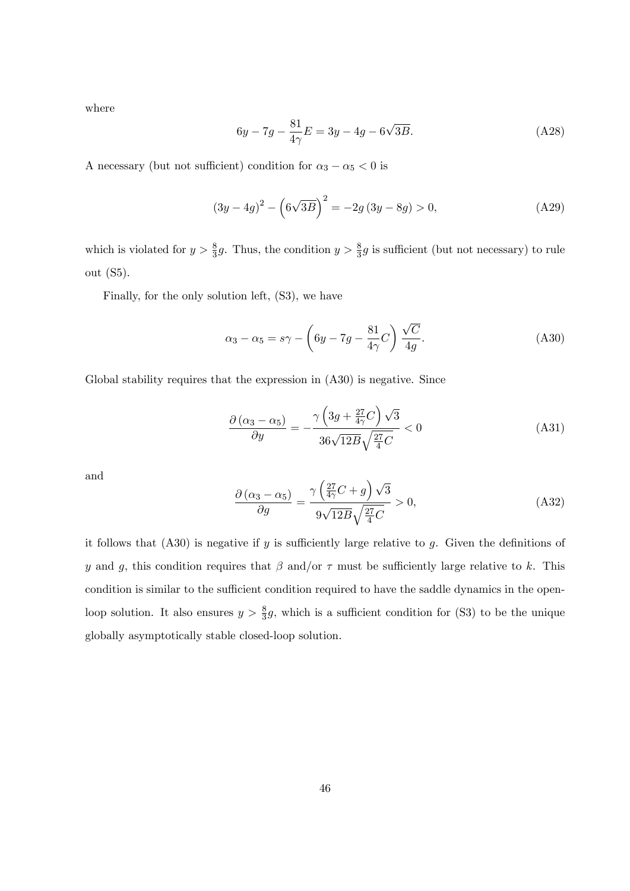where

$$
6y - 7g - \frac{81}{4\gamma}E = 3y - 4g - 6\sqrt{3B}.
$$
 (A28)

A necessary (but not sufficient) condition for  $\alpha_3 - \alpha_5 < 0$  is

$$
(3y - 4g)^{2} - \left(6\sqrt{3B}\right)^{2} = -2g(3y - 8g) > 0,
$$
\n(A29)

which is violated for  $y > \frac{8}{3}g$ . Thus, the condition  $y > \frac{8}{3}g$  is sufficient (but not necessary) to rule out (S5).

Finally, for the only solution left, (S3), we have

$$
\alpha_3 - \alpha_5 = s\gamma - \left(6y - 7g - \frac{81}{4\gamma}C\right)\frac{\sqrt{C}}{4g}.\tag{A30}
$$

Global stability requires that the expression in  $(A30)$  is negative. Since

$$
\frac{\partial (\alpha_3 - \alpha_5)}{\partial y} = -\frac{\gamma \left(3g + \frac{27}{4\gamma}C\right)\sqrt{3}}{36\sqrt{12B}\sqrt{\frac{27}{4}C}} < 0\tag{A31}
$$

and

$$
\frac{\partial (\alpha_3 - \alpha_5)}{\partial g} = \frac{\gamma \left(\frac{27}{4\gamma}C + g\right)\sqrt{3}}{9\sqrt{12B}\sqrt{\frac{27}{4}C}} > 0,
$$
\n(A32)

it follows that  $(A30)$  is negative if y is sufficiently large relative to g. Given the definitions of y and g, this condition requires that  $\beta$  and/or  $\tau$  must be sufficiently large relative to k. This condition is similar to the sufficient condition required to have the saddle dynamics in the openloop solution. It also ensures  $y > \frac{8}{3}g$ , which is a sufficient condition for (S3) to be the unique globally asymptotically stable closed-loop solution.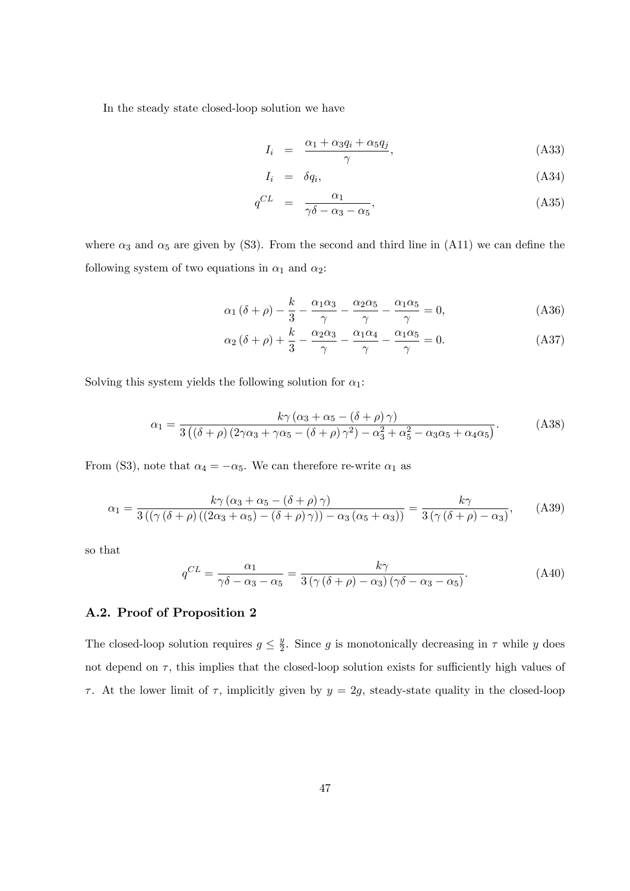In the steady state closed-loop solution we have

$$
I_i = \frac{\alpha_1 + \alpha_3 q_i + \alpha_5 q_j}{\gamma}, \tag{A33}
$$

$$
I_i = \delta q_i, \tag{A34}
$$

$$
q^{CL} = \frac{\alpha_1}{\gamma \delta - \alpha_3 - \alpha_5},\tag{A35}
$$

where  $\alpha_3$  and  $\alpha_5$  are given by (S3). From the second and third line in (A11) we can define the following system of two equations in  $\alpha_1$  and  $\alpha_2$ :

$$
\alpha_1 (\delta + \rho) - \frac{k}{3} - \frac{\alpha_1 \alpha_3}{\gamma} - \frac{\alpha_2 \alpha_5}{\gamma} - \frac{\alpha_1 \alpha_5}{\gamma} = 0, \tag{A36}
$$

$$
\alpha_2 (\delta + \rho) + \frac{k}{3} - \frac{\alpha_2 \alpha_3}{\gamma} - \frac{\alpha_1 \alpha_4}{\gamma} - \frac{\alpha_1 \alpha_5}{\gamma} = 0.
$$
 (A37)

Solving this system yields the following solution for  $\alpha_1$ :

$$
\alpha_1 = \frac{k\gamma(\alpha_3 + \alpha_5 - (\delta + \rho)\gamma)}{3((\delta + \rho)(2\gamma\alpha_3 + \gamma\alpha_5 - (\delta + \rho)\gamma^2) - \alpha_3^2 + \alpha_5^2 - \alpha_3\alpha_5 + \alpha_4\alpha_5)}.
$$
 (A38)

From (S3), note that  $\alpha_4 = -\alpha_5$ . We can therefore re-write  $\alpha_1$  as

$$
\alpha_1 = \frac{k\gamma(\alpha_3 + \alpha_5 - (\delta + \rho)\gamma)}{3((\gamma(\delta + \rho)((2\alpha_3 + \alpha_5) - (\delta + \rho)\gamma)) - \alpha_3(\alpha_5 + \alpha_3))} = \frac{k\gamma}{3(\gamma(\delta + \rho) - \alpha_3)},
$$
 (A39)

so that

$$
q^{CL} = \frac{\alpha_1}{\gamma \delta - \alpha_3 - \alpha_5} = \frac{k\gamma}{3\left(\gamma\left(\delta + \rho\right) - \alpha_3\right)\left(\gamma \delta - \alpha_3 - \alpha_5\right)}.\tag{A40}
$$

#### A.2. Proof of Proposition 2

The closed-loop solution requires  $g \leq \frac{y}{2}$  $\frac{y}{2}$ . Since g is monotonically decreasing in  $\tau$  while y does not depend on  $\tau$ , this implies that the closed-loop solution exists for sufficiently high values of  $\tau$ . At the lower limit of  $\tau$ , implicitly given by  $y = 2g$ , steady-state quality in the closed-loop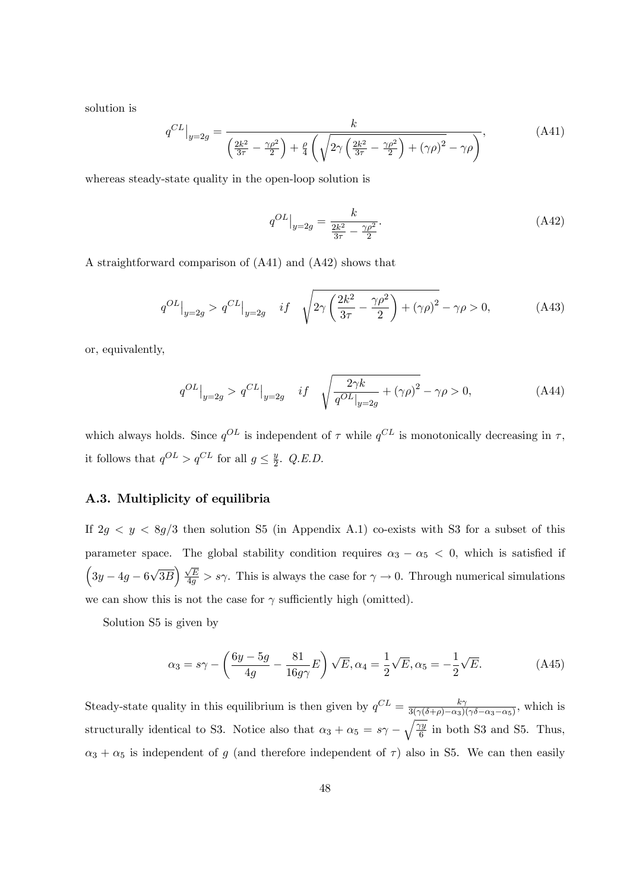solution is

$$
q^{CL}\Big|_{y=2g} = \frac{k}{\left(\frac{2k^2}{3\tau} - \frac{\gamma \rho^2}{2}\right) + \frac{\rho}{4}\left(\sqrt{2\gamma\left(\frac{2k^2}{3\tau} - \frac{\gamma \rho^2}{2}\right) + (\gamma \rho)^2} - \gamma \rho\right)},\tag{A41}
$$

whereas steady-state quality in the open-loop solution is

$$
q^{OL}|_{y=2g} = \frac{k}{\frac{2k^2}{3\tau} - \frac{\gamma \rho^2}{2}}.\tag{A42}
$$

A straightforward comparison of (A41) and (A42) shows that

$$
q^{OL}|_{y=2g} > q^{CL}|_{y=2g} \quad if \quad \sqrt{2\gamma \left(\frac{2k^2}{3\tau} - \frac{\gamma \rho^2}{2}\right) + (\gamma \rho)^2} - \gamma \rho > 0,
$$
 (A43)

or, equivalently,

$$
q^{OL}|_{y=2g} > q^{CL}|_{y=2g} \quad if \quad \sqrt{\frac{2\gamma k}{q^{OL}|_{y=2g}} + (\gamma \rho)^2} - \gamma \rho > 0,
$$
\n(A44)

which always holds. Since  $q^{OL}$  is independent of  $\tau$  while  $q^{CL}$  is monotonically decreasing in  $\tau$ , it follows that  $q^{OL} > q^{CL}$  for all  $g \leq \frac{y}{2}$  $\frac{y}{2}$ . Q.E.D.

### A.3. Multiplicity of equilibria

If  $2g < y < 8g/3$  then solution S5 (in Appendix A.1) co-exists with S3 for a subset of this parameter space. The global stability condition requires  $\alpha_3 - \alpha_5 < 0$ , which is satisfied if  $\left(3y - 4g - 6\sqrt{3B}\right)\frac{\sqrt{E}}{4g} > s\gamma$ . This is always the case for  $\gamma \to 0$ . Through numerical simulations we can show this is not the case for  $\gamma$  sufficiently high (omitted).

Solution S5 is given by

$$
\alpha_3 = s\gamma - \left(\frac{6y - 5g}{4g} - \frac{81}{16g\gamma}E\right)\sqrt{E}, \alpha_4 = \frac{1}{2}\sqrt{E}, \alpha_5 = -\frac{1}{2}\sqrt{E}.
$$
 (A45)

Steady-state quality in this equilibrium is then given by  $q^{CL} = \frac{k\gamma}{3(\gamma(\delta+\alpha)-\gamma\gamma)}$  $\frac{\kappa \gamma}{3(\gamma(\delta+\rho)-\alpha_3)(\gamma\delta-\alpha_3-\alpha_5)}$ , which is structurally identical to S3. Notice also that  $\alpha_3 + \alpha_5 = s\gamma - \sqrt{\frac{\gamma_9}{6}}$  $\frac{\gamma y}{6}$  in both S3 and S5. Thus,  $\alpha_3 + \alpha_5$  is independent of g (and therefore independent of  $\tau$ ) also in S5. We can then easily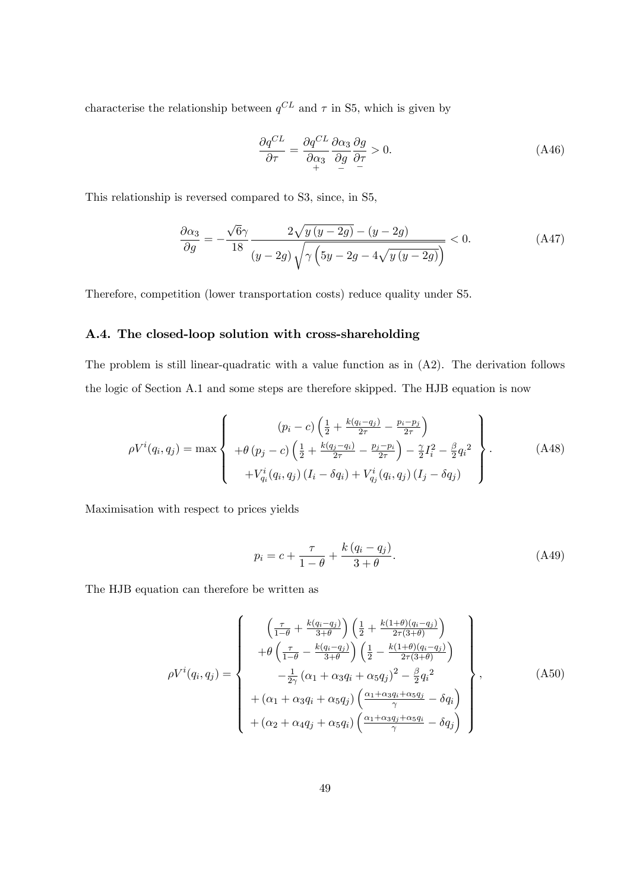characterise the relationship between  $q^{CL}$  and  $\tau$  in S5, which is given by

$$
\frac{\partial q^{CL}}{\partial \tau} = \frac{\partial q^{CL}}{\partial \alpha_3} \frac{\partial \alpha_3}{\partial g} \frac{\partial g}{\partial \tau} > 0.
$$
 (A46)

This relationship is reversed compared to S3, since, in S5,

$$
\frac{\partial \alpha_3}{\partial g} = -\frac{\sqrt{6}\gamma}{18} \frac{2\sqrt{y(y-2g)} - (y-2g)}{(y-2g)\sqrt{\gamma \left(5y-2g-4\sqrt{y(y-2g)}\right)}} < 0. \tag{A47}
$$

Therefore, competition (lower transportation costs) reduce quality under S5.

### A.4. The closed-loop solution with cross-shareholding

The problem is still linear-quadratic with a value function as in (A2). The derivation follows the logic of Section A.1 and some steps are therefore skipped. The HJB equation is now

$$
\rho V^{i}(q_{i}, q_{j}) = \max \left\{ \begin{array}{c} (p_{i} - c) \left( \frac{1}{2} + \frac{k(q_{i} - q_{j})}{2\tau} - \frac{p_{i} - p_{j}}{2\tau} \right) \\ + \theta (p_{j} - c) \left( \frac{1}{2} + \frac{k(q_{j} - q_{i})}{2\tau} - \frac{p_{j} - p_{i}}{2\tau} \right) - \frac{\gamma}{2} I_{i}^{2} - \frac{\beta}{2} q_{i}^{2} \\ + V_{q_{i}}^{i}(q_{i}, q_{j}) \left( I_{i} - \delta q_{i} \right) + V_{q_{j}}^{i}(q_{i}, q_{j}) \left( I_{j} - \delta q_{j} \right) \end{array} \right\}.
$$
\n(A48)

Maximisation with respect to prices yields

$$
p_i = c + \frac{\tau}{1 - \theta} + \frac{k (q_i - q_j)}{3 + \theta}.
$$
\n(A49)

The HJB equation can therefore be written as

$$
\rho V^{i}(q_i, q_j) = \begin{Bmatrix}\n\left(\frac{\tau}{1-\theta} + \frac{k(q_i - q_j)}{3+\theta}\right) \left(\frac{1}{2} + \frac{k(1+\theta)(q_i - q_j)}{2\tau(3+\theta)}\right) \\
+ \theta \left(\frac{\tau}{1-\theta} - \frac{k(q_i - q_j)}{3+\theta}\right) \left(\frac{1}{2} - \frac{k(1+\theta)(q_i - q_j)}{2\tau(3+\theta)}\right) \\
- \frac{1}{2\gamma} \left(\alpha_1 + \alpha_3 q_i + \alpha_5 q_j\right)^2 - \frac{\beta}{2} q_i^2 \\
+ (\alpha_1 + \alpha_3 q_i + \alpha_5 q_j) \left(\frac{\alpha_1 + \alpha_3 q_i + \alpha_5 q_j}{\gamma} - \delta q_i\right) \\
+ (\alpha_2 + \alpha_4 q_j + \alpha_5 q_i) \left(\frac{\alpha_1 + \alpha_3 q_j + \alpha_5 q_i}{\gamma} - \delta q_j\right)\n\end{Bmatrix},
$$
\n(A50)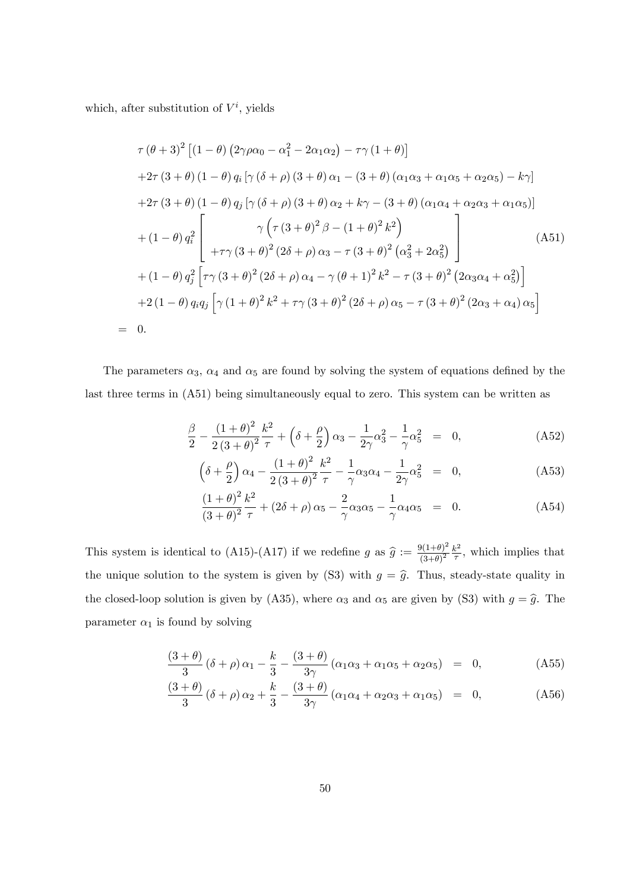which, after substitution of  $V^i$ , yields

 $=$ 

$$
\tau (\theta + 3)^{2} \left[ (1 - \theta) (2\gamma \rho \alpha_{0} - \alpha_{1}^{2} - 2\alpha_{1}\alpha_{2}) - \tau \gamma (1 + \theta) \right]
$$
  
+2\tau (3 + \theta) (1 - \theta) q\_{i} [\gamma (\delta + \rho) (3 + \theta) \alpha\_{1} - (3 + \theta) (\alpha\_{1}\alpha\_{3} + \alpha\_{1}\alpha\_{5} + \alpha\_{2}\alpha\_{5}) - k\gamma]   
+2\tau (3 + \theta) (1 - \theta) q\_{j} [\gamma (\delta + \rho) (3 + \theta) \alpha\_{2} + k\gamma - (3 + \theta) (\alpha\_{1}\alpha\_{4} + \alpha\_{2}\alpha\_{3} + \alpha\_{1}\alpha\_{5})]   
\n+ (1 - \theta) q\_{i}^{2} \left[ \gamma (\tau (3 + \theta)^{2} \beta - (1 + \theta)^{2} k^{2}) \right]   
+ \tau \gamma (3 + \theta)^{2} (2\delta + \rho) \alpha\_{3} - \tau (3 + \theta)^{2} (\alpha\_{3}^{2} + 2\alpha\_{5}^{2}) \right]   
+ (1 - \theta) q\_{j}^{2} [\tau \gamma (3 + \theta)^{2} (2\delta + \rho) \alpha\_{4} - \gamma (\theta + 1)^{2} k^{2} - \tau (3 + \theta)^{2} (2\alpha\_{3}\alpha\_{4} + \alpha\_{5}^{2})]   
+ 2 (1 - \theta) q\_{i} q\_{j} [\gamma (1 + \theta)^{2} k^{2} + \tau \gamma (3 + \theta)^{2} (2\delta + \rho) \alpha\_{5} - \tau (3 + \theta)^{2} (2\alpha\_{3} + \alpha\_{4}) \alpha\_{5}]  
0.

The parameters  $\alpha_3$ ,  $\alpha_4$  and  $\alpha_5$  are found by solving the system of equations defined by the last three terms in (A51) being simultaneously equal to zero. This system can be written as

$$
\frac{\beta}{2} - \frac{(1+\theta)^2}{2(3+\theta)^2} \frac{k^2}{\tau} + \left(\delta + \frac{\rho}{2}\right) \alpha_3 - \frac{1}{2\gamma} \alpha_3^2 - \frac{1}{\gamma} \alpha_5^2 = 0, \tag{A52}
$$

$$
\left(\delta + \frac{\rho}{2}\right)\alpha_4 - \frac{(1+\theta)^2}{2(3+\theta)^2}\frac{k^2}{\tau} - \frac{1}{\gamma}\alpha_3\alpha_4 - \frac{1}{2\gamma}\alpha_5^2 = 0,\tag{A53}
$$

$$
\frac{(1+\theta)^2}{(3+\theta)^2} \frac{k^2}{\tau} + (2\delta + \rho) \alpha_5 - \frac{2}{\gamma} \alpha_3 \alpha_5 - \frac{1}{\gamma} \alpha_4 \alpha_5 = 0.
$$
 (A54)

This system is identical to (A15)-(A17) if we redefine g as  $\hat{g} := \frac{9(1+\theta)^2}{(3+\theta)^2}$  $\frac{\partial (1+\theta)^2}{(3+\theta)^2} \frac{k^2}{\tau}$  $\frac{k^2}{\tau}$ , which implies that the unique solution to the system is given by (S3) with  $g = \hat{g}$ . Thus, steady-state quality in the closed-loop solution is given by (A35), where  $\alpha_3$  and  $\alpha_5$  are given by (S3) with  $g = \hat{g}$ . The parameter  $\alpha_1$  is found by solving

$$
\frac{(3+\theta)}{3}(\delta+\rho)\alpha_1 - \frac{k}{3} - \frac{(3+\theta)}{3\gamma}\left(\alpha_1\alpha_3 + \alpha_1\alpha_5 + \alpha_2\alpha_5\right) = 0, \tag{A55}
$$

$$
\frac{(3+\theta)}{3}(\delta+\rho)\alpha_2+\frac{k}{3}-\frac{(3+\theta)}{3\gamma}\left(\alpha_1\alpha_4+\alpha_2\alpha_3+\alpha_1\alpha_5\right) = 0, \qquad (A56)
$$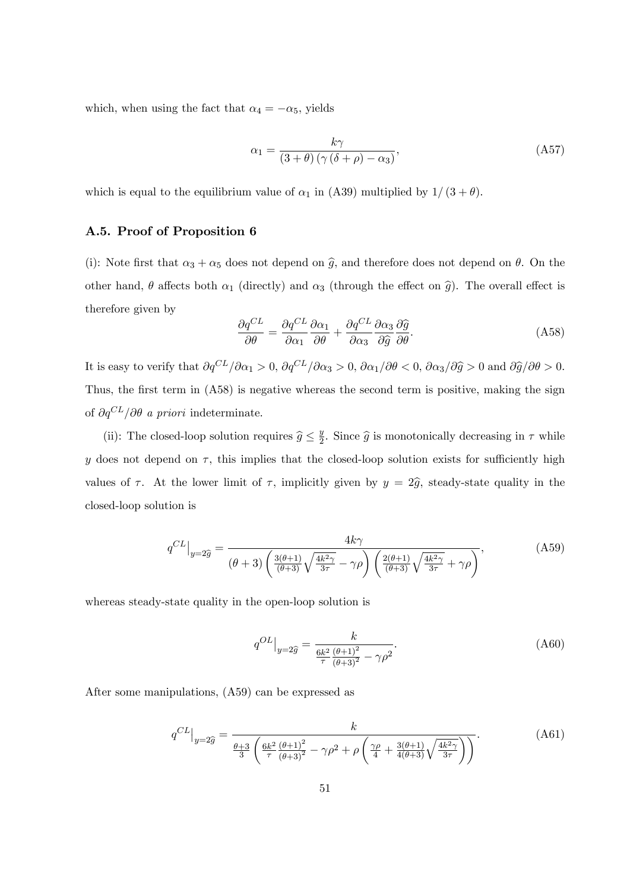which, when using the fact that  $\alpha_4 = -\alpha_5$ , yields

$$
\alpha_1 = \frac{k\gamma}{(3+\theta)\left(\gamma\left(\delta+\rho\right)-\alpha_3\right)},\tag{A57}
$$

which is equal to the equilibrium value of  $\alpha_1$  in (A39) multiplied by  $1/(3 + \theta)$ .

#### A.5. Proof of Proposition 6

(i): Note first that  $\alpha_3 + \alpha_5$  does not depend on  $\hat{g}$ , and therefore does not depend on  $\theta$ . On the other hand,  $\theta$  affects both  $\alpha_1$  (directly) and  $\alpha_3$  (through the effect on  $\hat{g}$ ). The overall effect is therefore given by

$$
\frac{\partial q^{CL}}{\partial \theta} = \frac{\partial q^{CL}}{\partial \alpha_1} \frac{\partial \alpha_1}{\partial \theta} + \frac{\partial q^{CL}}{\partial \alpha_3} \frac{\partial \hat{q}}{\partial \hat{g}} \frac{\partial \hat{q}}{\partial \theta}.
$$
 (A58)

It is easy to verify that  $\partial q^{CL}/\partial \alpha_1 > 0$ ,  $\partial q^{CL}/\partial \alpha_3 > 0$ ,  $\partial \alpha_1/\partial \theta < 0$ ,  $\partial \alpha_3/\partial \widehat{g} > 0$  and  $\partial \widehat{g}/\partial \theta > 0$ . Thus, the first term in  $(A58)$  is negative whereas the second term is positive, making the sign of  $\partial q^{CL}/\partial \theta$  a priori indeterminate.

(ii): The closed-loop solution requires  $\widehat{g} \leq \frac{y}{2}$  $\frac{y}{2}$ . Since  $\widehat{g}$  is monotonically decreasing in  $\tau$  while y does not depend on  $\tau$ , this implies that the closed-loop solution exists for sufficiently high values of  $\tau$ . At the lower limit of  $\tau$ , implicitly given by  $y = 2\hat{g}$ , steady-state quality in the closed-loop solution is

$$
q^{CL}\Big|_{y=2\widehat{g}} = \frac{4k\gamma}{\left(\theta+3\right)\left(\frac{3\left(\theta+1\right)}{\left(\theta+3\right)}\sqrt{\frac{4k^2\gamma}{3\tau}} - \gamma\rho\right)\left(\frac{2\left(\theta+1\right)}{\left(\theta+3\right)}\sqrt{\frac{4k^2\gamma}{3\tau}} + \gamma\rho\right)},\tag{A59}
$$

whereas steady-state quality in the open-loop solution is

$$
q^{OL}|_{y=2\hat{g}} = \frac{k}{\frac{6k^2}{\tau} \frac{(\theta+1)^2}{(\theta+3)^2} - \gamma \rho^2}.
$$
\n(A60)

After some manipulations, (A59) can be expressed as

$$
q^{CL}\Big|_{y=2\hat{g}} = \frac{k}{\frac{\theta+3}{3}\left(\frac{6k^2}{\tau}\frac{(\theta+1)^2}{(\theta+3)^2} - \gamma\rho^2 + \rho\left(\frac{\gamma\rho}{4} + \frac{3(\theta+1)}{4(\theta+3)}\sqrt{\frac{4k^2\gamma}{3\tau}}\right)\right)}.
$$
(A61)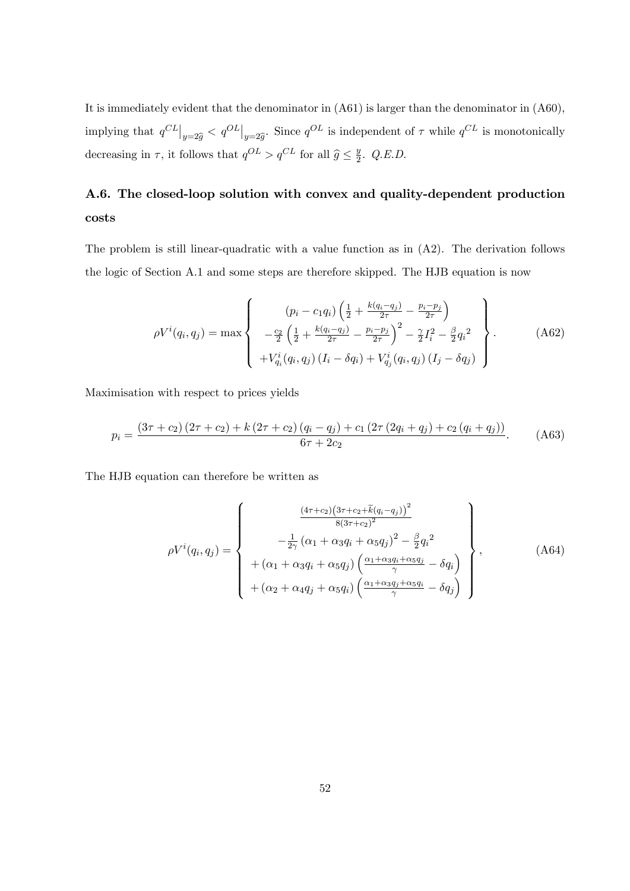It is immediately evident that the denominator in (A61) is larger than the denominator in (A60), implying that  $q^{CL}\big|_{y=2\widehat{g}} < q^{OL}\big|_{y=2\widehat{g}}$ . Since  $q^{OL}$  is independent of  $\tau$  while  $q^{CL}$  is monotonically decreasing in  $\tau$ , it follows that  $q^{OL} > q^{CL}$  for all  $\hat{g} \leq \frac{y}{2}$  $\frac{y}{2}$ . Q.E.D.

# A.6. The closed-loop solution with convex and quality-dependent production costs

The problem is still linear-quadratic with a value function as in  $(A2)$ . The derivation follows the logic of Section A.1 and some steps are therefore skipped. The HJB equation is now

$$
\rho V^{i}(q_{i}, q_{j}) = \max \left\{ \begin{array}{c} (p_{i} - c_{1} q_{i}) \left( \frac{1}{2} + \frac{k(q_{i} - q_{j})}{2\tau} - \frac{p_{i} - p_{j}}{2\tau} \right) \\ -\frac{c_{2}}{2} \left( \frac{1}{2} + \frac{k(q_{i} - q_{j})}{2\tau} - \frac{p_{i} - p_{j}}{2\tau} \right)^{2} - \frac{\gamma}{2} I_{i}^{2} - \frac{\beta}{2} q_{i}^{2} \\ + V_{q_{i}}^{i}(q_{i}, q_{j}) \left( I_{i} - \delta q_{i} \right) + V_{q_{j}}^{i}(q_{i}, q_{j}) \left( I_{j} - \delta q_{j} \right) \end{array} \right\}.
$$
 (A62)

Maximisation with respect to prices yields

$$
p_{i} = \frac{(3\tau + c_{2})(2\tau + c_{2}) + k(2\tau + c_{2})(q_{i} - q_{j}) + c_{1}(2\tau (2q_{i} + q_{j}) + c_{2}(q_{i} + q_{j}))}{6\tau + 2c_{2}}.
$$
 (A63)

The HJB equation can therefore be written as

$$
\rho V^{i}(q_{i}, q_{j}) = \begin{Bmatrix} \frac{(4\tau + c_{2})(3\tau + c_{2} + \tilde{k}(q_{i} - q_{j}))^{2}}{8(3\tau + c_{2})^{2}} \\ -\frac{1}{2\gamma}(\alpha_{1} + \alpha_{3}q_{i} + \alpha_{5}q_{j})^{2} - \frac{\beta}{2}q_{i}^{2} \\ + (\alpha_{1} + \alpha_{3}q_{i} + \alpha_{5}q_{j})\left(\frac{\alpha_{1} + \alpha_{3}q_{i} + \alpha_{5}q_{j}}{\gamma} - \delta q_{i}\right) \\ + (\alpha_{2} + \alpha_{4}q_{j} + \alpha_{5}q_{i})\left(\frac{\alpha_{1} + \alpha_{3}q_{j} + \alpha_{5}q_{i}}{\gamma} - \delta q_{j}\right) \end{Bmatrix}, \qquad (A64)
$$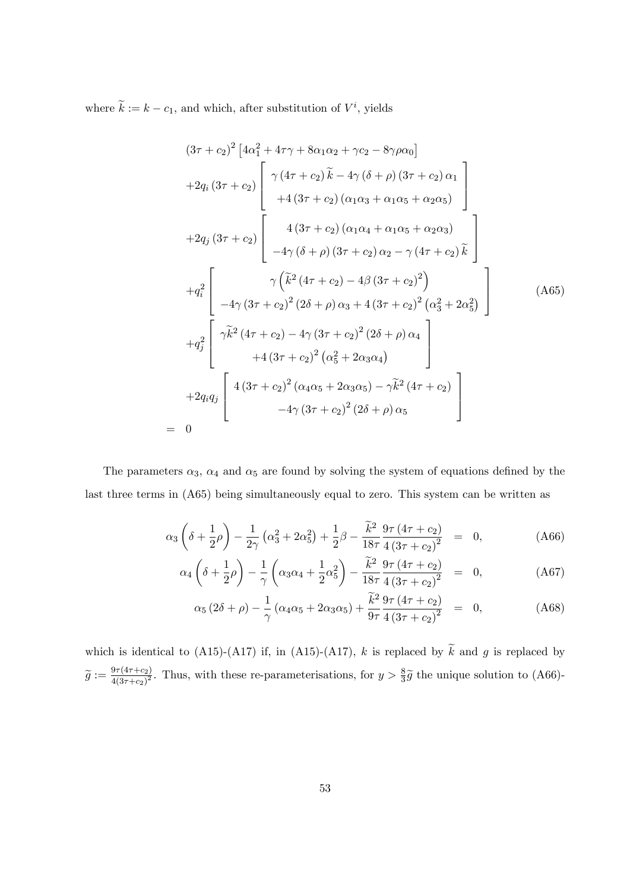where  $k := k - c_1$ , and which, after substitution of  $V^i$ , yields

 $=$ 

$$
(3\tau + c_2)^2 \left[ 4\alpha_1^2 + 4\tau\gamma + 8\alpha_1\alpha_2 + \gamma c_2 - 8\gamma\rho\alpha_0 \right]
$$
  
+2q<sub>i</sub>  $(3\tau + c_2)$   $\begin{bmatrix} \gamma (4\tau + c_2) \tilde{k} - 4\gamma (\delta + \rho) (3\tau + c_2) \alpha_1 \\ + 4 (3\tau + c_2) (\alpha_1\alpha_3 + \alpha_1\alpha_5 + \alpha_2\alpha_5) \end{bmatrix}$   
+2q<sub>j</sub>  $(3\tau + c_2)$   $\begin{bmatrix} 4 (3\tau + c_2) (\alpha_1\alpha_4 + \alpha_1\alpha_5 + \alpha_2\alpha_3) \\ -4\gamma (\delta + \rho) (3\tau + c_2) \alpha_2 - \gamma (4\tau + c_2) \tilde{k} \end{bmatrix}$   
+q<sub>i</sub><sup>2</sup>  $\begin{bmatrix} \gamma (\tilde{k}^2 (4\tau + c_2) - 4\beta (3\tau + c_2)^2) \\ -4\gamma (3\tau + c_2)^2 (2\delta + \rho) \alpha_3 + 4 (3\tau + c_2)^2 (\alpha_3^2 + 2\alpha_5^2) \end{bmatrix}$  (A65)  
+q<sub>j</sub><sup>2</sup>  $\begin{bmatrix} \gamma \tilde{k}^2 (4\tau + c_2) - 4\gamma (3\tau + c_2)^2 (2\delta + \rho) \alpha_4 \\ + 4 (3\tau + c_2)^2 (\alpha_5^2 + 2\alpha_3\alpha_4) \end{bmatrix}$   
+2q<sub>i</sub>q<sub>j</sub>  $\begin{bmatrix} 4 (3\tau + c_2)^2 (\alpha_4\alpha_5 + 2\alpha_3\alpha_5) - \gamma \tilde{k}^2 (4\tau + c_2) \\ -4\gamma (3\tau + c_2)^2 (2\delta + \rho) \alpha_5 \end{bmatrix}$ 

The parameters  $\alpha_3$ ,  $\alpha_4$  and  $\alpha_5$  are found by solving the system of equations defined by the last three terms in (A65) being simultaneously equal to zero. This system can be written as

$$
\alpha_3 \left( \delta + \frac{1}{2} \rho \right) - \frac{1}{2\gamma} \left( \alpha_3^2 + 2\alpha_5^2 \right) + \frac{1}{2} \beta - \frac{\tilde{k}^2}{18\tau} \frac{9\tau (4\tau + c_2)}{4 \left( 3\tau + c_2 \right)^2} = 0, \tag{A66}
$$

$$
\alpha_4 \left( \delta + \frac{1}{2} \rho \right) - \frac{1}{\gamma} \left( \alpha_3 \alpha_4 + \frac{1}{2} \alpha_5^2 \right) - \frac{\tilde{k}^2}{18 \tau} \frac{9 \tau \left( 4 \tau + c_2 \right)}{4 \left( 3 \tau + c_2 \right)^2} = 0, \tag{A67}
$$

$$
\alpha_5 (2\delta + \rho) - \frac{1}{\gamma} (\alpha_4 \alpha_5 + 2\alpha_3 \alpha_5) + \frac{\tilde{k}^2}{9\tau} \frac{9\tau (4\tau + c_2)}{4 (3\tau + c_2)^2} = 0, \tag{A68}
$$

which is identical to (A15)-(A17) if, in (A15)-(A17), k is replaced by  $\widetilde{k}$  and g is replaced by  $\widetilde{g} := \frac{9\tau(4\tau + c_2)}{4(3\tau + c_2)^2}$  $\frac{9\tau(4\tau+c_2)}{4(3\tau+c_2)^2}$ . Thus, with these re-parameterisations, for  $y>\frac{8}{3}\tilde{g}$  the unique solution to (A66)-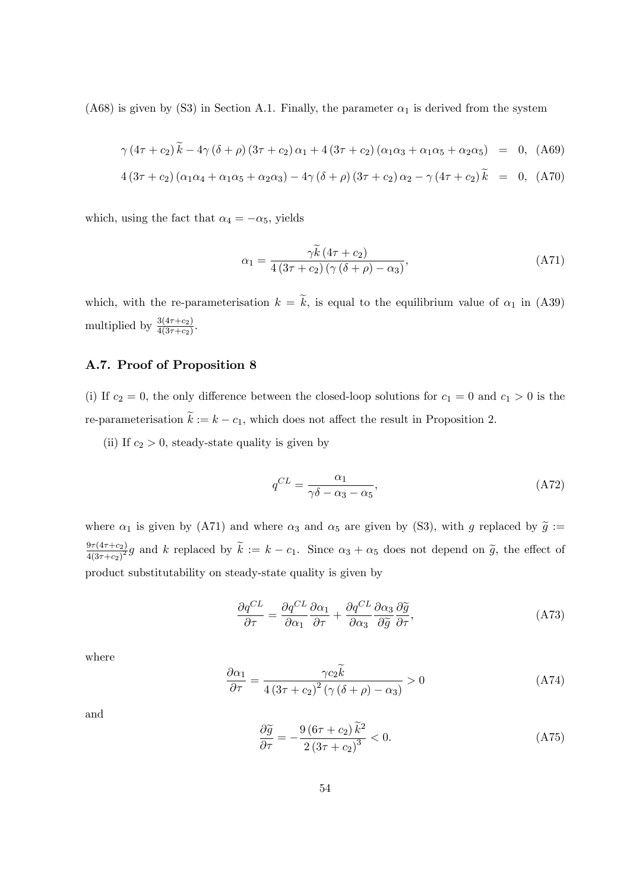(A68) is given by (S3) in Section A.1. Finally, the parameter  $\alpha_1$  is derived from the system

$$
\gamma (4\tau + c_2) \tilde{k} - 4\gamma (\delta + \rho) (3\tau + c_2) \alpha_1 + 4 (3\tau + c_2) (\alpha_1 \alpha_3 + \alpha_1 \alpha_5 + \alpha_2 \alpha_5) = 0, (A69)
$$

$$
4(3\tau + c_2)(\alpha_1\alpha_4 + \alpha_1\alpha_5 + \alpha_2\alpha_3) - 4\gamma(\delta + \rho)(3\tau + c_2)\alpha_2 - \gamma(4\tau + c_2)\tilde{k} = 0, (A70)
$$

which, using the fact that  $\alpha_4 = -\alpha_5$ , yields

$$
\alpha_1 = \frac{\gamma \widetilde{k} \left(4\tau + c_2\right)}{4 \left(3\tau + c_2\right) \left(\gamma \left(\delta + \rho\right) - \alpha_3\right)},\tag{A71}
$$

which, with the re-parameterisation  $k = \tilde{k}$ , is equal to the equilibrium value of  $\alpha_1$  in (A39) multiplied by  $\frac{3(4\tau+c_2)}{4(3\tau+c_2)}$ .

### A.7. Proof of Proposition 8

(i) If  $c_2 = 0$ , the only difference between the closed-loop solutions for  $c_1 = 0$  and  $c_1 > 0$  is the re-parameterisation  $\tilde{k} := k - c_1$ , which does not affect the result in Proposition 2.

(ii) If  $c_2 > 0$ , steady-state quality is given by

$$
q^{CL} = \frac{\alpha_1}{\gamma \delta - \alpha_3 - \alpha_5},\tag{A72}
$$

where  $\alpha_1$  is given by (A71) and where  $\alpha_3$  and  $\alpha_5$  are given by (S3), with g replaced by  $\tilde{g}$  :=  $9\tau(4\tau+c_2)$  $\frac{4(47+c_2)}{4(3\tau+c_2)^2}g$  and k replaced by  $k := k - c_1$ . Since  $\alpha_3 + \alpha_5$  does not depend on  $\tilde{g}$ , the effect of product substitutability on steady-state quality is given by

$$
\frac{\partial q^{CL}}{\partial \tau} = \frac{\partial q^{CL}}{\partial \alpha_1} \frac{\partial \alpha_1}{\partial \tau} + \frac{\partial q^{CL}}{\partial \alpha_3} \frac{\partial \widetilde{q}}{\partial \widetilde{g}} \frac{\partial \widetilde{q}}{\partial \tau},\tag{A73}
$$

where

$$
\frac{\partial \alpha_1}{\partial \tau} = \frac{\gamma c_2 \tilde{k}}{4 \left(3\tau + c_2\right)^2 \left(\gamma \left(\delta + \rho\right) - \alpha_3\right)} > 0\tag{A74}
$$

and

$$
\frac{\partial \widetilde{g}}{\partial \tau} = -\frac{9\left(6\tau + c_2\right)\widetilde{k}^2}{2\left(3\tau + c_2\right)^3} < 0. \tag{A75}
$$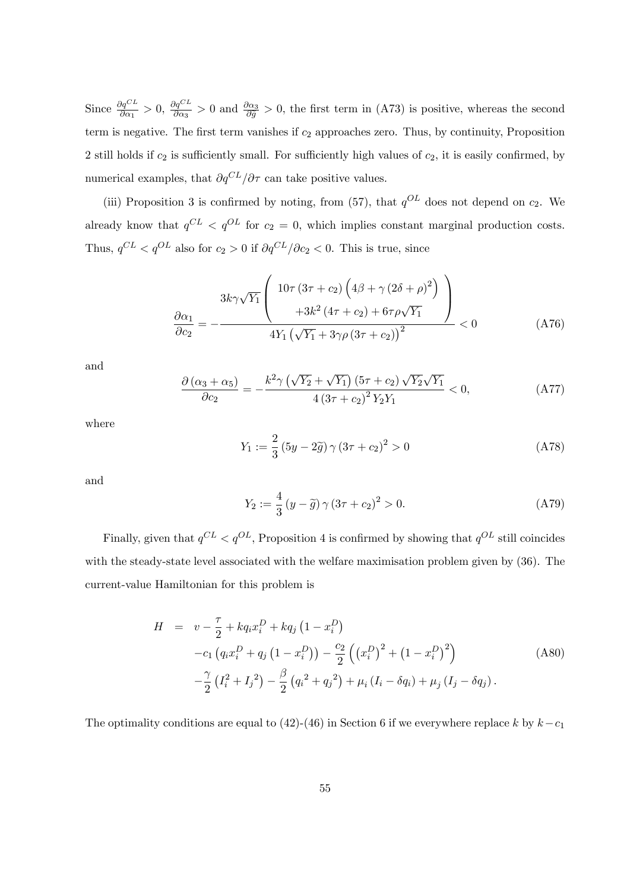Since  $\frac{\partial q^{CL}}{\partial \alpha_1} > 0$ ,  $\frac{\partial q^{CL}}{\partial \alpha_3}$  $\frac{\partial q^{CL}}{\partial \alpha_3} > 0$  and  $\frac{\partial \alpha_3}{\partial \tilde{q}} > 0$ , the first term in (A73) is positive, whereas the second term is negative. The first term vanishes if  $c_2$  approaches zero. Thus, by continuity, Proposition 2 still holds if  $c_2$  is sufficiently small. For sufficiently high values of  $c_2$ , it is easily confirmed, by numerical examples, that  $\partial q^{CL}/\partial \tau$  can take positive values.

(iii) Proposition 3 is confirmed by noting, from (57), that  $q^{OL}$  does not depend on  $c_2$ . We already know that  $q^{CL} < q^{OL}$  for  $c_2 = 0$ , which implies constant marginal production costs. Thus,  $q^{CL} < q^{OL}$  also for  $c_2 > 0$  if  $\partial q^{CL}/\partial c_2 < 0$ . This is true, since

$$
\frac{3k\gamma\sqrt{Y_1}}{\partial c_2} = -\frac{3k\gamma\sqrt{Y_1}\left(\frac{10\tau(3\tau + c_2)\left(4\beta + \gamma(2\delta + \rho)^2\right)}{13k^2(4\tau + c_2) + 6\tau\rho\sqrt{Y_1}}\right)}{4Y_1\left(\sqrt{Y_1} + 3\gamma\rho(3\tau + c_2)\right)^2} < 0
$$
\n(A76)

and

$$
\frac{\partial (\alpha_3 + \alpha_5)}{\partial c_2} = -\frac{k^2 \gamma \left(\sqrt{Y_2} + \sqrt{Y_1}\right) (5\tau + c_2) \sqrt{Y_2} \sqrt{Y_1}}{4 (3\tau + c_2)^2 Y_2 Y_1} < 0,
$$
\n(A77)

where

$$
Y_1 := \frac{2}{3} (5y - 2\tilde{g}) \gamma (3\tau + c_2)^2 > 0
$$
 (A78)

and

$$
Y_2 := \frac{4}{3} (y - \tilde{g}) \gamma (3\tau + c_2)^2 > 0.
$$
 (A79)

Finally, given that  $q^{CL} < q^{OL}$ , Proposition 4 is confirmed by showing that  $q^{OL}$  still coincides with the steady-state level associated with the welfare maximisation problem given by (36). The current-value Hamiltonian for this problem is

$$
H = v - \frac{\tau}{2} + kq_i x_i^D + kq_j (1 - x_i^D) -c_1 (q_i x_i^D + q_j (1 - x_i^D)) - \frac{c_2}{2} ((x_i^D)^2 + (1 - x_i^D)^2) - \frac{\gamma}{2} (I_i^2 + I_j^2) - \frac{\beta}{2} (q_i^2 + q_j^2) + \mu_i (I_i - \delta q_i) + \mu_j (I_j - \delta q_j).
$$
 (A80)

The optimality conditions are equal to (42)-(46) in Section 6 if we everywhere replace k by  $k-c_1$